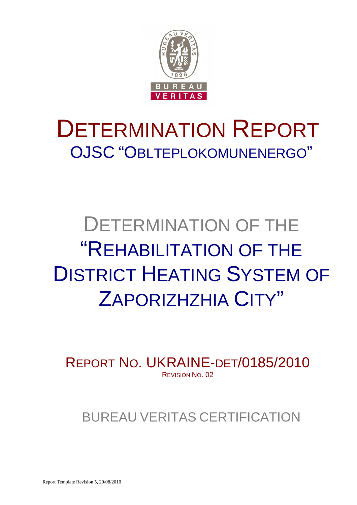

# DETERMINATION REPORT OJSC "OBLTEPLOKOMUNENERGO"

# DETERMINATION OF THE "REHABILITATION OF THE DISTRICT HEATING SYSTEM OF ZAPORIZHZHIA CITY"

REPORT NO. UKRAINE-DET/0185/2010 REVISION NO. 02

BUREAU VERITAS CERTIFICATION

Report Template Revision 5, 20/08/2010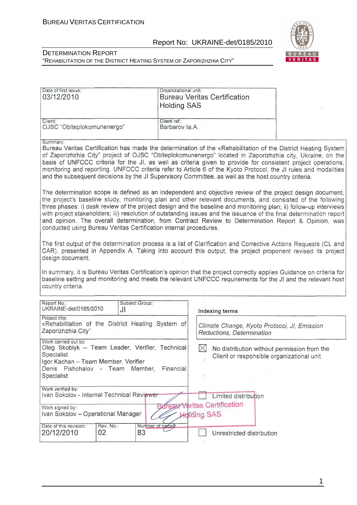

#### DETERMINATION REPORT "REHABILITATION OF THE DISTRICT HEATING SYSTEM OF ZAPORIZHZHIA CITY"

| Date of first issue:<br>03/12/2010 | Organizational unit:<br>Bureau Veritas Certification<br><b>Holding SAS</b> |  |
|------------------------------------|----------------------------------------------------------------------------|--|
| Client:                            | Client ref.:                                                               |  |
| OJSC "Oblteplokomunenergo"         | Barbarov Ia.A.                                                             |  |

#### Summary

Bureau Veritas Certification has made the determination of the «Rehabilitation of the District Heating System of Zaporizhzhia City" project of OJSC "Oblteplokomunenergo" located in Zaporizhzhia city. Ukraine, on the basis of UNFCCC criteria for the JI, as well as criteria given to provide for consistent project operations, monitoring and reporting. UNFCCC criteria refer to Article 6 of the Kyoto Protocol, the JI rules and modalities and the subsequent decisions by the JI Supervisory Committee, as well as the host country criteria.

The determination scope is defined as an independent and objective review of the project design document. the project's baseline study, monitoring plan and other relevant documents, and consisted of the following three phases: i) desk review of the project design and the baseline and monitoring plan; ii) follow-up interviews with project stakeholders; iii) resolution of outstanding issues and the issuance of the final determination report and opinion. The overall determination, from Contract Review to Determination Report & Opinion, was conducted using Bureau Veritas Certification internal procedures.

The first output of the determination process is a list of Clarification and Corrective Actions Requests (CL and CAR), presented in Appendix A. Taking into account this output, the project proponent revised its project design document.

In summary, it is Bureau Veritas Certification's opinion that the project correctly applies Guidance on criteria for baseline setting and monitoring and meets the relevant UNFCCC requirements for the JI and the relevant host country criteria.

| Report No.:<br>UKRAINE-det/0185/2010                                                                                                                                                       |                 | Subject Group:<br>JI |                 | Indexing terms                                                                           |
|--------------------------------------------------------------------------------------------------------------------------------------------------------------------------------------------|-----------------|----------------------|-----------------|------------------------------------------------------------------------------------------|
| Project title:<br>«Rehabilitation of the District Heating System of<br>Zaporizhzhia City"                                                                                                  |                 |                      |                 | Climate Change, Kyoto Protocol, JI, Emission<br>Reductions, Determination                |
| Work carried out by:<br>Oleg Skoblyk – Team Leader, Verifier, Technical<br>Specialist<br>Igor Kachan – Team Member, Verifier<br>Denis Pishchalov - Team Member,<br>Financial<br>Specialist |                 |                      |                 | No distribution without permission from the<br>Client or responsible organizational unit |
| Work verified by:<br>Ivan Sokolov - Internal Technical Reviewer                                                                                                                            |                 |                      |                 | Limited distribution                                                                     |
| Work signed by:<br>Ivan Sokolov - Operational Manager                                                                                                                                      |                 |                      |                 | <b>BureaurVeritas Certification</b><br><b>Hotding SAS</b>                                |
| Date of this revision:<br>20/12/2010                                                                                                                                                       | Rev. No.:<br>02 | 83                   | Number of pages | Unrestricted distribution                                                                |

1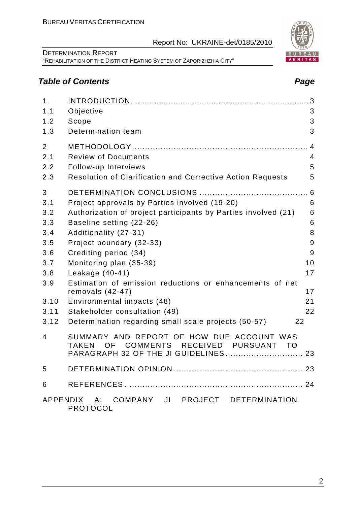2

Report No: UKRAINE-det/0185/2010

#### DETERMINATION REPORT "REHABILITATION OF THE DISTRICT HEATING SYSTEM OF ZAPORIZHZHIA CITY"

# **Table of Contents Page 2018**

| $\mathbf{1}$<br>1.1<br>1.2<br>1.3                                                        | Objective<br>Scope<br>Determination team                                                                                                                                                                                                                                                                                                                                                                                                                                                 | 3<br>3<br>3<br>3                                              |
|------------------------------------------------------------------------------------------|------------------------------------------------------------------------------------------------------------------------------------------------------------------------------------------------------------------------------------------------------------------------------------------------------------------------------------------------------------------------------------------------------------------------------------------------------------------------------------------|---------------------------------------------------------------|
| $\overline{2}$<br>2.1<br>2.2<br>2.3                                                      | <b>Review of Documents</b><br>Follow-up Interviews<br>Resolution of Clarification and Corrective Action Requests                                                                                                                                                                                                                                                                                                                                                                         | 4<br>$\overline{4}$<br>5<br>5                                 |
| 3<br>3.1<br>3.2<br>3.3<br>3.4<br>3.5<br>3.6<br>3.7<br>3.8<br>3.9<br>3.10<br>3.11<br>3.12 | Project approvals by Parties involved (19-20)<br>Authorization of project participants by Parties involved (21)<br>Baseline setting (22-26)<br>Additionality (27-31)<br>Project boundary (32-33)<br>Crediting period (34)<br>Monitoring plan (35-39)<br>Leakage $(40-41)$<br>Estimation of emission reductions or enhancements of net<br>removals $(42-47)$<br>Environmental impacts (48)<br>Stakeholder consultation (49)<br>Determination regarding small scale projects (50-57)<br>22 | 6<br>6<br>6<br>6<br>8<br>9<br>9<br>10<br>17<br>17<br>21<br>22 |
| 4                                                                                        | SUMMARY AND REPORT OF HOW DUE ACCOUNT WAS<br>RECEIVED PURSUANT TO<br><b>TAKEN</b><br>COMMENTS<br>OF a<br>PARAGRAPH 32 OF THE JI GUIDELINES 23                                                                                                                                                                                                                                                                                                                                            |                                                               |
| 5                                                                                        |                                                                                                                                                                                                                                                                                                                                                                                                                                                                                          |                                                               |
| 6                                                                                        |                                                                                                                                                                                                                                                                                                                                                                                                                                                                                          |                                                               |
|                                                                                          | APPENDIX A: COMPANY JI PROJECT DETERMINATION<br><b>PROTOCOL</b>                                                                                                                                                                                                                                                                                                                                                                                                                          |                                                               |

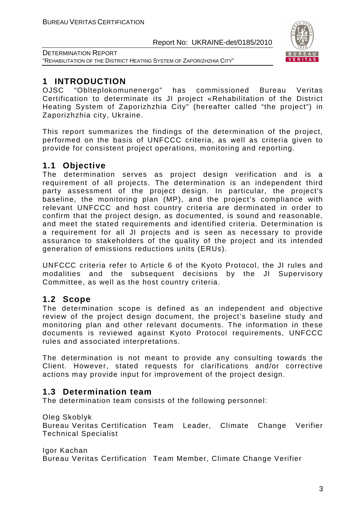

DETERMINATION REPORT "REHABILITATION OF THE DISTRICT HEATING SYSTEM OF ZAPORIZHZHIA CITY"

# **1 INTRODUCTION**

OJSC "Oblteplokomunenergo" has commissioned Bureau Veritas Certification to determinate its JI project «Rehabilitation of the District Heating System of Zaporizhzhia City" (hereafter called "the project") in Zaporizhzhia city, Ukraine.

This report summarizes the findings of the determination of the project, performed on the basis of UNFCCC criteria, as well as criteria given to provide for consistent project operations, monitoring and reporting.

# **1.1 Objective**

The determination serves as project design verification and is a requirement of all projects. The determination is an independent third party assessment of the project design. In particular, the project's baseline, the monitoring plan (MP), and the project's compliance with relevant UNFCCC and host country criteria are derminated in order to confirm that the project design, as documented, is sound and reasonable, and meet the stated requirements and identified criteria. Determination is a requirement for all JI projects and is seen as necessary to provide assurance to stakeholders of the quality of the project and its intended generation of emissions reductions units (ERUs).

UNFCCC criteria refer to Article 6 of the Kyoto Protocol, the JI rules and modalities and the subsequent decisions by the JI Supervisory Committee, as well as the host country criteria.

# **1.2 Scope**

The determination scope is defined as an independent and objective review of the project design document, the project's baseline study and monitoring plan and other relevant documents. The information in these documents is reviewed against Kyoto Protocol requirements, UNFCCC rules and associated interpretations.

The determination is not meant to provide any consulting towards the Client. However, stated requests for clarifications and/or corrective actions may provide input for improvement of the project design.

# **1.3 Determination team**

The determination team consists of the following personnel:

Oleg Skoblyk

Bureau Veritas Certification Team Leader, Climate Change Verifier Technical Specialist

Igor Kachan Bureau Veritas Certification Team Member, Climate Change Verifier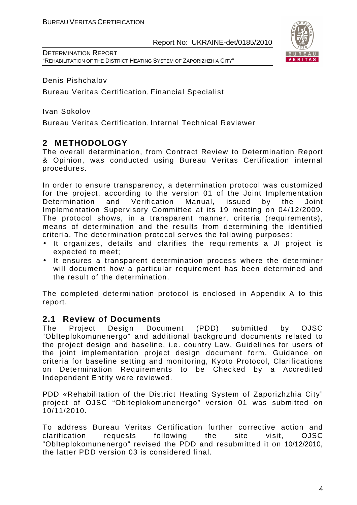DETERMINATION REPORT "REHABILITATION OF THE DISTRICT HEATING SYSTEM OF ZAPORIZHZHIA CITY"

Denis Pishchalov

Bureau Veritas Certification, Financial Specialist

Ivan Sokolov

Bureau Veritas Certification, Internal Technical Reviewer

# **2 METHODOLOGY**

The overall determination, from Contract Review to Determination Report & Opinion, was conducted using Bureau Veritas Certification internal procedures.

In order to ensure transparency, a determination protocol was customized for the project, according to the version 01 of the Joint Implementation Determination and Verification Manual, issued by the Joint Implementation Supervisory Committee at its 19 meeting on 04/12/2009. The protocol shows, in a transparent manner, criteria (requirements), means of determination and the results from determining the identified criteria. The determination protocol serves the following purposes:

- It organizes, details and clarifies the requirements a JI project is expected to meet;
- It ensures a transparent determination process where the determiner will document how a particular requirement has been determined and the result of the determination.

The completed determination protocol is enclosed in Appendix A to this report.

### **2.1 Review of Documents**

The Project Design Document (PDD) submitted by OJSC "Oblteplokomunenergo" and additional background documents related to the project design and baseline, i.e. country Law, Guidelines for users of the joint implementation project design document form, Guidance on criteria for baseline setting and monitoring, Kyoto Protocol, Clarifications on Determination Requirements to be Checked by a Accredited Independent Entity were reviewed.

PDD «Rehabilitation of the District Heating System of Zaporizhzhia City" project of OJSC "Oblteplokomunenergo" version 01 was submitted on 10/11/2010.

To address Bureau Veritas Certification further corrective action and clarification requests following the site visit, OJSC "Oblteplokomunenergo" revised the PDD and resubmitted it on 10/12/2010, the latter PDD version 03 is considered final.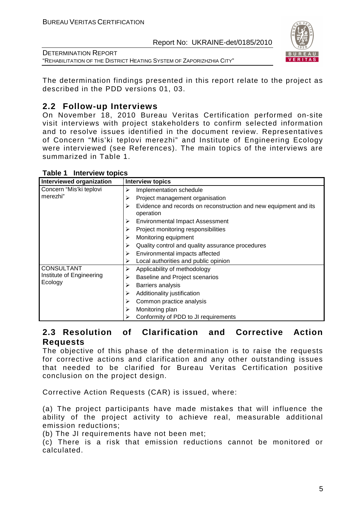

DETERMINATION REPORT "REHABILITATION OF THE DISTRICT HEATING SYSTEM OF ZAPORIZHZHIA CITY"

The determination findings presented in this report relate to the project as described in the PDD versions 01, 03.

# **2.2 Follow-up Interviews**

On November 18, 2010 Bureau Veritas Certification performed on-site visit interviews with project stakeholders to confirm selected information and to resolve issues identified in the document review. Representatives of Concern "Mis'ki teplovi merezhi" and Institute of Engineering Ecology were interviewed (see References). The main topics of the interviews are summarized in Table 1.

| Interviewed organization | <b>Interview topics</b>                                                            |
|--------------------------|------------------------------------------------------------------------------------|
| Concern "Mis'ki teplovi  | Implementation schedule<br>⋗                                                       |
| merezhi"                 | Project management organisation<br>⋗                                               |
|                          | Evidence and records on reconstruction and new equipment and its<br>⋗<br>operation |
|                          | <b>Environmental Impact Assessment</b><br>≻                                        |
|                          | Project monitoring responsibilities                                                |
|                          | Monitoring equipment<br>≻                                                          |
|                          | Quality control and quality assurance procedures<br>⋗                              |
|                          | Environmental impacts affected<br>≻                                                |
|                          | Local authorities and public opinion<br>➤                                          |
| <b>CONSULTANT</b>        | Applicability of methodology<br>⋗                                                  |
| Institute of Engineering | <b>Baseline and Project scenarios</b><br>⋗                                         |
| Ecology                  | Barriers analysis<br>≻                                                             |
|                          | Additionality justification<br>➤                                                   |
|                          | Common practice analysis<br>➤                                                      |
|                          | Monitoring plan<br>➤                                                               |
|                          | Conformity of PDD to JI requirements                                               |

**Table 1 Interview topics** 

# **2.3 Resolution of Clarification and Corrective Action Requests**

The objective of this phase of the determination is to raise the requests for corrective actions and clarification and any other outstanding issues that needed to be clarified for Bureau Veritas Certification positive conclusion on the project design.

Corrective Action Requests (CAR) is issued, where:

(a) The project participants have made mistakes that will influence the ability of the project activity to achieve real, measurable additional emission reductions;

(b) The JI requirements have not been met;

(c) There is a risk that emission reductions cannot be monitored or calculated.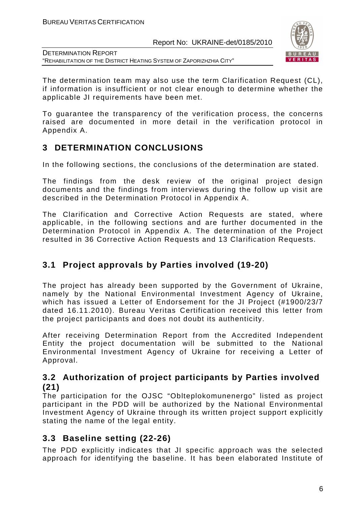

DETERMINATION REPORT "REHABILITATION OF THE DISTRICT HEATING SYSTEM OF ZAPORIZHZHIA CITY"

The determination team may also use the term Clarification Request (CL), if information is insufficient or not clear enough to determine whether the applicable JI requirements have been met.

To guarantee the transparency of the verification process, the concerns raised are documented in more detail in the verification protocol in Appendix A.

# **3 DETERMINATION CONCLUSIONS**

In the following sections, the conclusions of the determination are stated.

The findings from the desk review of the original project design documents and the findings from interviews during the follow up visit are described in the Determination Protocol in Appendix A.

The Clarification and Corrective Action Requests are stated, where applicable, in the following sections and are further documented in the Determination Protocol in Appendix A. The determination of the Project resulted in 36 Corrective Action Requests and 13 Clarification Requests.

# **3.1 Project approvals by Parties involved (19-20)**

The project has already been supported by the Government of Ukraine, namely by the National Environmental Investment Agency of Ukraine, which has issued a Letter of Endorsement for the JI Project (#1900/23/7 dated 16.11.2010). Bureau Veritas Certification received this letter from the project participants and does not doubt its authenticity.

After receiving Determination Report from the Accredited Independent Entity the project documentation will be submitted to the National Environmental Investment Agency of Ukraine for receiving a Letter of Approval.

### **3.2 Authorization of project participants by Parties involved (21)**

The participation for the OJSC "Oblteplokomunenergo" listed as project participant in the PDD will be authorized by the National Environmental Investment Agency of Ukraine through its written project support explicitly stating the name of the legal entity.

# **3.3 Baseline setting (22-26)**

The PDD explicitly indicates that JI specific approach was the selected approach for identifying the baseline. It has been elaborated Institute of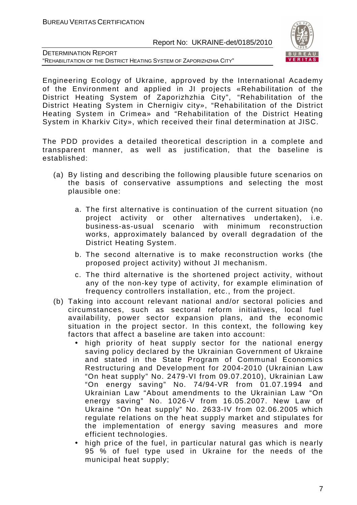

DETERMINATION REPORT "REHABILITATION OF THE DISTRICT HEATING SYSTEM OF ZAPORIZHZHIA CITY"

Engineering Ecology of Ukraine, approved by the International Academy of the Environment and applied in JI projects «Rehabilitation of the District Heating System of Zaporizhzhia City", "Rehabilitation of the District Heating System in Chernigiv city», "Rehabilitation of the District Heating System in Crimea» and "Rehabilitation of the District Heating System in Kharkiv City», which received their final determination at JISC.

The PDD provides a detailed theoretical description in a complete and transparent manner, as well as justification, that the baseline is established:

- (a) By listing and describing the following plausible future scenarios on the basis of conservative assumptions and selecting the most plausible one:
	- a. The first alternative is continuation of the current situation (no project activity or other alternatives undertaken), i.e. business-as-usual scenario with minimum reconstruction works, approximately balanced by overall degradation of the District Heating System.
	- b. The second alternative is to make reconstruction works (the proposed project activity) without JI mechanism.
	- c. The third alternative is the shortened project activity, without any of the non-key type of activity, for example elimination of frequency controllers installation, etc., from the project.
- (b) Taking into account relevant national and/or sectoral policies and circumstances, such as sectoral reform initiatives, local fuel availability, power sector expansion plans, and the economic situation in the project sector. In this context, the following key factors that affect a baseline are taken into account:
	- high priority of heat supply sector for the national energy saving policy declared by the Ukrainian Government of Ukraine and stated in the State Program of Communal Economics Restructuring and Development for 2004-2010 (Ukrainian Law "On heat supply" No. 2479-VI from 09.07.2010), Ukrainian Law "On energy saving" No. 74/94-VR from 01.07.1994 and Ukrainian Law "About amendments to the Ukrainian Law "On energy saving" No. 1026-V from 16.05.2007. New Law of Ukraine "On heat supply" No. 2633-IV from 02.06.2005 which regulate relations on the heat supply market and stipulates for the implementation of energy saving measures and more efficient technologies.
	- high price of the fuel, in particular natural gas which is nearly 95 % of fuel type used in Ukraine for the needs of the municipal heat supply;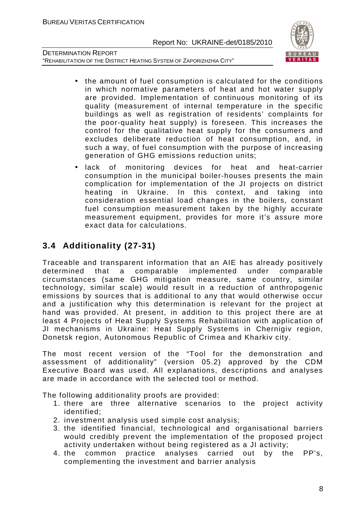

DETERMINATION REPORT "REHABILITATION OF THE DISTRICT HEATING SYSTEM OF ZAPORIZHZHIA CITY"

- the amount of fuel consumption is calculated for the conditions in which normative parameters of heat and hot water supply are provided. Implementation of continuous monitoring of its quality (measurement of internal temperature in the specific buildings as well as registration of residents' complaints for the poor-quality heat supply) is foreseen. This increases the control for the qualitative heat supply for the consumers and excludes deliberate reduction of heat consumption, and, in such a way, of fuel consumption with the purpose of increasing generation of GHG emissions reduction units;
- lack of monitoring devices for heat and heat-carrier consumption in the municipal boiler-houses presents the main complication for implementation of the JI projects on district heating in Ukraine. In this context, and taking into consideration essential load changes in the boilers, constant fuel consumption measurement taken by the highly accurate measurement equipment, provides for more it's assure more exact data for calculations.

# **3.4 Additionality (27-31)**

Traceable and transparent information that an AIE has already positively determined that a comparable implemented under comparable circumstances (same GHG mitigation measure, same country, similar technology, similar scale) would result in a reduction of anthropogenic emissions by sources that is additional to any that would otherwise occur and a justification why this determination is relevant for the project at hand was provided. At present, in addition to this project there are at least 4 Projects of Heat Supply Systems Rehabilitation with application of JI mechanisms in Ukraine: Heat Supply Systems in Chernigiv region, Donetsk region, Autonomous Republic of Crimea and Kharkiv city.

The most recent version of the "Tool for the demonstration and assessment of additionality" (version 05.2) approved by the CDM Executive Board was used. All explanations, descriptions and analyses are made in accordance with the selected tool or method.

The following additionality proofs are provided:

- 1. there are three alternative scenarios to the project activity identified;
- 2. іnvestment analysis used simple cost analysis;
- 3. the identified financial, technological and organisational barriers would credibly prevent the implementation of the proposed project activity undertaken without being registered as a JI activity;
- 4. the common practice analyses carried out by the PP's, complementing the investment and barrier analysis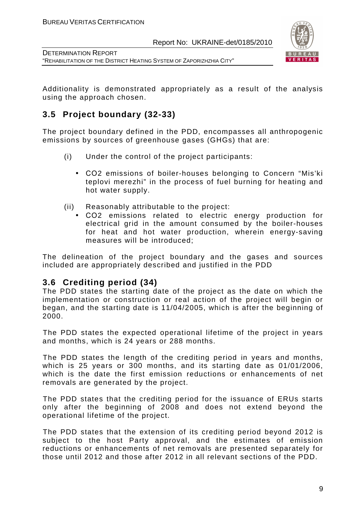



DETERMINATION REPORT "REHABILITATION OF THE DISTRICT HEATING SYSTEM OF ZAPORIZHZHIA CITY"

Additionality is demonstrated appropriately as a result of the analysis using the approach chosen.

# **3.5 Project boundary (32-33)**

The project boundary defined in the PDD, encompasses all anthropogenic emissions by sources of greenhouse gases (GHGs) that are:

- (i) Under the control of the project participants:
	- СО2 emissions of boiler-houses belonging to Concern "Mis'ki teplovi merezhi" in the process of fuel burning for heating and hot water supply.
- (ii) Reasonably attributable to the project:
	- СО2 emissions related to electric energy production for electrical grid in the amount consumed by the boiler-houses for heat and hot water production, wherein energy-saving measures will be introduced;

The delineation of the project boundary and the gases and sources included are appropriately described and justified in the PDD

# **3.6 Crediting period (34)**

The PDD states the starting date of the project as the date on which the implementation or construction or real action of the project will begin or began, and the starting date is 11/04/2005, which is after the beginning of 2000.

The PDD states the expected operational lifetime of the project in years and months, which is 24 years or 288 months.

The PDD states the length of the crediting period in years and months, which is 25 years or 300 months, and its starting date as 01/01/2006, which is the date the first emission reductions or enhancements of net removals are generated by the project.

The PDD states that the crediting period for the issuance of ERUs starts only after the beginning of 2008 and does not extend beyond the operational lifetime of the project.

The PDD states that the extension of its crediting period beyond 2012 is subject to the host Party approval, and the estimates of emission reductions or enhancements of net removals are presented separately for those until 2012 and those after 2012 in all relevant sections of the PDD.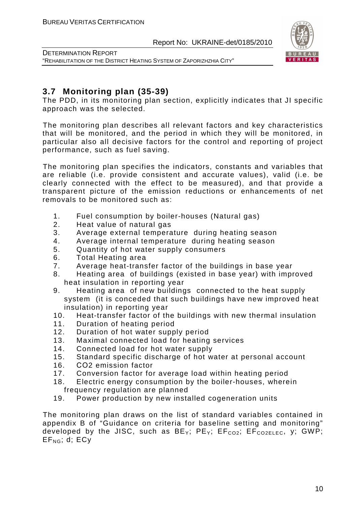

DETERMINATION REPORT "REHABILITATION OF THE DISTRICT HEATING SYSTEM OF ZAPORIZHZHIA CITY"

# **3.7 Monitoring plan (35-39)**

The PDD, in its monitoring plan section, explicitly indicates that JI specific approach was the selected.

The monitoring plan describes all relevant factors and key characteristics that will be monitored, and the period in which they will be monitored, in particular also all decisive factors for the control and reporting of project performance, such as fuel saving.

The monitoring plan specifies the indicators, constants and variables that are reliable (i.e. provide consistent and accurate values), valid (i.e. be clearly connected with the effect to be measured), and that provide a transparent picture of the emission reductions or enhancements of net removals to be monitored such as:

- 1. Fuel consumption by boiler-houses (Natural gas)
- 2. Heat value of natural gas
- 3. Average external temperature during heating season
- 4. Average internal temperature during heating season
- 5. Quantity of hot water supply consumers
- 6. Total Heating area
- 7. Average heat-transfer factor of the buildings in base year
- 8. Heating area of buildings (existed in base year) with improved heat insulation in reporting year
- 9. Heating area of new buildings connected to the heat supply system (it is conceded that such buildings have new improved heat insulation) in reporting year
- 10. Heat-transfer factor of the buildings with new thermal insulation
- 11. Duration of heating period
- 12. Duration of hot water supply period
- 13. Maximal connected load for heating services
- 14. Connected load for hot water supply
- 15. Standard specific discharge of hot water at personal account
- 16. СО2 emission factor
- 17. Conversion factor for average load within heating period
- 18. Electric energy consumption by the boiler-houses, wherein frequency regulation are planned
- 19. Power production by new installed cogeneration units

The monitoring plan draws on the list of standard variables contained in appendix B of "Guidance on criteria for baseline setting and monitoring" developed by the JISC, such as  $BE_Y$ ;  $PE_Y$ ;  $EF_{CO2}$ ;  $EF_{CO2ELEC}$ , y; GWP;  $EF_{NG}$ ; d;  $ECV$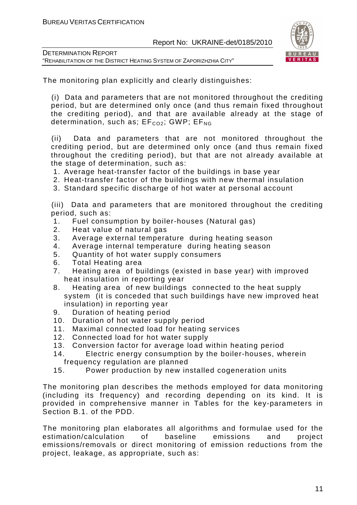

| <b>DETERMINATION REPORT</b>                                          |
|----------------------------------------------------------------------|
| "REHABILITATION OF THE DISTRICT HEATING SYSTEM OF ZAPORIZHZHIA CITY" |

The monitoring plan explicitly and clearly distinguishes:

(i) Data and parameters that are not monitored throughout the crediting period, but are determined only once (and thus remain fixed throughout the crediting period), and that are available already at the stage of determination, such as;  $EF_{CO2}$ ; GWP;  $EF_{NG}$ 

(ii) Data and parameters that are not monitored throughout the crediting period, but are determined only once (and thus remain fixed throughout the crediting period), but that are not already available at the stage of determination, such as:

1. Average heat-transfer factor of the buildings in base year

- 2. Heat-transfer factor of the buildings with new thermal insulation
- 3. Standard specific discharge of hot water at personal account

(iii) Data and parameters that are monitored throughout the crediting period, such as:

- 1. Fuel consumption by boiler-houses (Natural gas)
- 2. Heat value of natural gas
- 3. Average external temperature during heating season
- 4. Average internal temperature during heating season
- 5. Quantity of hot water supply consumers
- 6. Total Heating area
- 7. Heating area of buildings (existed in base year) with improved heat insulation in reporting year
- 8. Heating area of new buildings connected to the heat supply system (it is conceded that such buildings have new improved heat insulation) in reporting year
- 9. Duration of heating period
- 10. Duration of hot water supply period
- 11. Maximal connected load for heating services
- 12. Connected load for hot water supply
- 13. Conversion factor for average load within heating period
- 14. Electric energy consumption by the boiler-houses, wherein frequency regulation are planned
- 15. Power production by new installed cogeneration units

The monitoring plan describes the methods employed for data monitoring (including its frequency) and recording depending on its kind. It is provided in comprehensive manner in Tables for the key-parameters in Section B.1. of the PDD.

The monitoring plan elaborates all algorithms and formulae used for the estimation/calculation of baseline emissions and project emissions/removals or direct monitoring of emission reductions from the project, leakage, as appropriate, such as: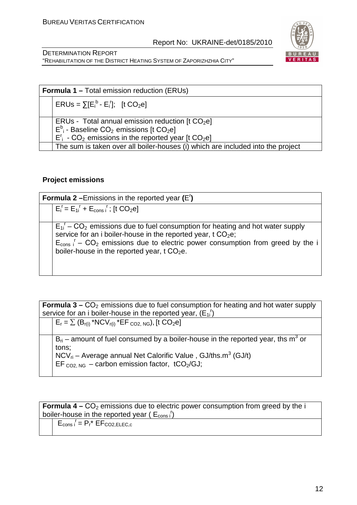

DETERMINATION REPORT "REHABILITATION OF THE DISTRICT HEATING SYSTEM OF ZAPORIZHZHIA CITY"

| <b>Formula 1 – Total emission reduction (ERUs)</b> |                                                                                                                                                                                                                        |  |  |
|----------------------------------------------------|------------------------------------------------------------------------------------------------------------------------------------------------------------------------------------------------------------------------|--|--|
|                                                    | $ERUs = \sum [E_i^b - E_i^r];$ [t CO <sub>2</sub> e]                                                                                                                                                                   |  |  |
|                                                    | ERUs - Total annual emission reduction [t $CO2el$ ]<br>$E^b$ <sub>i</sub> - Baseline CO <sub>2</sub> emissions [t CO <sub>2</sub> e]<br>$E_i^r$ - CO <sub>2</sub> emissions in the reported year [t CO <sub>2</sub> e] |  |  |
|                                                    | The sum is taken over all boiler-houses (i) which are included into the project                                                                                                                                        |  |  |

#### **Project emissions**

| <b>Formula 2</b> - Emissions in the reported year $(E')$ |                                                                                                                                                                                                                                                                                                                                                                       |  |  |
|----------------------------------------------------------|-----------------------------------------------------------------------------------------------------------------------------------------------------------------------------------------------------------------------------------------------------------------------------------------------------------------------------------------------------------------------|--|--|
|                                                          | $E_i^r = E_{1i}^r + E_{cons}^r$ ; [t CO <sub>2</sub> e]                                                                                                                                                                                                                                                                                                               |  |  |
|                                                          |                                                                                                                                                                                                                                                                                                                                                                       |  |  |
|                                                          | $E_{1i}^{\dagger}$ – CO <sub>2</sub> emissions due to fuel consumption for heating and hot water supply<br>service for an i boiler-house in the reported year, t CO <sub>2</sub> e;<br>$E_{\text{cons}}$ , $\frac{1}{1}$ – CO <sub>2</sub> emissions due to electric power consumption from greed by the i<br>boiler-house in the reported year, t CO <sub>2</sub> e. |  |  |

**Formula 3 –**  $CO<sub>2</sub>$  **emissions due to fuel consumption for heating and hot water supply** service for an i boiler-house in the reported year,  $(E_{1i})$  $E_r = \sum (B_{r(i)} * NCV_{r(i)} * EF_{CO2, NG})$ , [t  $CO_2$ e]  $B_{ri}$  – amount of fuel consumed by a boiler-house in the reported year, ths m<sup>3</sup> or tons;  $NCV_{ri}$  – Average annual Net Calorific Value , GJ/ths.m<sup>3</sup> (GJ/t) EF  $_{CO2, NG}$  – carbon emission factor, tCO<sub>2</sub>/GJ;

**Formula 4 –** CO<sub>2</sub> emissions due to electric power consumption from greed by the i boiler-house in the reported year ( $E_{\text{cons i}}$ <sup>r</sup>)

 $E_{\text{cons i}} = P_r^* E F_{\text{CO2,ELEC,c}}$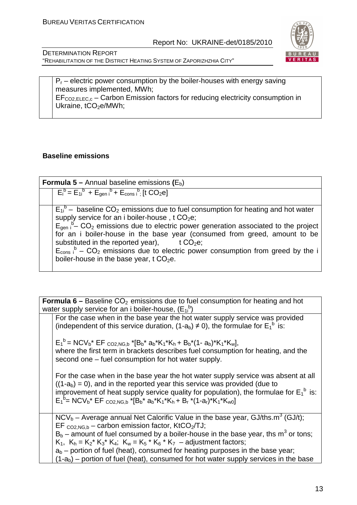

DETERMINATION REPORT "REHABILITATION OF THE DISTRICT HEATING SYSTEM OF ZAPORIZHZHIA CITY"

 $P_r$  – electric power consumption by the boiler-houses with energy saving measures implemented, MWh;  $EF_{CO2, ELEC,c}$  – Carbon Emission factors for reducing electricity consumption in Ukraine,  $tCO<sub>2</sub>e/MWh$ ;

#### **Baseline emissions**

**Formula 5 –** Annual baseline emissions (E<sub>b</sub>)  $E_i^b = E_{1i}^b + E_{gen i}^b + E_{cons i}^b$  [t CO<sub>2</sub>e]  $E_{1i}^b$  – baseline CO<sub>2</sub> emissions due to fuel consumption for heating and hot water supply service for an i boiler-house,  $t$  CO<sub>2</sub>e;  $E_{gen i}^b - CO_2$  emissions due to electric power generation associated to the project for an i boiler-house in the base year (consumed from greed, amount to be substituted in the reported year), t  $CO<sub>2</sub>e$ ;  $E_{\text{cons}}$ <sup>b</sup> – CO<sub>2</sub> emissions due to electric power consumption from greed by the i boiler-house in the base year,  $t$  CO<sub>2</sub>e.

**Formula 6 –** Baseline CO<sub>2</sub> emissions due to fuel consumption for heating and hot water supply service for an i boiler-house,  $(E_{1i}^b)$  For the case when in the base year the hot water supply service was provided (independent of this service duration,  $(1-a_b) \neq 0$ ), the formulae for  $E_1^b$  is:  $E_1^b$  = NCV<sub>b</sub>\* EF <sub>CO2,NG,b</sub> \* $[B_b^* a_b^*K_1^*K_h + B_b^*(1-a_b)^*K_1^*K_w]$ , where the first term in brackets describes fuel consumption for heating, and the second one – fuel consumption for hot water supply. For the case when in the base year the hot water supply service was absent at all  $((1-a<sub>b</sub>) = 0)$ , and in the reported vear this service was provided (due to improvement of heat supply service quality for population), the formulae for  $E_1^b$  is:  $E_1^{\{b\}} = NCV_b^* EF_{CO2,NG,b}^* E_{b}^* a_b^*K_1^*K_h + B_r^* (1-a_r)^*K_1^*K_{w0}$  $NCV_b -$  Average annual Net Calorific Value in the base year, GJ/ths.m<sup>3</sup> (GJ/t); EF  $_{CO2,NG,b}$  – carbon emission factor, KtCO<sub>2</sub>/TJ;  $B_b$  – amount of fuel consumed by a boiler-house in the base year, ths m<sup>3</sup> or tons;  $K_1$ ,  $K_h = K_2^* K_3^* K_4$ ;  $K_w = K_5^* K_6^* K_7$  – adjustment factors;  $a<sub>b</sub>$  – portion of fuel (heat), consumed for heating purposes in the base year;  $(1-a<sub>b</sub>)$  – portion of fuel (heat), consumed for hot water supply services in the base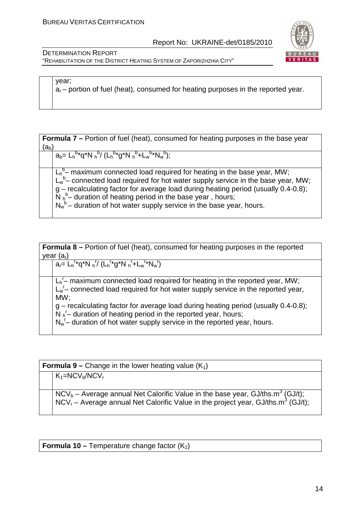

DETERMINATION REPORT "REHABILITATION OF THE DISTRICT HEATING SYSTEM OF ZAPORIZHZHIA CITY"

year;

 $a<sub>r</sub>$  – portion of fuel (heat), consumed for heating purposes in the reported year.

**Formula 7** – Portion of fuel (heat), consumed for heating purposes in the base year  $(a<sub>b</sub>)$ 

 $a_b = L_h^{b*} q^* N h^{b} (L_h^{b*} g^* N h^{b} + L_w^{b*} N_w^{b});$ 

 $L_h^b$ – maximum connected load required for heating in the base year, MW;  $L_w^b$  connected load required for hot water supply service in the base year, MW; g – recalculating factor for average load during heating period (usually 0.4-0.8);  $\overline{N}$   $h^b$  duration of heating period in the base year, hours;  $N_w^b$  – duration of hot water supply service in the base year, hours.

| <b>Formula 8 –</b> Portion of fuel (heat), consumed for heating purposes in the reported                                                                                                                                             |  |  |  |
|--------------------------------------------------------------------------------------------------------------------------------------------------------------------------------------------------------------------------------------|--|--|--|
| year $(ar)$                                                                                                                                                                                                                          |  |  |  |
| $a_r = L_h^{r*} q^* N_h^{r} / (L_h^{r*} g^* N_h^{r} + L_w^{r*} N_w^{r})$                                                                                                                                                             |  |  |  |
| $L_h^{\prime}$ maximum connected load required for heating in the reported year, MW;<br>$L_w$ – connected load required for hot water supply service in the reported year,<br>MW:                                                    |  |  |  |
| $g$ – recalculating factor for average load during heating period (usually 0.4-0.8);<br>$N_h^r$ duration of heating period in the reported year, hours;<br>$N_w^r$ duration of hot water supply service in the reported year, hours. |  |  |  |

**Formula 9 –** Change in the lower heating value  $(K_1)$  $K_1=NCV_b/NCV_r$  $NCV_b -$  Average annual Net Calorific Value in the base year, GJ/ths.m<sup>3</sup> (GJ/t); NCV<sub>r</sub> – Average annual Net Calorific Value in the project year, GJ/ths.m<sup>3</sup> (GJ/t);

**Formula 10 – Temperature change factor (K<sub>2</sub>)**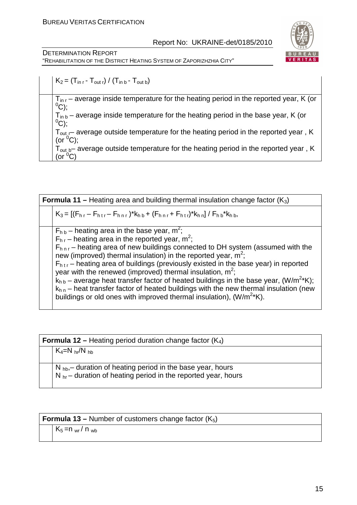DETERMINATION REPORT "REHABILITATION OF THE DISTRICT HEATING SYSTEM OF ZAPORIZHZHIA CITY"



 $K_2 = (T_{\text{in }r} - T_{\text{out }r}) / (T_{\text{in }b} - T_{\text{out }b})$ 

 $T_{\text{in }r}$  – average inside temperature for the heating period in the reported year, K (or  $^0C);$ 

 $T_{\text{in }b}$  – average inside temperature for the heating period in the base year, K (or  $^{0}C);$ 

 $T_{\text{out}}$  – average outside temperature for the heating period in the reported year, K (or  $^0C$ );

 $T<sub>out b</sub>$  average outside temperature for the heating period in the reported year, K (or  ${}^{0}C$ )

| <b>Formula 11 –</b> Heating area and building thermal insulation change factor $(K_3)$ |                                                                                                                                                                                                                                                                                                                                                                                                                                                             |  |  |
|----------------------------------------------------------------------------------------|-------------------------------------------------------------------------------------------------------------------------------------------------------------------------------------------------------------------------------------------------------------------------------------------------------------------------------------------------------------------------------------------------------------------------------------------------------------|--|--|
|                                                                                        | $K_3 = [(F_{hr} - F_{hrr} - F_{hrr})^* k_{h b} + (F_{hrr} + F_{hrr})^* k_{hn}] / F_{hb}^* k_{hb}$                                                                                                                                                                                                                                                                                                                                                           |  |  |
|                                                                                        | $F_{h,b}$ – heating area in the base year, m <sup>2</sup> ;<br>$F_{hr}$ – heating area in the reported year, m <sup>2</sup> ;<br>$F_{\text{hnr}}$ – heating area of new buildings connected to DH system (assumed with the<br>new (improved) thermal insulation) in the reported year, $m^2$ ;<br>$F_{h\,tr}$ – heating area of buildings (previously existed in the base year) in reported<br>year with the renewed (improved) thermal insulation, $m^2$ ; |  |  |
|                                                                                        | $k_{h b}$ – average heat transfer factor of heated buildings in the base year, (W/m <sup>2*</sup> K);<br>$k_{h,n}$ – heat transfer factor of heated buildings with the new thermal insulation (new<br>buildings or old ones with improved thermal insulation), $(W/m^{2*}K)$ .                                                                                                                                                                              |  |  |

| <b>Formula 12 – Heating period duration change factor (<math>K_4</math>)</b> |                                                                                                                                                        |  |  |
|------------------------------------------------------------------------------|--------------------------------------------------------------------------------------------------------------------------------------------------------|--|--|
|                                                                              | $K_4=N_{hr}/N_{hb}$                                                                                                                                    |  |  |
|                                                                              | $N_{\text{hb}}$ duration of heating period in the base year, hours<br>$\vert$ N <sub>br</sub> – duration of heating period in the reported year, hours |  |  |

| <b>Formula 13 – Number of customers change factor (K</b> <sub>5</sub> ) |  |  |
|-------------------------------------------------------------------------|--|--|
|-------------------------------------------------------------------------|--|--|

 $K_5 = n_{wr} / n_{wb}$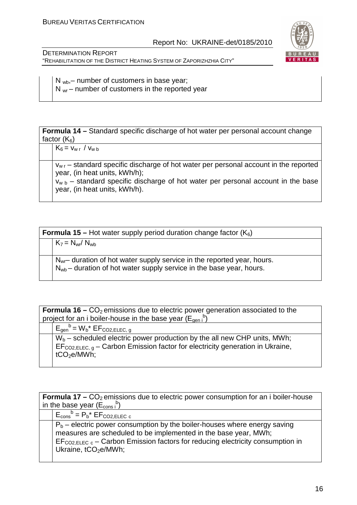

DETERMINATION REPORT "REHABILITATION OF THE DISTRICT HEATING SYSTEM OF ZAPORIZHZHIA CITY"

 $N_{wb}$ , – number of customers in base year;  $N_{wr}$  – number of customers in the reported year

**Formula 14 –** Standard specific discharge of hot water per personal account change factor  $(K_6)$ 

 $K_6 = v_{w r} / v_{w b}$ 

 $v_{wr}$  – standard specific discharge of hot water per personal account in the reported year, (in heat units, kWh/h);

 $V_{w, b}$  – standard specific discharge of hot water per personal account in the base year, (in heat units, kWh/h).

 $K_7 = N_{wr} / N_{wb}$ 

 $N_{\text{wr}}$  duration of hot water supply service in the reported year, hours.  $N_{wb}$  – duration of hot water supply service in the base year, hours.

| <b>Formula 16 –</b> $CO2$ emissions due to electric power generation associated to the                                                                                                           |  |  |  |  |
|--------------------------------------------------------------------------------------------------------------------------------------------------------------------------------------------------|--|--|--|--|
| project for an i boiler-house in the base year $(E_{\text{gen i}}^b)$                                                                                                                            |  |  |  |  |
| $E_{gen}^{\ b} = W_b^* E F_{CO2, ELEC, q}$                                                                                                                                                       |  |  |  |  |
| $W_b$ – scheduled electric power production by the all new CHP units, MWh;<br>$EF_{CO2,ELEC, \alpha}$ – Carbon Emission factor for electricity generation in Ukraine,<br>tCO <sub>2</sub> e/MWh: |  |  |  |  |

| <b>Formula 17 –</b> $CO2$ emissions due to electric power consumption for an i boiler-house |                                                                                                                                                                                                                                                                           |  |  |  |
|---------------------------------------------------------------------------------------------|---------------------------------------------------------------------------------------------------------------------------------------------------------------------------------------------------------------------------------------------------------------------------|--|--|--|
|                                                                                             | in the base year $(E_{\text{cons}}^{\text{b}})$                                                                                                                                                                                                                           |  |  |  |
|                                                                                             | $E_{\text{cons}}^{\text{b}} = P_{\text{b}}^* E F_{\text{CO2,ELEC}}$                                                                                                                                                                                                       |  |  |  |
|                                                                                             | $P_b$ – electric power consumption by the boiler-houses where energy saving<br>measures are scheduled to be implemented in the base year, MWh;<br>$EF_{CO2,ELEC~c}$ – Carbon Emission factors for reducing electricity consumption in<br>Ukraine, tCO <sub>2</sub> e/MWh; |  |  |  |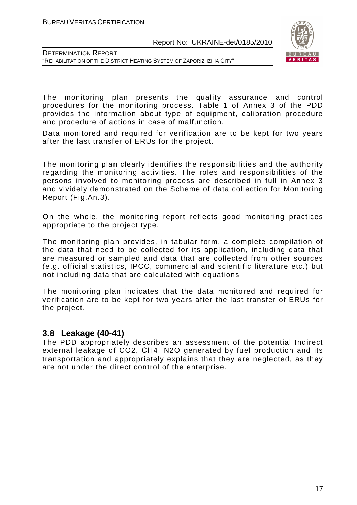

DETERMINATION REPORT "REHABILITATION OF THE DISTRICT HEATING SYSTEM OF ZAPORIZHZHIA CITY"

The monitoring plan presents the quality assurance and control procedures for the monitoring process. Table 1 of Annex 3 of the PDD provides the information about type of equipment, calibration procedure and procedure of actions in case of malfunction.

Data monitored and required for verification are to be kept for two years after the last transfer of ERUs for the project.

The monitoring plan clearly identifies the responsibilities and the authority regarding the monitoring activities. The roles and responsibilities of the persons involved to monitoring process are described in full in Annex 3 and vividely demonstrated on the Scheme of data collection for Monitoring Report (Fig.An.3).

On the whole, the monitoring report reflects good monitoring practices appropriate to the project type.

The monitoring plan provides, in tabular form, a complete compilation of the data that need to be collected for its application, including data that are measured or sampled and data that are collected from other sources (e.g. official statistics, IPCC, commercial and scientific literature etc.) but not including data that are calculated with equations

The monitoring plan indicates that the data monitored and required for verification are to be kept for two years after the last transfer of ERUs for the project.

### **3.8 Leakage (40-41)**

The PDD appropriately describes an assessment of the potential Indirect external leakage of CO2, СН4, N2O generated by fuel production and its transportation and appropriately explains that they are neglected, as they are not under the direct control of the enterprise.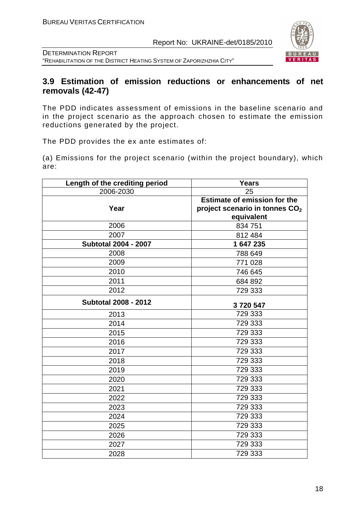

DETERMINATION REPORT "REHABILITATION OF THE DISTRICT HEATING SYSTEM OF ZAPORIZHZHIA CITY"

# **3.9 Estimation of emission reductions or enhancements of net removals (42-47)**

The PDD indicates assessment of emissions in the baseline scenario and in the project scenario as the approach chosen to estimate the emission reductions generated by the project.

The PDD provides the ex ante estimates of:

(a) Emissions for the project scenario (within the project boundary), which are:

| Length of the crediting period | <b>Years</b>                               |
|--------------------------------|--------------------------------------------|
| 2006-2030                      | 25                                         |
|                                | <b>Estimate of emission for the</b>        |
| Year                           | project scenario in tonnes CO <sub>2</sub> |
|                                | equivalent                                 |
| 2006                           | 834 751                                    |
| 2007                           | 812 484                                    |
| <b>Subtotal 2004 - 2007</b>    | 1 647 235                                  |
| 2008                           | 788 649                                    |
| 2009                           | 771 028                                    |
| 2010                           | 746 645                                    |
| 2011                           | 684 892                                    |
| 2012                           | 729 333                                    |
| <b>Subtotal 2008 - 2012</b>    | 3720547                                    |
| 2013                           | 729 333                                    |
| 2014                           | 729 333                                    |
| 2015                           | 729 333                                    |
| 2016                           | 729 333                                    |
| 2017                           | 729 333                                    |
| 2018                           | 729 333                                    |
| 2019                           | 729 333                                    |
| 2020                           | 729 333                                    |
| 2021                           | 729 333                                    |
| 2022                           | 729 333                                    |
| 2023                           | 729 333                                    |
| 2024                           | 729 333                                    |
| 2025                           | 729 333                                    |
| 2026                           | 729 333                                    |
| 2027                           | 729 333                                    |
| 2028                           | 729 333                                    |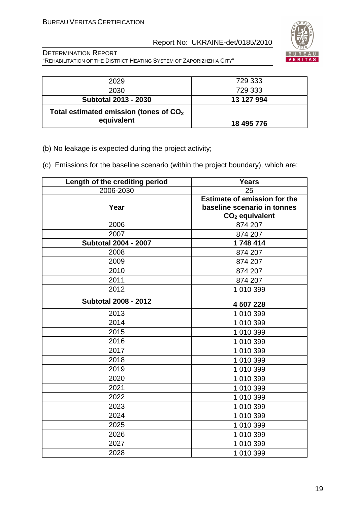

| 2029                                                   | 729 333    |
|--------------------------------------------------------|------------|
| 2030                                                   | 729 333    |
| <b>Subtotal 2013 - 2030</b>                            | 13 127 994 |
| Total estimated emission (tones of $CO2$<br>equivalent | 18 495 776 |

- (b) No leakage is expected during the project activity;
- (c) Emissions for the baseline scenario (within the project boundary), which are:

| Length of the crediting period | <b>Years</b>                        |
|--------------------------------|-------------------------------------|
| 2006-2030                      | 25                                  |
|                                | <b>Estimate of emission for the</b> |
| Year                           | baseline scenario in tonnes         |
|                                | $CO2$ equivalent                    |
| 2006                           | 874 207                             |
| 2007                           | 874 207                             |
| <b>Subtotal 2004 - 2007</b>    | 1748414                             |
| 2008                           | 874 207                             |
| 2009                           | 874 207                             |
| 2010                           | 874 207                             |
| 2011                           | 874 207                             |
| 2012                           | 1 010 399                           |
| <b>Subtotal 2008 - 2012</b>    |                                     |
|                                | 4 507 228                           |
| 2013                           | 1 010 399                           |
| 2014                           | 1 010 399                           |
| 2015                           | 1 010 399                           |
| 2016                           | 1 010 399                           |
| 2017                           | 1 010 399                           |
| 2018                           | 1 010 399                           |
| 2019                           | 1 010 399                           |
| 2020                           | 1 010 399                           |
| 2021                           | 1 010 399                           |
| 2022                           | 1 010 399                           |
| 2023                           | 1 010 399                           |
| 2024                           | 1 010 399                           |
| 2025                           | 1 010 399                           |
| 2026                           | 1 010 399                           |
| 2027                           | 1 010 399                           |
| 2028                           | 1 010 399                           |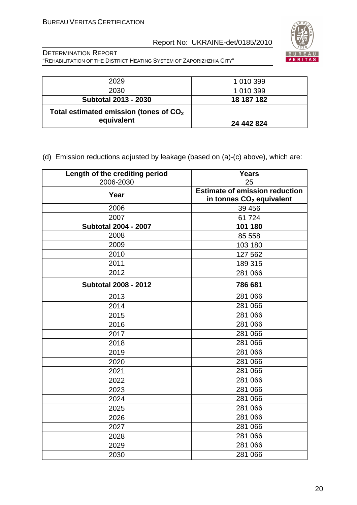

DETERMINATION REPORT "REHABILITATION OF THE DISTRICT HEATING SYSTEM OF ZAPORIZHZHIA CITY"

| 2029                                                   | 1 010 399  |
|--------------------------------------------------------|------------|
| 2030                                                   | 1 010 399  |
| <b>Subtotal 2013 - 2030</b>                            | 18 187 182 |
| Total estimated emission (tones of $CO2$<br>equivalent | 24 442 824 |

# (d) Emission reductions adjusted by leakage (based on (a)-(c) above), which are:

| Length of the crediting period | <b>Years</b>                          |  |
|--------------------------------|---------------------------------------|--|
| 2006-2030                      | 25                                    |  |
| Year                           | <b>Estimate of emission reduction</b> |  |
|                                | in tonnes CO <sub>2</sub> equivalent  |  |
| 2006                           | 39 456                                |  |
| 2007                           | 61724                                 |  |
| <b>Subtotal 2004 - 2007</b>    | 101 180                               |  |
| 2008                           | 85 558                                |  |
| 2009                           | 103 180                               |  |
| 2010                           | 127 562                               |  |
| 2011                           | 189 315                               |  |
| 2012                           | 281 066                               |  |
| <b>Subtotal 2008 - 2012</b>    | 786 681                               |  |
| 2013                           | 281 066                               |  |
| 2014                           | 281 066                               |  |
| 2015                           | 281 066                               |  |
| 2016                           | 281 066                               |  |
| 2017                           | 281 066                               |  |
| 2018                           | 281 066                               |  |
| 2019                           | 281 066                               |  |
| 2020                           | 281 066                               |  |
| 2021                           | 281 066                               |  |
| 2022                           | 281 066                               |  |
| 2023                           | 281 066                               |  |
| 2024                           | 281 066                               |  |
| 2025                           | 281 066                               |  |
| 2026                           | 281 066                               |  |
| 2027                           | 281 066                               |  |
| 2028                           | 281 066                               |  |
| 2029                           | 281 066                               |  |
| 2030                           | 281 066                               |  |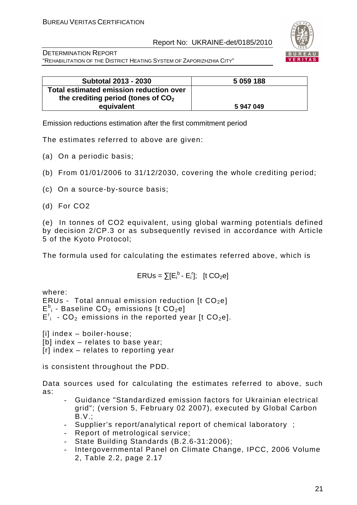

DETERMINATION REPORT "REHABILITATION OF THE DISTRICT HEATING SYSTEM OF ZAPORIZHZHIA CITY"

| <b>Subtotal 2013 - 2030</b>             | 5 059 188 |
|-----------------------------------------|-----------|
| Total estimated emission reduction over |           |
| the crediting period (tones of $CO2$    |           |
| equivalent                              | 5 947 049 |

Emission reductions estimation after the first commitment period

The estimates referred to above are given:

- (a) On a periodic basis;
- (b) From 01/01/2006 to 31/12/2030, covering the whole crediting period;
- (c) On a source-by-source basis;
- (d) For CO2

(e) In tonnes of CO2 equivalent, using global warming potentials defined by decision 2/CP.3 or as subsequently revised in accordance with Article 5 of the Kyoto Protocol;

The formula used for calculating the estimates referred above, which is

$$
ERUs = \sum [E_i^b - E_i^r]; \quad [t \text{ CO}_2e]
$$

where:

ERUs - Total annual emission reduction  $[t CO<sub>2</sub>el]$  $E^{\text{b}}$  - Baseline CO<sub>2</sub> emissions [t CO<sub>2</sub>e]  $E_i^r$  - CO<sub>2</sub> emissions in the reported year [t CO<sub>2</sub>e].

[i] index - boiler-house; [b] index – relates to base year;

[r] index – relates to reporting year

is consistent throughout the PDD.

Data sources used for calculating the estimates referred to above, such as:

- Guidance "Standardized emission factors for Ukrainian electrical grid"; (version 5, February 02 2007), executed by Global Carbon B.V.;
- Supplier's report/analytical report of chemical laboratory ;
- Report of metrological service;
- State Building Standards (B.2.6-31:2006);
- Intergovernmental Panel on Climate Change, IPCC, 2006 Volume 2, Table 2.2, page 2.17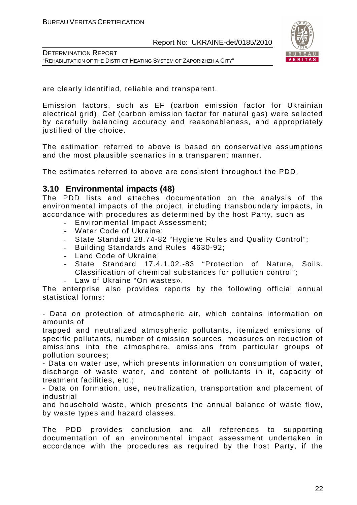

DETERMINATION REPORT "REHABILITATION OF THE DISTRICT HEATING SYSTEM OF ZAPORIZHZHIA CITY"

are clearly identified, reliable and transparent.

Emission factors, such as EF (carbon emission factor for Ukrainian electrical grid), Cef (carbon emission factor for natural gas) were selected by carefully balancing accuracy and reasonableness, and appropriately justified of the choice.

The estimation referred to above is based on conservative assumptions and the most plausible scenarios in a transparent manner.

The estimates referred to above are consistent throughout the PDD.

#### **3.10 Environmental impacts (48)**

The PDD lists and attaches documentation on the analysis of the environmental impacts of the project, including transboundary impacts, in accordance with procedures as determined by the host Party, such as

- Environmental Impact Assessment;
- Water Code of Ukraine;
- State Standard 28.74-82 "Hygiene Rules and Quality Control";
- Building Standards and Rules 4630-92;
- Land Code of Ukraine;
- State Standard 17.4.1.02.-83 "Protection of Nature, Soils. Classification of chemical substances for pollution control";
- Law of Ukraine "On wastes».

The enterprise also provides reports by the following official annual statistical forms:

- Data on protection of atmospheric air, which contains information on amounts of

trapped and neutralized atmospheric pollutants, itemized emissions of specific pollutants, number of emission sources, measures on reduction of emissions into the atmosphere, emissions from particular groups of pollution sources;

- Data on water use, which presents information on consumption of water, discharge of waste water, and content of pollutants in it, capacity of treatment facilities, etc.;

- Data on formation, use, neutralization, transportation and placement of industrial

and household waste, which presents the annual balance of waste flow, by waste types and hazard classes.

The PDD provides conclusion and all references to supporting documentation of an environmental impact assessment undertaken in accordance with the procedures as required by the host Party, if the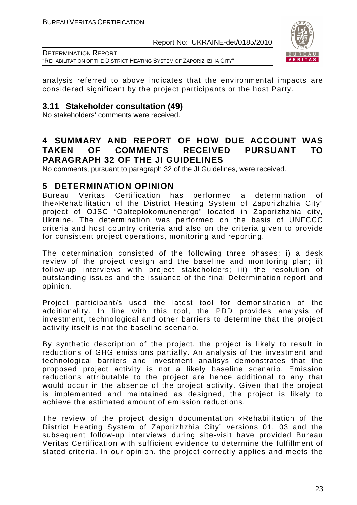

DETERMINATION REPORT "REHABILITATION OF THE DISTRICT HEATING SYSTEM OF ZAPORIZHZHIA CITY"

analysis referred to above indicates that the environmental impacts are considered significant by the project participants or the host Party.

#### **3.11 Stakeholder consultation (49)**

No stakeholders' comments were received.

# **4 SUMMARY AND REPORT OF HOW DUE ACCOUNT WAS TAKEN OF COMMENTS RECEIVED PURSUANT TO PARAGRAPH 32 OF THE JI GUIDELINES**

No comments, pursuant to paragraph 32 of the JI Guidelines, were received.

# **5 DETERMINATION OPINION**

Bureau Veritas Certification has performed a determination of the»Rehabilitation of the District Heating System of Zaporizhzhia City" project of OJSC "Oblteplokomunenergo" located in Zaporizhzhia city, Ukraine. The determination was performed on the basis of UNFCCC criteria and host country criteria and also on the criteria given to provide for consistent project operations, monitoring and reporting.

The determination consisted of the following three phases: i) a desk review of the project design and the baseline and monitoring plan; ii) follow-up interviews with project stakeholders; iii) the resolution of outstanding issues and the issuance of the final Determination report and opinion.

Project participant/s used the latest tool for demonstration of the additionality. In line with this tool, the PDD provides analysis of investment, technological and other barriers to determine that the project activity itself is not the baseline scenario.

By synthetic description of the project, the project is likely to result in reductions of GHG emissions partially. An analysis of the investment and technological barriers and investment analisys demonstrates that the proposed project activity is not a likely baseline scenario. Emission reductions attributable to the project are hence additional to any that would occur in the absence of the project activity. Given that the project is implemented and maintained as designed, the project is likely to achieve the estimated amount of emission reductions.

The review of the project design documentation «Rehabilitation of the District Heating System of Zaporizhzhia City" versions 01, 03 and the subsequent follow-up interviews during site-visit have provided Bureau Veritas Certification with sufficient evidence to determine the fulfillment of stated criteria. In our opinion, the project correctly applies and meets the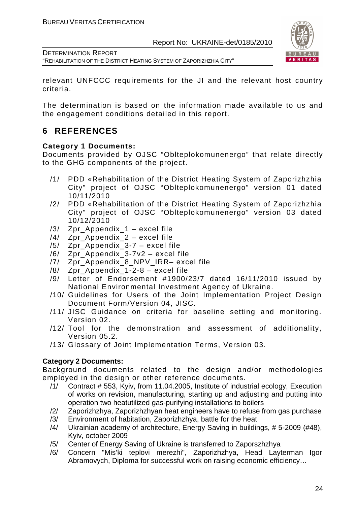

DETERMINATION REPORT "REHABILITATION OF THE DISTRICT HEATING SYSTEM OF ZAPORIZHZHIA CITY"

relevant UNFCCC requirements for the JI and the relevant host country criteria.

The determination is based on the information made available to us and the engagement conditions detailed in this report.

# **6 REFERENCES**

#### **Category 1 Documents:**

Documents provided by OJSC "Oblteplokomunenergo" that relate directly to the GHG components of the project.

- /1/ PDD «Rehabilitation of the District Heating System of Zaporizhzhia City" project of OJSC "Oblteplokomunenergo" version 01 dated 10/11/2010
- /2/ PDD «Rehabilitation of the District Heating System of Zaporizhzhia City" project of OJSC "Oblteplokomunenergo" version 03 dated 10/12/2010
- /3/ Zpr\_Appendix\_1 excel file
- /4/ Zpr\_Appendix\_2 excel file
- /5/ Zpr\_Appendix\_3-7 excel file
- /6/ Zpr\_Appendix\_3-7v2 excel file
- /7/ Zpr Appendix 8 NPV IRR– excel file
- $/8/$  Zpr Appendix 1-2-8 excel file
- /9/ Letter of Endorsement #1900/23/7 dated 16/11/2010 issued by National Environmental Investment Agency of Ukraine.
- /10/ Guidelines for Users of the Joint Implementation Project Design Document Form/Version 04, JISC.
- /11/ JISC Guidance on criteria for baseline setting and monitoring. Version 02.
- /12/ Tool for the demonstration and assessment of additionality, Version 05.2.
- /13/ Glossary of Joint Implementation Terms, Version 03.

### **Category 2 Documents:**

Background documents related to the design and/or methodologies employed in the design or other reference documents.

- /1/ Contract # 553, Kyiv, from 11.04.2005, Institute of industrial ecology, Execution of works on revision, manufacturing, starting up and adjusting and putting into operation two heatutilized gas-purifying installations to boilers
- /2/ Zaporizhzhya, Zaporizhzhyan heat engineers have to refuse from gas purchase
- /3/ Environment of habitation, Zaporizhzhya, battle for the heat
- /4/ Ukrainian academy of architecture, Energy Saving in buildings, # 5-2009 (#48), Kyiv, october 2009
- /5/ Center of Energy Saving of Ukraine is transferred to Zaporszhzhya
- /6/ Concern "Mis'ki teplovi merezhi", Zaporizhzhya, Head Layterman Igor Abramovych, Diploma for successful work on raising economic efficiency…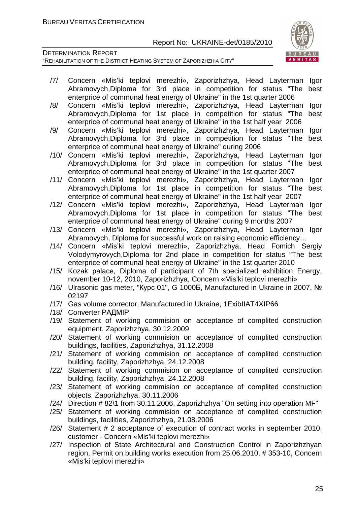

- /7/ Concern «Mis'ki teplovi merezhi», Zaporizhzhya, Head Layterman Igor Abramovych,Diploma for 3rd place in competition for status "The best enterprice of communal heat energy of Ukraine" in the 1st quarter 2006
- /8/ Concern «Mis'ki teplovi merezhi», Zaporizhzhya, Head Layterman Igor Abramovych,Diploma for 1st place in competition for status "The best enterprice of communal heat energy of Ukraine" in the 1st half year 2006
- /9/ Concern «Mis'ki teplovi merezhi», Zaporizhzhya, Head Layterman Igor Abramovych,Diploma for 3rd place in competition for status "The best enterprice of communal heat energy of Ukraine" during 2006
- /10/ Concern «Mis'ki teplovi merezhi», Zaporizhzhya, Head Layterman Igor Abramovych,Diploma for 3rd place in competition for status "The best enterprice of communal heat energy of Ukraine" in the 1st quarter 2007
- /11/ Concern «Mis'ki teplovi merezhi», Zaporizhzhya, Head Layterman Igor Abramovych,Diploma for 1st place in competition for status "The best enterprice of communal heat energy of Ukraine" in the 1st half year 2007
- /12/ Concern «Mis'ki teplovi merezhi», Zaporizhzhya, Head Layterman Igor Abramovych,Diploma for 1st place in competition for status "The best enterprice of communal heat energy of Ukraine" during 9 months 2007
- /13/ Concern «Mis'ki teplovi merezhi», Zaporizhzhya, Head Layterman Igor Abramovych, Diploma for successful work on raising economic efficiency…
- /14/ Concern «Mis'ki teplovi merezhi», Zaporizhzhya, Head Fomich Sergiy Volodymyrovych,Diploma for 2nd place in competition for status "The best enterprice of communal heat energy of Ukraine" in the 1st quarter 2010
- /15/ Kozak palace, Diploma of participant of 7th specialized exhibition Energy, november 10-12, 2010, Zaporizhzhya, Concern «Mis'ki teplovi merezhi»
- /16/ Ulrasonic gas meter, "Курс 01", G 1000Б, Manufactured in Ukraine in 2007, № 02197
- /17/ Gas volume corrector, Manufactured in Ukraine, 1ExibIIAT4XIP66
- /18/ Converter РАДМІР
- /19/ Statement of working commision on acceptance of complited construction equipment, Zaporizhzhya, 30.12.2009
- /20/ Statement of working commision on acceptance of complited construction buildings, facilities, Zaporizhzhya, 31.12.2008
- /21/ Statement of working commision on acceptance of complited construction building, facility, Zaporizhzhya, 24.12.2008
- /22/ Statement of working commision on acceptance of complited construction building, facility, Zaporizhzhya, 24.12.2008
- /23/ Statement of working commision on acceptance of complited construction objects, Zaporizhzhya, 30.11.2006
- /24/ Direction # 82\1 from 30.11.2006, Zaporizhzhya "On setting into operation MF"
- /25/ Statement of working commision on acceptance of complited construction buildings, facilities, Zaporizhzhya, 21.08.2006
- /26/ Statement # 2 acceptance of execution of contract works in september 2010, customer - Concern «Mis'ki teplovi merezhi»
- /27/ Inspection of State Architectural and Construction Control in Zaporizhzhyan region, Permit on building works execution from 25.06.2010, # 353-10, Concern «Mis'ki teplovi merezhi»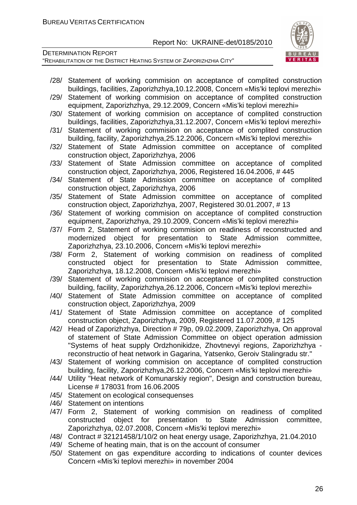

- /28/ Statement of working commision on acceptance of complited construction buildings, facilities, Zaporizhzhya,10.12.2008, Concern «Mis'ki teplovi merezhi»
- /29/ Statement of working commision on acceptance of complited construction equipment, Zaporizhzhya, 29.12.2009, Concern «Mis'ki teplovi merezhi»
- /30/ Statement of working commision on acceptance of complited construction buildings, facilities, Zaporizhzhya,31.12.2007, Concern «Mis'ki teplovi merezhi»
- /31/ Statement of working commision on acceptance of complited construction building, facility, Zaporizhzhya,25.12.2006, Concern «Mis'ki teplovi merezhi»
- /32/ Statement of State Admission committee on acceptance of complited construction object, Zaporizhzhya, 2006
- /33/ Statement of State Admission committee on acceptance of complited construction object, Zaporizhzhya, 2006, Registered 16.04.2006, # 445
- /34/ Statement of State Admission committee on acceptance of complited construction object, Zaporizhzhya, 2006
- /35/ Statement of State Admission committee on acceptance of complited construction object, Zaporizhzhya, 2007, Registered 30.01.2007, # 13
- /36/ Statement of working commision on acceptance of complited construction equipment, Zaporizhzhya, 29.10.2009, Concern «Mis'ki teplovi merezhi»
- /37/ Form 2, Statement of working commision on readiness of reconstructed and modernized object for presentation to State Admission committee, Zaporizhzhya, 23.10.2006, Concern «Mis'ki teplovi merezhi»
- /38/ Form 2, Statement of working commision on readiness of complited constructed object for presentation to State Admission committee, Zaporizhzhya, 18.12.2008, Concern «Mis'ki teplovi merezhi»
- /39/ Statement of working commision on acceptance of complited construction building, facility, Zaporizhzhya,26.12.2006, Concern «Mis'ki teplovi merezhi»
- /40/ Statement of State Admission committee on acceptance of complited construction object, Zaporizhzhya, 2009
- /41/ Statement of State Admission committee on acceptance of complited construction object, Zaporizhzhya, 2009, Registered 11.07.2009, # 125
- /42/ Head of Zaporizhzhya, Direction # 79p, 09.02.2009, Zaporizhzhya, On approval of statement of State Admission Committee on object operation admission "Systems of heat supply Ordzhonikidze, Zhovtnevyi regions, Zaporizhzhya reconstructio of heat network in Gagarina, Yatsenko, Geroiv Stalingradu str."
- /43/ Statement of working commision on acceptance of complited construction building, facility, Zaporizhzhya,26.12.2006, Concern «Mis'ki teplovi merezhi»
- /44/ Utility "Heat network of Komunarskiy region", Design and construction bureau, License # 178031 from 16.06.2005
- /45/ Statement on ecological consequenses
- /46/ Statement on intentions
- /47/ Form 2, Statement of working commision on readiness of complited constructed object for presentation to State Admission committee, Zaporizhzhya, 02.07.2008, Concern «Mis'ki teplovi merezhi»
- /48/ Contract # 32121458/1/10/2 on heat energy usage, Zaporizhzhya, 21.04.2010
- /49/ Scheme of heating main, that is on the account of consumer
- /50/ Statement on gas expenditure according to indications of counter devices Concern «Mis'ki teplovi merezhi» in november 2004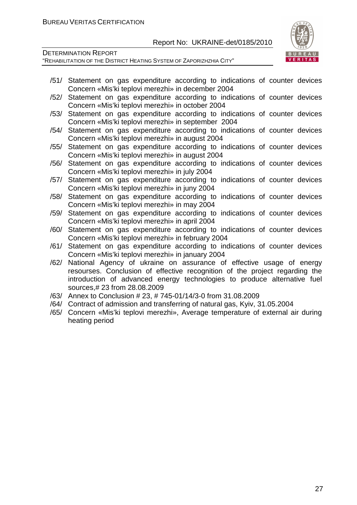

- /51/ Statement on gas expenditure according to indications of counter devices Concern «Mis'ki teplovi merezhi» in december 2004
- /52/ Statement on gas expenditure according to indications of counter devices Concern «Mis'ki teplovi merezhi» in october 2004
- /53/ Statement on gas expenditure according to indications of counter devices Concern «Mis'ki teplovi merezhi» in september 2004
- /54/ Statement on gas expenditure according to indications of counter devices Concern «Mis'ki teplovi merezhi» in august 2004
- /55/ Statement on gas expenditure according to indications of counter devices Concern «Mis'ki teplovi merezhi» in august 2004
- /56/ Statement on gas expenditure according to indications of counter devices Concern «Mis'ki teplovi merezhi» in july 2004
- /57/ Statement on gas expenditure according to indications of counter devices Concern «Mis'ki teplovi merezhi» in juny 2004
- /58/ Statement on gas expenditure according to indications of counter devices Concern «Mis'ki teplovi merezhi» in may 2004
- /59/ Statement on gas expenditure according to indications of counter devices Concern «Mis'ki teplovi merezhi» in april 2004
- /60/ Statement on gas expenditure according to indications of counter devices Concern «Mis'ki teplovi merezhi» in february 2004
- /61/ Statement on gas expenditure according to indications of counter devices Concern «Mis'ki teplovi merezhi» in january 2004
- /62/ National Agency of ukraine on assurance of effective usage of energy resourses. Conclusion of effective recognition of the project regarding the introduction of advanced energy technologies to produce alternative fuel sources,# 23 from 28.08.2009
- /63/ Annex to Conclusion # 23, # 745-01/14/3-0 from 31.08.2009
- /64/ Contract of admission and transferring of natural gas, Kyiv, 31.05.2004
- /65/ Concern «Mis'ki teplovi merezhi», Average temperature of external air during heating period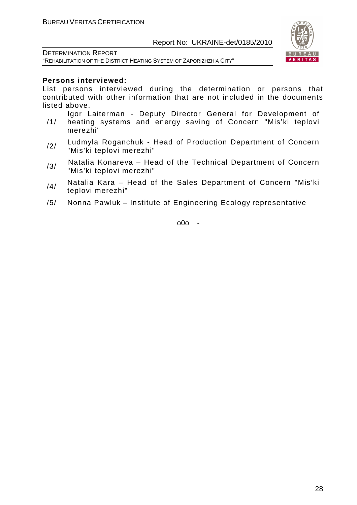

DETERMINATION REPORT "REHABILITATION OF THE DISTRICT HEATING SYSTEM OF ZAPORIZHZHIA CITY"

#### **Persons interviewed:**

List persons interviewed during the determination or persons that contributed with other information that are not included in the documents listed above.

- /1/ Igor Laiterman - Deputy Director General for Development of heating systems and energy saving of Concern "Mis'ki teplovi merezhi"
- /2/ Ludmyla Roganchuk Head of Production Department of Concern "Mis'ki teplovi merezhi"
- $/3/$  Natalia Konareva Head of the Technical Department of Concern "Mis'ki teplovi merezhi"
- $/4/$  Natalia Kara Head of the Sales Department of Concern "Mis'ki teplovi merezhi"
- /5/ Nonna Pawluk Institute of Engineering Ecology representative

o0o -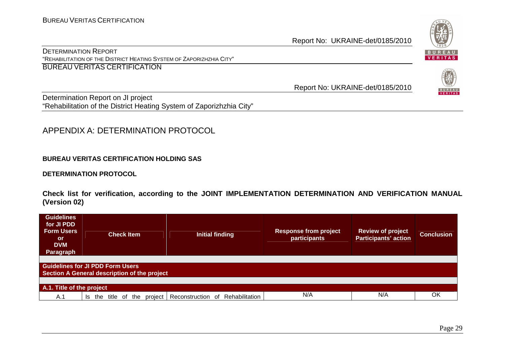DETERMINATION REPORT "REHABILITATION OF THE DISTRICT HEATING SYSTEM OF ZAPORIZHZHIA CITY" BUREAU VERITAS CERTIFICATION

Report No: UKRAINE-det/0185/2010

Determination Report on JI project "Rehabilitation of the District Heating System of Zaporizhzhia City"

## APPENDIX A: DETERMINATION PROTOCOL

#### **BUREAU VERITAS CERTIFICATION HOLDING SAS**

#### **DETERMINATION PROTOCOL**

**Check list for verification, according to the JOINT IMPLEMENTATION DETERMINATION AND VERIFICATION MANUAL (Version 02)** 

| <b>Guidelines</b><br>for JI PDD<br><b>Form Users</b><br><b>or</b><br><b>DVM</b><br>Paragraph | <b>Check Item</b>                | <b>Initial finding</b>       | <b>Response from project</b><br>participants | <b>Review of project</b><br><b>Participants' action</b> | <b>Conclusion</b> |  |  |
|----------------------------------------------------------------------------------------------|----------------------------------|------------------------------|----------------------------------------------|---------------------------------------------------------|-------------------|--|--|
| <b>Guidelines for JI PDD Form Users</b><br>Section A General description of the project      |                                  |                              |                                              |                                                         |                   |  |  |
| A.1. Title of the project                                                                    |                                  |                              |                                              |                                                         |                   |  |  |
| A.1                                                                                          | the<br>title<br>of<br>the<br>Is. | Reconstruction of<br>project | N/A<br>Rehabilitation                        | N/A                                                     | OK                |  |  |

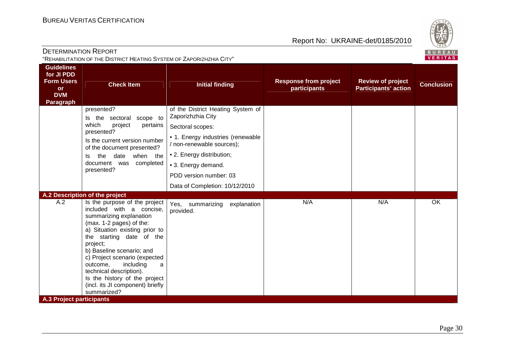

| <b>DETERMINATION REPORT</b><br>"REHABILITATION OF THE DISTRICT HEATING SYSTEM OF ZAPORIZHZHIA CITY" |                                                                                                                                                                                                                                                                                                                                                                                                       |                                                                                                                                                                                                                                                              |                                              |                                                         | ごじょン<br>BUREAL<br><b>VERITAS</b> |
|-----------------------------------------------------------------------------------------------------|-------------------------------------------------------------------------------------------------------------------------------------------------------------------------------------------------------------------------------------------------------------------------------------------------------------------------------------------------------------------------------------------------------|--------------------------------------------------------------------------------------------------------------------------------------------------------------------------------------------------------------------------------------------------------------|----------------------------------------------|---------------------------------------------------------|----------------------------------|
| <b>Guidelines</b><br>for JI PDD<br><b>Form Users</b><br><b>or</b><br><b>DVM</b><br><b>Paragraph</b> | <b>Check Item</b>                                                                                                                                                                                                                                                                                                                                                                                     | <b>Initial finding</b>                                                                                                                                                                                                                                       | <b>Response from project</b><br>participants | <b>Review of project</b><br><b>Participants' action</b> | <b>Conclusion</b>                |
|                                                                                                     | presented?<br>Is the sectoral scope to<br>which<br>pertains<br>project<br>presented?<br>Is the current version number<br>of the document presented?<br>the<br>date when the<br>ls.<br>completed<br>document was<br>presented?                                                                                                                                                                         | of the District Heating System of<br>Zaporizhzhia City<br>Sectoral scopes:<br>• 1. Energy industries (renewable<br>/ non-renewable sources);<br>• 2. Energy distribution;<br>• 3. Energy demand.<br>PDD version number: 03<br>Data of Completion: 10/12/2010 |                                              |                                                         |                                  |
|                                                                                                     | A.2 Description of the project                                                                                                                                                                                                                                                                                                                                                                        |                                                                                                                                                                                                                                                              |                                              |                                                         |                                  |
| A.2<br><b>A.3 Project participants</b>                                                              | Is the purpose of the project<br>included with a concise,<br>summarizing explanation<br>(max. 1-2 pages) of the:<br>a) Situation existing prior to<br>the starting date of the<br>project;<br>b) Baseline scenario; and<br>c) Project scenario (expected<br>outcome,<br>including<br>a<br>technical description).<br>Is the history of the project<br>(incl. its JI component) briefly<br>summarized? | explanation<br>Yes, summarizing<br>provided.                                                                                                                                                                                                                 | N/A                                          | N/A                                                     | OK                               |
|                                                                                                     |                                                                                                                                                                                                                                                                                                                                                                                                       |                                                                                                                                                                                                                                                              |                                              |                                                         |                                  |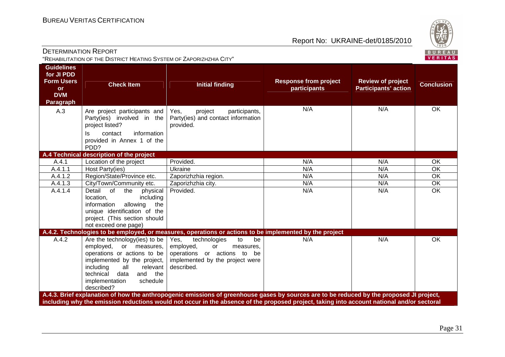

| <b>DETERMINATION REPORT</b>                                                           | "REHABILITATION OF THE DISTRICT HEATING SYSTEM OF ZAPORIZHZHIA CITY"                                                                                                                                                                 |                                                                                                                                                  |                                              |                                                         | $\sim$ $\sim$<br>BUREAU<br>VERITAS |
|---------------------------------------------------------------------------------------|--------------------------------------------------------------------------------------------------------------------------------------------------------------------------------------------------------------------------------------|--------------------------------------------------------------------------------------------------------------------------------------------------|----------------------------------------------|---------------------------------------------------------|------------------------------------|
| <b>Guidelines</b><br>for JI PDD<br><b>Form Users</b><br>or<br><b>DVM</b><br>Paragraph | <b>Check Item</b>                                                                                                                                                                                                                    | <b>Initial finding</b>                                                                                                                           | <b>Response from project</b><br>participants | <b>Review of project</b><br><b>Participants' action</b> | <b>Conclusion</b>                  |
| A.3                                                                                   | Are project participants and<br>Party(ies) involved in the<br>project listed?<br>information<br>contact<br>ls.<br>provided in Annex 1 of the<br>PDD?                                                                                 | Yes,<br>project<br>participants,<br>Party(ies) and contact information<br>provided.                                                              | N/A                                          | N/A                                                     | OK                                 |
|                                                                                       | A.4 Technical description of the project                                                                                                                                                                                             |                                                                                                                                                  |                                              |                                                         |                                    |
| A.4.1                                                                                 | Location of the project                                                                                                                                                                                                              | Provided.                                                                                                                                        | N/A                                          | N/A                                                     | OK                                 |
| A.4.1.1                                                                               | Host Party(ies)                                                                                                                                                                                                                      | Ukraine                                                                                                                                          | N/A                                          | N/A                                                     | $\overline{OK}$                    |
| A.4.1.2                                                                               | Region/State/Province etc.                                                                                                                                                                                                           | Zaporizhzhia region.                                                                                                                             | N/A                                          | N/A                                                     | OK                                 |
| A.4.1.3                                                                               | City/Town/Community etc.                                                                                                                                                                                                             | Zaporizhzhia city.                                                                                                                               | N/A                                          | N/A                                                     | OK                                 |
| A.4.1.4                                                                               | Detail of<br>the<br>physical<br>location,<br>including<br>information<br>allowing<br>the<br>unique identification of the<br>project. (This section should<br>not exceed one page)                                                    | Provided.                                                                                                                                        | N/A                                          | N/A                                                     | OK                                 |
|                                                                                       |                                                                                                                                                                                                                                      | A.4.2. Technologies to be employed, or measures, operations or actions to be implemented by the project                                          |                                              |                                                         |                                    |
| A.4.2                                                                                 | Are the technology(ies) to be<br>employed, or measures,<br>operations or actions to be<br>implemented by the project,<br>including<br>relevant<br>all<br>technical<br>data<br>the<br>and<br>implementation<br>schedule<br>described? | technologies<br>to<br>Yes,<br>be<br>employed,<br>or<br>measures,<br>operations or actions to be<br>implemented by the project were<br>described. | N/A                                          | N/A                                                     | $\overline{OK}$                    |
|                                                                                       |                                                                                                                                                                                                                                      | A.4.3. Brief explanation of how the anthropogenic emissions of greenhouse gases by sources are to be reduced by the proposed JI project,         |                                              |                                                         |                                    |
|                                                                                       |                                                                                                                                                                                                                                      | including why the emission reductions would not occur in the absence of the proposed project, taking into account national and/or sectoral       |                                              |                                                         |                                    |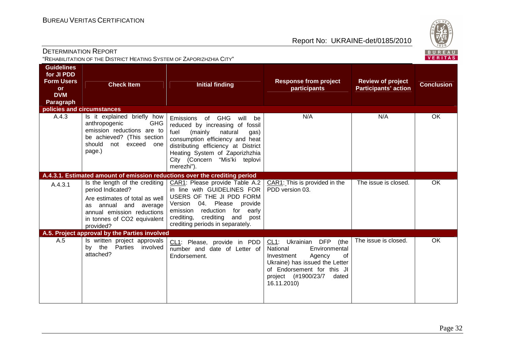

| <b>DETERMINATION REPORT</b><br>"REHABILITATION OF THE DISTRICT HEATING SYSTEM OF ZAPORIZHZHIA CITY" |                                                                                                                                                              |                                                                                                                                                                                                                                                                                          |                                                                                                                                                                                                      |                                                         | $\sim$<br>BUREAL<br><b>VERITAS</b> |
|-----------------------------------------------------------------------------------------------------|--------------------------------------------------------------------------------------------------------------------------------------------------------------|------------------------------------------------------------------------------------------------------------------------------------------------------------------------------------------------------------------------------------------------------------------------------------------|------------------------------------------------------------------------------------------------------------------------------------------------------------------------------------------------------|---------------------------------------------------------|------------------------------------|
| <b>Guidelines</b><br>for JI PDD<br><b>Form Users</b><br><b>or</b><br><b>DVM</b><br><b>Paragraph</b> | <b>Check Item</b>                                                                                                                                            | <b>Initial finding</b>                                                                                                                                                                                                                                                                   | <b>Response from project</b><br>participants                                                                                                                                                         | <b>Review of project</b><br><b>Participants' action</b> | <b>Conclusion</b>                  |
|                                                                                                     | policies and circumstances                                                                                                                                   |                                                                                                                                                                                                                                                                                          |                                                                                                                                                                                                      |                                                         |                                    |
| A.4.3                                                                                               | Is it explained briefly how<br>anthropogenic<br><b>GHG</b><br>emission reductions are to<br>be achieved? (This section<br>should<br>not exceed one<br>page.) | Emissions of GHG will be<br>reduced by increasing of fossil<br>(mainly<br>natural<br>fuel<br>gas)<br>consumption efficiency and heat<br>distributing efficiency at District<br>Heating System of Zaporizhzhia<br>City (Concern "Mis'ki teplovi<br>merezhi").                             | N/A                                                                                                                                                                                                  | N/A                                                     | OK                                 |
|                                                                                                     |                                                                                                                                                              | A.4.3.1. Estimated amount of emission reductions over the crediting period                                                                                                                                                                                                               |                                                                                                                                                                                                      |                                                         |                                    |
| A.4.3.1                                                                                             | period Indicated?<br>Are estimates of total as well<br>annual and average<br>as.<br>annual emission reductions<br>in tonnes of CO2 equivalent<br>provided?   | Is the length of the crediting $\vert$ CAR1: Please provide Table A.2<br>in line with GUIDELINES FOR<br>USERS OF THE JI PDD FORM<br>04. Please provide<br>Version<br>reduction<br>early<br>emission<br>for<br>crediting<br>and<br>crediting,<br>post<br>crediting periods in separately. | CAR1: This is provided in the<br>PDD version 03.                                                                                                                                                     | The issue is closed.                                    | OK                                 |
|                                                                                                     | A.5. Project approval by the Parties involved                                                                                                                |                                                                                                                                                                                                                                                                                          |                                                                                                                                                                                                      |                                                         |                                    |
| A.5                                                                                                 | Is written project approvals<br>Parties<br>by the<br>involved<br>attached?                                                                                   | CL1: Please, provide in PDD<br>number and date of Letter of<br>Endorsement.                                                                                                                                                                                                              | CL1: Ukrainian DFP<br>(the<br>National<br>Environmental<br>Investment<br>Agency<br>0f<br>Ukraine) has issued the Letter<br>of Endorsement for this JI<br>project (#1900/23/7<br>dated<br>16.11.2010) | The issue is closed.                                    | OK                                 |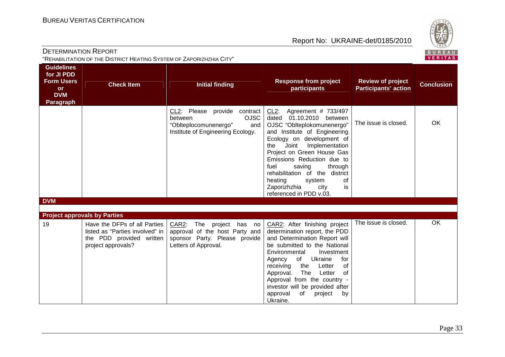

|                                                                                              | DETERMINATION REPORT<br>"REHABILITATION OF THE DISTRICT HEATING SYSTEM OF ZAPORIZHZHIA CITY"                      |                                                                                                                             |                                                                                                                                                                                                                                                                                                                                                                                                  |                                                         | BUREAU<br><b>VERITAS</b> |
|----------------------------------------------------------------------------------------------|-------------------------------------------------------------------------------------------------------------------|-----------------------------------------------------------------------------------------------------------------------------|--------------------------------------------------------------------------------------------------------------------------------------------------------------------------------------------------------------------------------------------------------------------------------------------------------------------------------------------------------------------------------------------------|---------------------------------------------------------|--------------------------|
| <b>Guidelines</b><br>for JI PDD<br><b>Form Users</b><br><b>or</b><br><b>DVM</b><br>Paragraph | <b>Check Item</b>                                                                                                 | <b>Initial finding</b>                                                                                                      | <b>Response from project</b><br>participants                                                                                                                                                                                                                                                                                                                                                     | <b>Review of project</b><br><b>Participants' action</b> | <b>Conclusion</b>        |
|                                                                                              |                                                                                                                   | CL2: Please provide contract<br><b>OJSC</b><br>between<br>"Oblteplocomunenergo"<br>and<br>Institute of Engineering Ecology. | CL2: Agreement # 733/497<br>dated 01.10.2010 between<br>OJSC "Oblteplokomunenergo"<br>and Institute of Engineering<br>Ecology on development of<br>Implementation<br>Joint<br>the<br>Project on Green House Gas<br>Emissions Reduction due to<br>fuel<br>saving<br>through<br>rehabilitation of the district<br>of<br>heating<br>system<br>Zaporizhzhia<br>city<br>is<br>referenced in PDD v.03. | The issue is closed.                                    | OK.                      |
| <b>DVM</b>                                                                                   |                                                                                                                   |                                                                                                                             |                                                                                                                                                                                                                                                                                                                                                                                                  |                                                         |                          |
|                                                                                              | <b>Project approvals by Parties</b>                                                                               |                                                                                                                             |                                                                                                                                                                                                                                                                                                                                                                                                  |                                                         |                          |
| 19                                                                                           | Have the DFPs of all Parties<br>listed as "Parties involved" in<br>the PDD provided written<br>project approvals? | CAR2: The project has no<br>approval of the host Party and<br>sponsor Party. Please provide<br>Letters of Approval.         | CAR2: After finishing project<br>determination report, the PDD<br>and Determination Report will<br>be submitted to the National<br>Environmental<br>Investment<br>Ukraine<br>Agency<br>of<br>for<br>receiving<br>of<br>the<br>Letter<br>The<br>Approval.<br>Letter<br>of<br>Approval from the country -<br>investor will be provided after<br>approval<br>of<br>project<br>by<br>Ukraine.        | The issue is closed.                                    | <b>OK</b>                |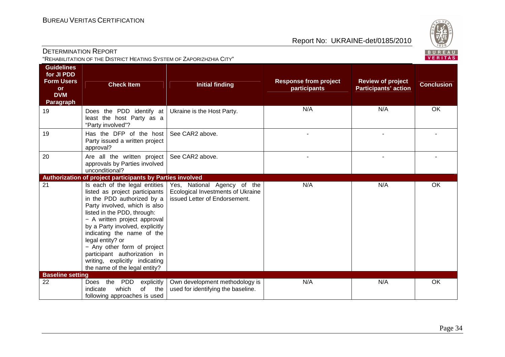

| <b>Guidelines</b><br>for JI PDD<br><b>Form Users</b><br>or<br><b>DVM</b><br><b>Paragraph</b> | <b>Check Item</b>                                                                                                                                                                                                                                                                                                                                                                                                                                                                 | <b>Initial finding</b>                                                                            | <b>Response from project</b><br>participants | <b>Review of project</b><br><b>Participants' action</b> | <b>Conclusion</b> |
|----------------------------------------------------------------------------------------------|-----------------------------------------------------------------------------------------------------------------------------------------------------------------------------------------------------------------------------------------------------------------------------------------------------------------------------------------------------------------------------------------------------------------------------------------------------------------------------------|---------------------------------------------------------------------------------------------------|----------------------------------------------|---------------------------------------------------------|-------------------|
| 19                                                                                           | Does the PDD identify at<br>least the host Party as a<br>"Party involved"?                                                                                                                                                                                                                                                                                                                                                                                                        | Ukraine is the Host Party.                                                                        | N/A                                          | N/A                                                     | OK                |
| 19                                                                                           | Has the DFP of the host<br>Party issued a written project<br>approval?                                                                                                                                                                                                                                                                                                                                                                                                            | See CAR2 above.                                                                                   |                                              |                                                         |                   |
| 20                                                                                           | Are all the written project<br>approvals by Parties involved<br>unconditional?                                                                                                                                                                                                                                                                                                                                                                                                    | See CAR2 above.                                                                                   |                                              |                                                         |                   |
| 21                                                                                           | Authorization of project participants by Parties involved<br>Is each of the legal entities<br>listed as project participants<br>in the PDD authorized by a<br>Party involved, which is also<br>listed in the PDD, through:<br>- A written project approval<br>by a Party involved, explicitly<br>indicating the name of the<br>legal entity? or<br>- Any other form of project<br>participant authorization in<br>writing, explicitly indicating<br>the name of the legal entity? | Yes, National Agency of the<br>Ecological Investments of Ukraine<br>issued Letter of Endorsement. | N/A                                          | N/A                                                     | OK                |
| <b>Baseline setting</b><br>22                                                                | the<br><b>PDD</b><br>explicitly<br><b>Does</b><br>which<br>of<br>the<br>indicate<br>following approaches is used                                                                                                                                                                                                                                                                                                                                                                  | Own development methodology is<br>used for identifying the baseline.                              | N/A                                          | N/A                                                     | OK                |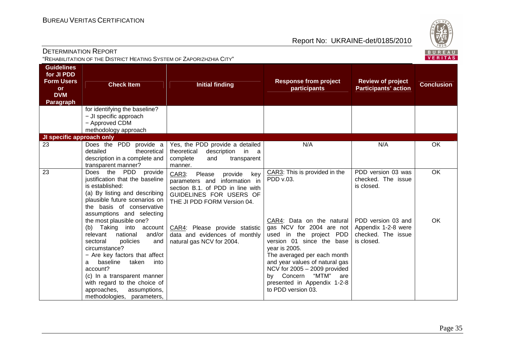

| <b>Guidelines</b><br>for JI PDD<br><b>Form Users</b><br><b>or</b><br><b>DVM</b><br><b>Paragraph</b> | <b>Check Item</b>                                                                                                                                                                                                                                                                                                                                       | <b>Initial finding</b>                                                                                                                                           | <b>Response from project</b><br>participants                                                                                                                                                                                                                                                                    | <b>Review of project</b><br><b>Participants' action</b>                       | <b>Conclusion</b> |
|-----------------------------------------------------------------------------------------------------|---------------------------------------------------------------------------------------------------------------------------------------------------------------------------------------------------------------------------------------------------------------------------------------------------------------------------------------------------------|------------------------------------------------------------------------------------------------------------------------------------------------------------------|-----------------------------------------------------------------------------------------------------------------------------------------------------------------------------------------------------------------------------------------------------------------------------------------------------------------|-------------------------------------------------------------------------------|-------------------|
|                                                                                                     | for identifying the baseline?<br>- JI specific approach<br>- Approved CDM<br>methodology approach                                                                                                                                                                                                                                                       |                                                                                                                                                                  |                                                                                                                                                                                                                                                                                                                 |                                                                               |                   |
| JI specific approach only                                                                           |                                                                                                                                                                                                                                                                                                                                                         |                                                                                                                                                                  |                                                                                                                                                                                                                                                                                                                 |                                                                               |                   |
| 23                                                                                                  | Does the PDD provide a<br>theoretical<br>detailed<br>description in a complete and<br>transparent manner?                                                                                                                                                                                                                                               | Yes, the PDD provide a detailed<br>in a<br>theoretical<br>description<br>complete<br>and<br>transparent<br>manner.                                               | N/A                                                                                                                                                                                                                                                                                                             | N/A                                                                           | OK                |
| 23                                                                                                  | the PDD<br>provide<br>Does<br>justification that the baseline<br>is established:<br>(a) By listing and describing<br>plausible future scenarios on<br>the basis of conservative<br>assumptions and selecting                                                                                                                                            | CAR3:<br>Please<br>key<br>provide<br>parameters and information in<br>section B.1. of PDD in line with<br>GUIDELINES FOR USERS OF<br>THE JI PDD FORM Version 04. | CAR3: This is provided in the<br>PDD v.03.                                                                                                                                                                                                                                                                      | PDD version 03 was<br>checked. The issue<br>is closed.                        | OK                |
|                                                                                                     | the most plausible one?<br>Taking into<br>(b)<br>account  <br>relevant<br>national<br>and/or<br>sectoral<br>policies<br>and<br>circumstance?<br>- Are key factors that affect<br>baseline<br>taken<br>into<br>a<br>account?<br>(c) In a transparent manner<br>with regard to the choice of<br>approaches,<br>assumptions,<br>methodologies, parameters, | CAR4: Please provide statistic<br>data and evidences of monthly<br>natural gas NCV for 2004.                                                                     | CAR4: Data on the natural<br>gas NCV for 2004 are not<br>used in the project PDD<br>version 01 since the base<br>year is 2005.<br>The averaged per each month<br>and year values of natural gas<br>NCV for 2005 - 2009 provided<br>by Concern "MTM"<br>are<br>presented in Appendix 1-2-8<br>to PDD version 03. | PDD version 03 and<br>Appendix 1-2-8 were<br>checked. The issue<br>is closed. | <b>OK</b>         |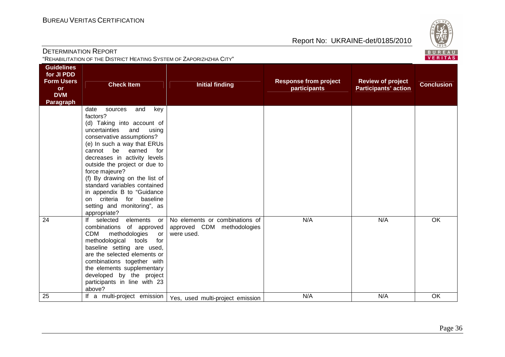

| <b>DETERMINATION REPORT</b><br>"REHABILITATION OF THE DISTRICT HEATING SYSTEM OF ZAPORIZHZHIA CITY" |                                                                                                                                                                                                                                                                                                                                                                                                                                                              |                                                                            |                                              |                                                         |                   |
|-----------------------------------------------------------------------------------------------------|--------------------------------------------------------------------------------------------------------------------------------------------------------------------------------------------------------------------------------------------------------------------------------------------------------------------------------------------------------------------------------------------------------------------------------------------------------------|----------------------------------------------------------------------------|----------------------------------------------|---------------------------------------------------------|-------------------|
| <b>Guidelines</b><br>for JI PDD<br><b>Form Users</b><br><b>or</b><br><b>DVM</b><br><b>Paragraph</b> | <b>Check Item</b>                                                                                                                                                                                                                                                                                                                                                                                                                                            | <b>Initial finding</b>                                                     | <b>Response from project</b><br>participants | <b>Review of project</b><br><b>Participants' action</b> | <b>Conclusion</b> |
|                                                                                                     | and<br>date<br>sources<br>key<br>factors?<br>(d) Taking into account of<br>uncertainties<br>and<br>using<br>conservative assumptions?<br>(e) In such a way that ERUs<br>cannot be earned<br>for<br>decreases in activity levels<br>outside the project or due to<br>force majeure?<br>(f) By drawing on the list of<br>standard variables contained<br>in appendix B to "Guidance<br>on criteria for baseline<br>setting and monitoring", as<br>appropriate? |                                                                            |                                              |                                                         |                   |
| 24                                                                                                  | If selected elements<br>or<br>combinations of approved<br><b>CDM</b><br>methodologies<br>or<br>methodological<br>for<br>tools<br>baseline setting are used,<br>are the selected elements or<br>combinations together with<br>the elements supplementary<br>developed by the project<br>participants in line with 23<br>above?                                                                                                                                | No elements or combinations of<br>approved CDM methodologies<br>were used. | N/A                                          | N/A                                                     | <b>OK</b>         |
| 25                                                                                                  | If a multi-project emission                                                                                                                                                                                                                                                                                                                                                                                                                                  | Yes, used multi-project emission                                           | N/A                                          | N/A                                                     | OK                |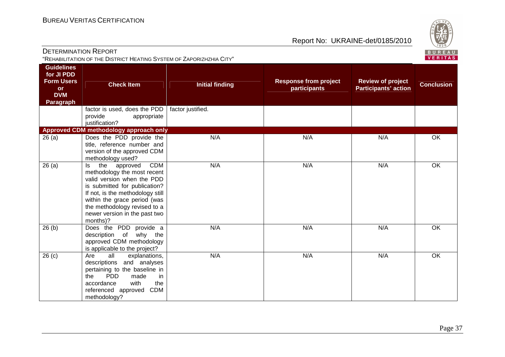

| <b>DETERMINATION REPORT</b>                                                                  | "REHABILITATION OF THE DISTRICT HEATING SYSTEM OF ZAPORIZHZHIA CITY"                                                                                                                                                                                                               |                        |                                              |                                                         | $\sim$<br>BUREAU<br>VERITAS |
|----------------------------------------------------------------------------------------------|------------------------------------------------------------------------------------------------------------------------------------------------------------------------------------------------------------------------------------------------------------------------------------|------------------------|----------------------------------------------|---------------------------------------------------------|-----------------------------|
| <b>Guidelines</b><br>for JI PDD<br><b>Form Users</b><br>or<br><b>DVM</b><br><b>Paragraph</b> | <b>Check Item</b>                                                                                                                                                                                                                                                                  | <b>Initial finding</b> | <b>Response from project</b><br>participants | <b>Review of project</b><br><b>Participants' action</b> | <b>Conclusion</b>           |
|                                                                                              | factor is used, does the PDD<br>provide<br>appropriate<br>justification?                                                                                                                                                                                                           | factor justified.      |                                              |                                                         |                             |
|                                                                                              | Approved CDM methodology approach only                                                                                                                                                                                                                                             |                        |                                              |                                                         |                             |
| 26(a)                                                                                        | Does the PDD provide the<br>title, reference number and<br>version of the approved CDM<br>methodology used?                                                                                                                                                                        | N/A                    | N/A                                          | N/A                                                     | OK                          |
| 26(a)                                                                                        | <b>CDM</b><br>the<br>approved<br>Is<br>methodology the most recent<br>valid version when the PDD<br>is submitted for publication?<br>If not, is the methodology still<br>within the grace period (was<br>the methodology revised to a<br>newer version in the past two<br>months)? | N/A                    | N/A                                          | N/A                                                     | $\overline{OK}$             |
| 26(b)                                                                                        | Does the PDD provide a<br>description of why the<br>approved CDM methodology<br>is applicable to the project?                                                                                                                                                                      | N/A                    | N/A                                          | N/A                                                     | OK                          |
| $\overline{26}$ (c)                                                                          | all<br>explanations,<br>Are<br>descriptions and analyses<br>pertaining to the baseline in<br><b>PDD</b><br>the<br>made<br>in<br>with<br>the<br>accordance<br>referenced approved<br><b>CDM</b><br>methodology?                                                                     | N/A                    | N/A                                          | N/A                                                     | $\overline{OK}$             |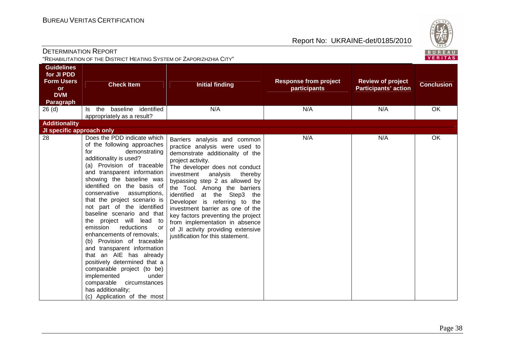

| DETERMINATION REPORT                                                                         | "REHABILITATION OF THE DISTRICT HEATING SYSTEM OF ZAPORIZHZHIA CITY"                                                                                                                                                                                                                                                                                                                                                                                                                                                                                                                                                                                                                                                       |                                                                                                                                                                                                                                                                                                                                                                                                                                                                                                                         |                                              |                                                         | BUREAL<br><b>VERITAS</b> |
|----------------------------------------------------------------------------------------------|----------------------------------------------------------------------------------------------------------------------------------------------------------------------------------------------------------------------------------------------------------------------------------------------------------------------------------------------------------------------------------------------------------------------------------------------------------------------------------------------------------------------------------------------------------------------------------------------------------------------------------------------------------------------------------------------------------------------------|-------------------------------------------------------------------------------------------------------------------------------------------------------------------------------------------------------------------------------------------------------------------------------------------------------------------------------------------------------------------------------------------------------------------------------------------------------------------------------------------------------------------------|----------------------------------------------|---------------------------------------------------------|--------------------------|
| <b>Guidelines</b><br>for JI PDD<br><b>Form Users</b><br><b>or</b><br><b>DVM</b><br>Paragraph | <b>Check Item</b>                                                                                                                                                                                                                                                                                                                                                                                                                                                                                                                                                                                                                                                                                                          | <b>Initial finding</b>                                                                                                                                                                                                                                                                                                                                                                                                                                                                                                  | <b>Response from project</b><br>participants | <b>Review of project</b><br><b>Participants' action</b> | <b>Conclusion</b>        |
| 26 <sub>(d)</sub>                                                                            | baseline identified<br>the<br>ls.<br>appropriately as a result?                                                                                                                                                                                                                                                                                                                                                                                                                                                                                                                                                                                                                                                            | N/A                                                                                                                                                                                                                                                                                                                                                                                                                                                                                                                     | N/A                                          | N/A                                                     | <b>OK</b>                |
| <b>Additionality</b>                                                                         |                                                                                                                                                                                                                                                                                                                                                                                                                                                                                                                                                                                                                                                                                                                            |                                                                                                                                                                                                                                                                                                                                                                                                                                                                                                                         |                                              |                                                         |                          |
| JI specific approach only<br>$\overline{28}$                                                 | Does the PDD indicate which<br>of the following approaches<br>demonstrating<br>for<br>additionality is used?<br>(a) Provision of traceable<br>and transparent information<br>showing the baseline was<br>identified on the basis of<br>conservative<br>assumptions,<br>that the project scenario is<br>not part of the identified<br>baseline scenario and that<br>the project will lead to<br>emission<br>reductions<br>or<br>enhancements of removals;<br>(b) Provision of traceable<br>and transparent information<br>that an AIE has already<br>positively determined that a<br>comparable project (to be)<br>implemented<br>under<br>comparable<br>circumstances<br>has additionality;<br>(c) Application of the most | Barriers analysis and common<br>practice analysis were used to<br>demonstrate additionality of the<br>project activity.<br>The developer does not conduct<br>investment<br>analysis<br>thereby<br>bypassing step 2 as allowed by<br>the Tool. Among the barriers<br>identified at the Step3 the<br>Developer is referring to the<br>investment barrier as one of the<br>key factors preventing the project<br>from implementation in absence<br>of JI activity providing extensive<br>justification for this statement. | N/A                                          | N/A                                                     | OK                       |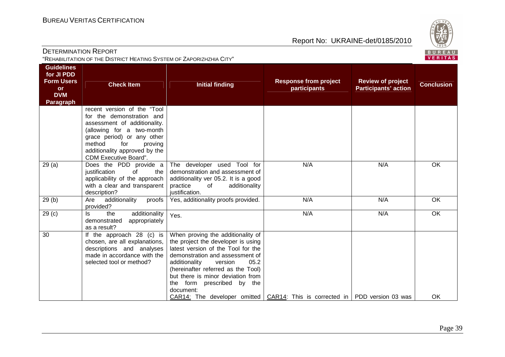

**Conclusion** 

| <b>DETERMINATION REPORT</b><br>"REHABILITATION OF THE DISTRICT HEATING SYSTEM OF ZAPORIZHZHIA CITY" |                                                                                                                                                                                                                                                   |                                                                                                                                                                                                                            |                                              |                                                         |                |
|-----------------------------------------------------------------------------------------------------|---------------------------------------------------------------------------------------------------------------------------------------------------------------------------------------------------------------------------------------------------|----------------------------------------------------------------------------------------------------------------------------------------------------------------------------------------------------------------------------|----------------------------------------------|---------------------------------------------------------|----------------|
| <b>Guidelines</b><br>for JI PDD<br><b>Form Users</b><br><b>or</b><br><b>DVM</b><br><b>Paragraph</b> | <b>Check Item</b>                                                                                                                                                                                                                                 | <b>Initial finding</b>                                                                                                                                                                                                     | <b>Response from project</b><br>participants | <b>Review of project</b><br><b>Participants' action</b> | <b>Conclus</b> |
|                                                                                                     | recent version of the "Tool"<br>for the demonstration and<br>assessment of additionality.<br>(allowing for a two-month<br>grace period) or any other<br>method<br>for<br>proving<br>additionality approved by the<br><b>CDM Executive Board".</b> |                                                                                                                                                                                                                            |                                              |                                                         |                |
| 29(a)                                                                                               | Does the PDD provide a<br>justification<br>of<br>the<br>applicability of the approach<br>with a clear and transparent<br>description?                                                                                                             | The developer used Tool for<br>demonstration and assessment of<br>additionality ver 05.2. It is a good<br>practice<br>of<br>additionality<br>justification.                                                                | N/A                                          | N/A                                                     | OK             |
| 29(b)                                                                                               | additionality<br>Are<br>proofs<br>provided?                                                                                                                                                                                                       | Yes, additionality proofs provided.                                                                                                                                                                                        | N/A                                          | N/A                                                     | OK             |
| 29 <sub>(c)</sub>                                                                                   | additionality<br>ls<br>the<br>demonstrated<br>appropriately<br>as a result?                                                                                                                                                                       | Yes.                                                                                                                                                                                                                       | N/A                                          | N/A                                                     | OK             |
| 30                                                                                                  | If the approach 28 (c) is<br>chosen, are all explanations,<br>descriptions and analyses<br>made in accordance with the<br>selected tool or method?                                                                                                | When proving the additionality of<br>the project the developer is using<br>latest version of the Tool for the<br>demonstration and assessment of<br>additionality<br>05.2<br>version<br>(hereinafter referred as the Tool) |                                              |                                                         |                |

 but there is minor deviation from the form prescribed by the

CAR14: The developer omitted  $\vert$  CAR14: This is corrected in  $\vert$  PDD version 03 was  $\vert$  OK

document: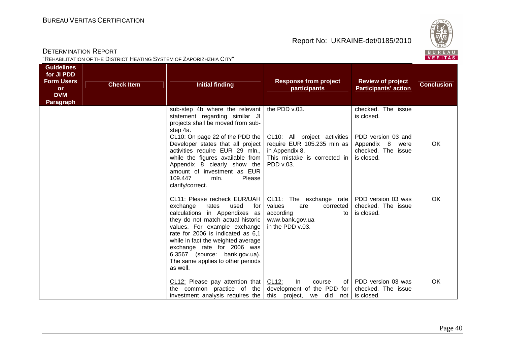

| VERITAS<br>"REHABILITATION OF THE DISTRICT HEATING SYSTEM OF ZAPORIZHZHIA CITY"                     |                   |                                                                                                                                                                                                                                                                                                                                                                                                                                                                                 |                                                                                                                                      |                                                                                                               |                   |  |  |
|-----------------------------------------------------------------------------------------------------|-------------------|---------------------------------------------------------------------------------------------------------------------------------------------------------------------------------------------------------------------------------------------------------------------------------------------------------------------------------------------------------------------------------------------------------------------------------------------------------------------------------|--------------------------------------------------------------------------------------------------------------------------------------|---------------------------------------------------------------------------------------------------------------|-------------------|--|--|
| <b>Guidelines</b><br>for JI PDD<br><b>Form Users</b><br><b>or</b><br><b>DVM</b><br><b>Paragraph</b> | <b>Check Item</b> | <b>Initial finding</b>                                                                                                                                                                                                                                                                                                                                                                                                                                                          | <b>Response from project</b><br>participants                                                                                         | <b>Review of project</b><br><b>Participants' action</b>                                                       | <b>Conclusion</b> |  |  |
|                                                                                                     |                   | sub-step 4b where the relevant   the PDD v.03.<br>statement regarding similar JI<br>projects shall be moved from sub-<br>step 4a.<br>$CL10$ : On page 22 of the PDD the $ CL10$ : All project activities<br>Developer states that all project require EUR 105.235 mln as<br>activities require EUR 29 mln.,   in Appendix 8.<br>while the figures available from<br>Appendix 8 clearly show the<br>amount of investment as EUR<br>109.447<br>Please<br>mln.<br>clarify/correct. | This mistake is corrected in<br>PDD v.03.                                                                                            | checked. The issue<br>is closed.<br>PDD version 03 and<br>Appendix 8 were<br>checked. The issue<br>is closed. | OK                |  |  |
|                                                                                                     |                   | CL11: Please recheck EUR/UAH  <br>exchange<br>rates<br>used<br>for<br>calculations in Appendixes as<br>they do not match actual historic<br>values. For example exchange<br>rate for 2006 is indicated as 6,1<br>while in fact the weighted average<br>exchange rate for 2006 was<br>6.3567 (source: bank.gov.ua).<br>The same applies to other periods<br>as well.                                                                                                             | CL11: The exchange rate   PDD version 03 was<br>values<br>corrected<br>are<br>according<br>to<br>www.bank.gov.ua<br>in the PDD v.03. | checked. The issue<br>is closed.                                                                              | <b>OK</b>         |  |  |
|                                                                                                     |                   | CL12: Please pay attention that $ CL12$ :<br>the common practice of the development of the PDD for<br>investment analysis requires the $\vert$ this project,                                                                                                                                                                                                                                                                                                                    | In<br>course<br>we did not is closed.                                                                                                | of   PDD version 03 was<br>checked. The issue                                                                 | <b>OK</b>         |  |  |

## DETERMINATION REPORT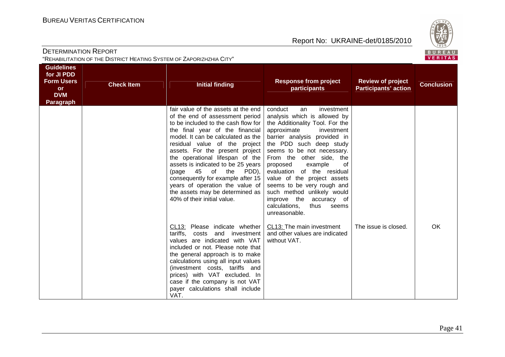

| <b>DETERMINATION REPORT</b><br>"REHABILITATION OF THE DISTRICT HEATING SYSTEM OF ZAPORIZHZHIA CITY" |                   |                                                                                                                                                                                                                                                                                                                                                                                                                                                                                                           |                                                                                                                                                                                                                                                                                                                                                                                                                                                                                         |                                                         |                   |  |
|-----------------------------------------------------------------------------------------------------|-------------------|-----------------------------------------------------------------------------------------------------------------------------------------------------------------------------------------------------------------------------------------------------------------------------------------------------------------------------------------------------------------------------------------------------------------------------------------------------------------------------------------------------------|-----------------------------------------------------------------------------------------------------------------------------------------------------------------------------------------------------------------------------------------------------------------------------------------------------------------------------------------------------------------------------------------------------------------------------------------------------------------------------------------|---------------------------------------------------------|-------------------|--|
| <b>Guidelines</b><br>for JI PDD<br><b>Form Users</b><br><b>or</b><br><b>DVM</b><br><b>Paragraph</b> | <b>Check Item</b> | <b>Initial finding</b>                                                                                                                                                                                                                                                                                                                                                                                                                                                                                    | <b>Response from project</b><br>participants                                                                                                                                                                                                                                                                                                                                                                                                                                            | <b>Review of project</b><br><b>Participants' action</b> | <b>Conclusion</b> |  |
|                                                                                                     |                   | fair value of the assets at the end<br>of the end of assessment period<br>to be included to the cash flow for<br>the final year of the financial<br>model. It can be calculated as the<br>residual value of the project<br>assets. For the present project<br>the operational lifespan of the<br>assets is indicated to be 25 years<br>(page 45 of the<br>PDD),<br>consequently for example after 15<br>years of operation the value of<br>the assets may be determined as<br>40% of their initial value. | conduct<br>investment<br>an<br>analysis which is allowed by<br>the Additionality Tool. For the<br>approximate<br>investment<br>barrier analysis provided in<br>the PDD such deep study<br>seems to be not necessary.<br>From the other side, the<br>proposed<br>example<br>0f<br>evaluation of the residual<br>value of the project assets<br>seems to be very rough and<br>such method unlikely would<br>improve the<br>accuracy of<br>calculations,<br>thus<br>seems<br>unreasonable. |                                                         |                   |  |
|                                                                                                     |                   | CL13: Please indicate whether<br>tariffs, costs and investment<br>values are indicated with VAT<br>included or not. Please note that<br>the general approach is to make<br>calculations using all input values<br>(investment costs, tariffs and<br>prices) with VAT excluded. In<br>case if the company is not VAT<br>payer calculations shall include<br>VAT.                                                                                                                                           | CL13: The main investment<br>and other values are indicated<br>without VAT.                                                                                                                                                                                                                                                                                                                                                                                                             | The issue is closed.                                    | OK                |  |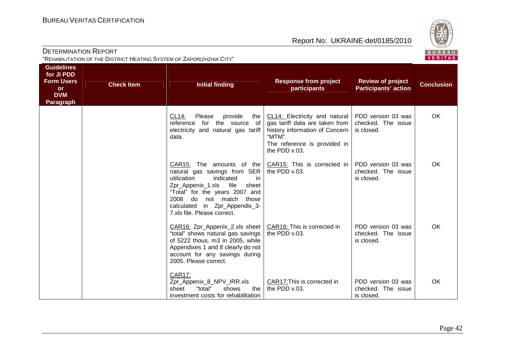

| <b>DETERMINATION REPORT</b><br>"REHABILITATION OF THE DISTRICT HEATING SYSTEM OF ZAPORIZHZHIA CITY" |                   |                                                                                                                                                                                                                                                                                                  |                                                                                                                                                              |                                                         |                   |  |
|-----------------------------------------------------------------------------------------------------|-------------------|--------------------------------------------------------------------------------------------------------------------------------------------------------------------------------------------------------------------------------------------------------------------------------------------------|--------------------------------------------------------------------------------------------------------------------------------------------------------------|---------------------------------------------------------|-------------------|--|
| <b>Guidelines</b><br>for JI PDD<br><b>Form Users</b><br><b>or</b><br><b>DVM</b><br><b>Paragraph</b> | <b>Check Item</b> | <b>Initial finding</b>                                                                                                                                                                                                                                                                           | <b>Response from project</b><br>participants                                                                                                                 | <b>Review of project</b><br><b>Participants' action</b> | <b>Conclusion</b> |  |
|                                                                                                     |                   | CL14:<br>Please<br>provide<br>the I<br>reference for the source of<br>electricity and natural gas tariff<br>data.                                                                                                                                                                                | CL14: Electricity and natural<br>gas tariff data are taken from<br>history information of Concern<br>"MTM".<br>The reference is provided in<br>the PDD v.03. | PDD version 03 was<br>checked. The issue<br>is closed.  | OK                |  |
|                                                                                                     |                   | $CAR15$ : The amounts of the $CAR15$ : This is corrected in<br>natural gas savings from SER<br>utilization<br>indicated<br>in<br>Zpr_Appenix_1.xls<br>file<br>sheet<br>"Total" for the years 2007 and<br>2008 do not match those<br>calculated in Zpr_Appendix_3-<br>7.xls file. Please correct. | the PDD v.03.                                                                                                                                                | PDD version 03 was<br>checked. The issue<br>is closed.  | <b>OK</b>         |  |
|                                                                                                     |                   | $CAR16$ : Zpr_Appenix_2.xls sheet $\overline{CAR16}$ : This is corrected in<br>"total" shows natural gas savings<br>of 5222 thous. m3 in 2005, while<br>Appendixes 1 and 8 clearly do not<br>account for any savings during<br>2005. Please correct.                                             | the PDD v.03.                                                                                                                                                | PDD version 03 was<br>checked. The issue<br>is closed.  | <b>OK</b>         |  |
|                                                                                                     |                   | <b>CAR17:</b><br>Zpr_Appenix_8_NPV_IRR.xls<br>shows<br>"total"<br>the<br>sheet<br>investment costs for rehabilitation                                                                                                                                                                            | CAR17: This is corrected in<br>the PDD v.03.                                                                                                                 | PDD version 03 was<br>checked. The issue<br>is closed.  | OK                |  |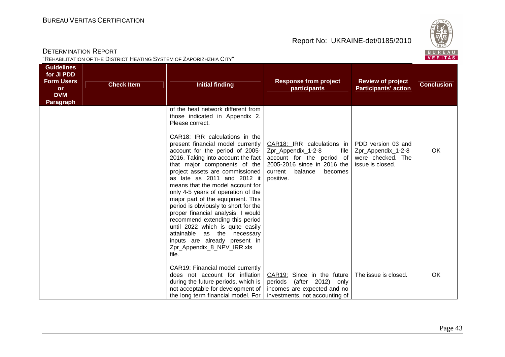

| "REHABILITATION OF THE DISTRICT HEATING SYSTEM OF ZAPORIZHZHIA CITY"                                |                   |                                                                                                                                                                                                                                                                                                                                                                                                                                                                                                                                                                                                                                                                                                                      |                                                                                                                                                                    |                                                                                   |                   |
|-----------------------------------------------------------------------------------------------------|-------------------|----------------------------------------------------------------------------------------------------------------------------------------------------------------------------------------------------------------------------------------------------------------------------------------------------------------------------------------------------------------------------------------------------------------------------------------------------------------------------------------------------------------------------------------------------------------------------------------------------------------------------------------------------------------------------------------------------------------------|--------------------------------------------------------------------------------------------------------------------------------------------------------------------|-----------------------------------------------------------------------------------|-------------------|
| <b>Guidelines</b><br>for JI PDD<br><b>Form Users</b><br><b>or</b><br><b>DVM</b><br><b>Paragraph</b> | <b>Check Item</b> | <b>Initial finding</b>                                                                                                                                                                                                                                                                                                                                                                                                                                                                                                                                                                                                                                                                                               | <b>Response from project</b><br><b>participants</b>                                                                                                                | <b>Review of project</b><br><b>Participants' action</b>                           | <b>Conclusion</b> |
|                                                                                                     |                   | of the heat network different from<br>those indicated in Appendix 2.<br>Please correct.<br>CAR18: IRR calculations in the<br>present financial model currently<br>account for the period of 2005-<br>2016. Taking into account the fact<br>that major components of the<br>project assets are commissioned<br>as late as 2011 and 2012 it<br>means that the model account for<br>only 4-5 years of operation of the<br>major part of the equipment. This<br>period is obviously to short for the<br>proper financial analysis. I would<br>recommend extending this period<br>until 2022 which is quite easily<br>attainable as the necessary<br>inputs are already present in<br>Zpr_Appendix_8_NPV_IRR.xls<br>file. | CAR18: IRR calculations in<br>Zpr_Appendix_1-2-8<br>file<br>account for the period of<br>2005-2016 since in 2016 the<br>current<br>balance<br>becomes<br>positive. | PDD version 03 and<br>Zpr_Appendix_1-2-8<br>were checked. The<br>issue is closed. | <b>OK</b>         |
|                                                                                                     |                   | CAR19: Financial model currently<br>does not account for inflation<br>during the future periods, which is<br>not acceptable for development of<br>the long term financial model. For                                                                                                                                                                                                                                                                                                                                                                                                                                                                                                                                 | CAR19: Since in the future<br>periods (after 2012) only<br>incomes are expected and no<br>investments, not accounting of                                           | The issue is closed.                                                              | OK                |

## **DETERMINATION REPORT**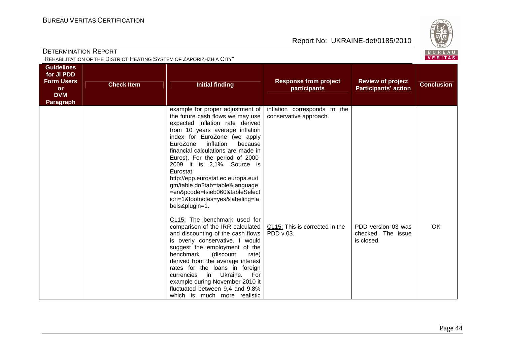

| <b>DETERMINATION REPORT</b><br>"REHABILITATION OF THE DISTRICT HEATING SYSTEM OF ZAPORIZHZHIA CITY" |                   |                                                                                                                                                                                                                                                                                                                                                                                                                                                                                                  |                                                        |                                                         |                   |  |
|-----------------------------------------------------------------------------------------------------|-------------------|--------------------------------------------------------------------------------------------------------------------------------------------------------------------------------------------------------------------------------------------------------------------------------------------------------------------------------------------------------------------------------------------------------------------------------------------------------------------------------------------------|--------------------------------------------------------|---------------------------------------------------------|-------------------|--|
| <b>Guidelines</b><br>for JI PDD<br><b>Form Users</b><br><b>or</b><br><b>DVM</b><br><b>Paragraph</b> | <b>Check Item</b> | <b>Initial finding</b>                                                                                                                                                                                                                                                                                                                                                                                                                                                                           | <b>Response from project</b><br>participants           | <b>Review of project</b><br><b>Participants' action</b> | <b>Conclusion</b> |  |
|                                                                                                     |                   | example for proper adjustment of<br>the future cash flows we may use<br>expected inflation rate derived<br>from 10 years average inflation<br>index for EuroZone (we apply<br>inflation<br>EuroZone<br>because<br>financial calculations are made in<br>Euros). For the period of 2000-<br>2009 it is 2,1%. Source is<br>Eurostat<br>http://epp.eurostat.ec.europa.eu/t<br>gm/table.do?tab=table&language<br>=en&pcode=tsieb060&tableSelect<br>ion=1&footnotes=yes&labeling=la<br>bels&plugin=1. | inflation corresponds to the<br>conservative approach. |                                                         |                   |  |
|                                                                                                     |                   | CL15: The benchmark used for<br>comparison of the IRR calculated<br>and discounting of the cash flows<br>is overly conservative. I would<br>suggest the employment of the<br>benchmark<br>(discount<br>rate)<br>derived from the average interest<br>rates for the loans in foreign<br>Ukraine.<br>currencies<br>in in<br>For<br>example during November 2010 it<br>fluctuated between 9,4 and 9,8%<br>which is much more realistic                                                              | CL15: This is corrected in the<br>PDD v.03.            | PDD version 03 was<br>checked. The issue<br>is closed.  | OK                |  |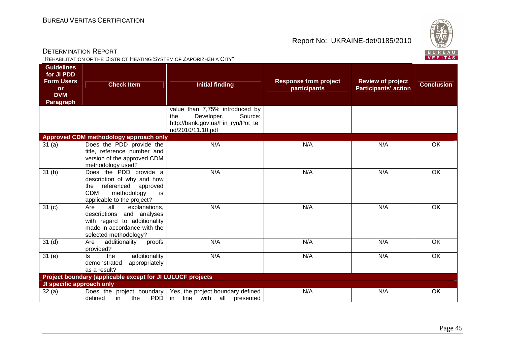

|                                                                                              | 'REHABILITATION OF THE DISTRICT HEATING SYSTEM OF ZAPORIZHZHIA CITY''                                                                               |                                                                                                                          |                                              |                                                         | <u>VENIIA</u> S   |
|----------------------------------------------------------------------------------------------|-----------------------------------------------------------------------------------------------------------------------------------------------------|--------------------------------------------------------------------------------------------------------------------------|----------------------------------------------|---------------------------------------------------------|-------------------|
| <b>Guidelines</b><br>for JI PDD<br><b>Form Users</b><br><b>or</b><br><b>DVM</b><br>Paragraph | <b>Check Item</b>                                                                                                                                   | <b>Initial finding</b>                                                                                                   | <b>Response from project</b><br>participants | <b>Review of project</b><br><b>Participants' action</b> | <b>Conclusion</b> |
|                                                                                              |                                                                                                                                                     | value than 7,75% introduced by<br>Developer.<br>Source:<br>the<br>http://bank.gov.ua/Fin_ryn/Pot_te<br>nd/2010/11.10.pdf |                                              |                                                         |                   |
|                                                                                              | Approved CDM methodology approach only                                                                                                              |                                                                                                                          |                                              |                                                         |                   |
| 31 (a)                                                                                       | Does the PDD provide the<br>title, reference number and<br>version of the approved CDM<br>methodology used?                                         | N/A                                                                                                                      | N/A                                          | N/A                                                     | $\overline{OK}$   |
| 31 <sub>(b)</sub>                                                                            | Does the PDD provide a<br>description of why and how<br>referenced approved<br>the<br><b>CDM</b><br>methodology<br>is<br>applicable to the project? | N/A                                                                                                                      | N/A                                          | N/A                                                     | <b>OK</b>         |
| 31 <sub>(c)</sub>                                                                            | Are<br>all<br>explanations,<br>descriptions and analyses<br>with regard to additionality<br>made in accordance with the<br>selected methodology?    | N/A                                                                                                                      | N/A                                          | N/A                                                     | $\overline{OK}$   |
| 31 <sub>(d)</sub>                                                                            | additionality<br>Are<br>proofs<br>provided?                                                                                                         | N/A                                                                                                                      | N/A                                          | N/A                                                     | OK                |
| 31 <sub>(e)</sub>                                                                            | additionality<br>the<br>ls.<br>demonstrated<br>appropriately<br>as a result?                                                                        | N/A                                                                                                                      | N/A                                          | N/A                                                     | OK                |
|                                                                                              | Project boundary (applicable except for JI LULUCF projects                                                                                          |                                                                                                                          |                                              |                                                         |                   |
| JI specific approach only                                                                    |                                                                                                                                                     |                                                                                                                          |                                              |                                                         |                   |
| 32 (a)                                                                                       | defined<br>PDD   in<br>the<br>in                                                                                                                    | Does the project boundary   Yes, the project boundary defined<br>line with all<br>presented                              | N/A                                          | N/A                                                     | OK                |

DETERMINATION REPORT "REHABILITATION OF THE DISTRICT HEATING SYSTEM OF ZAPORIZHZHIA CITY"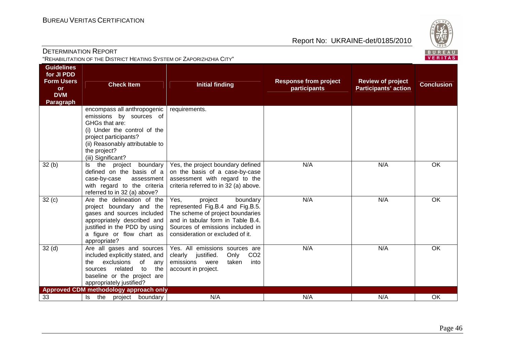

| <b>Guidelines</b><br>for JI PDD<br><b>Form Users</b><br><b>Response from project</b><br><b>Review of project</b><br><b>Check Item</b><br><b>Conclusion</b><br><b>Initial finding</b><br><b>participants</b><br><b>Participants' action</b><br><b>or</b><br><b>DVM</b><br><b>Paragraph</b><br>encompass all anthropogenic<br>requirements.<br>emissions by sources of<br>GHGs that are:<br>(i) Under the control of the<br>project participants?<br>(ii) Reasonably attributable to<br>the project?<br>(iii) Significant?<br>32(b)<br>N/A<br>N/A<br>OK<br>the project<br>boundary<br>Yes, the project boundary defined<br>ls.<br>defined on the basis of a<br>on the basis of a case-by-case<br>assessment with regard to the<br>case-by-case<br>assessment<br>criteria referred to in 32 (a) above.<br>with regard to the criteria<br>referred to in 32 (a) above?<br>OK<br>32(c)<br>Are the delineation of the<br>N/A<br>N/A<br>Yes,<br>project<br>boundary<br>project boundary and the<br>represented Fig.B.4 and Fig.B.5.<br>The scheme of project boundaries<br>gases and sources included<br>and in tabular form in Table B.4.<br>appropriately described and<br>justified in the PDD by using<br>Sources of emissions included in<br>a figure or flow chart as<br>consideration or excluded of it.<br>appropriate?<br>32(d)<br>Are all gases and sources<br>N/A<br>N/A<br>OK<br>Yes. All emissions sources are<br>included explicitly stated, and<br>CO <sub>2</sub><br>clearly justified.<br>Only<br>exclusions<br>of<br>the<br>emissions<br>were<br>taken<br>into<br>any<br>related<br>to<br>account in project.<br>the<br>sources<br>baseline or the project are<br>appropriately justified?<br>Approved CDM methodology approach only<br>N/A<br>33<br>project boundary<br>N/A<br>N/A<br>OK<br>the<br>Is | <b>DETERMINATION REPORT</b><br>"REHABILITATION OF THE DISTRICT HEATING SYSTEM OF ZAPORIZHZHIA CITY" |  |  |  |  |  |
|-------------------------------------------------------------------------------------------------------------------------------------------------------------------------------------------------------------------------------------------------------------------------------------------------------------------------------------------------------------------------------------------------------------------------------------------------------------------------------------------------------------------------------------------------------------------------------------------------------------------------------------------------------------------------------------------------------------------------------------------------------------------------------------------------------------------------------------------------------------------------------------------------------------------------------------------------------------------------------------------------------------------------------------------------------------------------------------------------------------------------------------------------------------------------------------------------------------------------------------------------------------------------------------------------------------------------------------------------------------------------------------------------------------------------------------------------------------------------------------------------------------------------------------------------------------------------------------------------------------------------------------------------------------------------------------------------------------------------------------------------------------------------------------------------------------------|-----------------------------------------------------------------------------------------------------|--|--|--|--|--|
|                                                                                                                                                                                                                                                                                                                                                                                                                                                                                                                                                                                                                                                                                                                                                                                                                                                                                                                                                                                                                                                                                                                                                                                                                                                                                                                                                                                                                                                                                                                                                                                                                                                                                                                                                                                                                   |                                                                                                     |  |  |  |  |  |
|                                                                                                                                                                                                                                                                                                                                                                                                                                                                                                                                                                                                                                                                                                                                                                                                                                                                                                                                                                                                                                                                                                                                                                                                                                                                                                                                                                                                                                                                                                                                                                                                                                                                                                                                                                                                                   |                                                                                                     |  |  |  |  |  |
|                                                                                                                                                                                                                                                                                                                                                                                                                                                                                                                                                                                                                                                                                                                                                                                                                                                                                                                                                                                                                                                                                                                                                                                                                                                                                                                                                                                                                                                                                                                                                                                                                                                                                                                                                                                                                   |                                                                                                     |  |  |  |  |  |
|                                                                                                                                                                                                                                                                                                                                                                                                                                                                                                                                                                                                                                                                                                                                                                                                                                                                                                                                                                                                                                                                                                                                                                                                                                                                                                                                                                                                                                                                                                                                                                                                                                                                                                                                                                                                                   |                                                                                                     |  |  |  |  |  |
|                                                                                                                                                                                                                                                                                                                                                                                                                                                                                                                                                                                                                                                                                                                                                                                                                                                                                                                                                                                                                                                                                                                                                                                                                                                                                                                                                                                                                                                                                                                                                                                                                                                                                                                                                                                                                   |                                                                                                     |  |  |  |  |  |
|                                                                                                                                                                                                                                                                                                                                                                                                                                                                                                                                                                                                                                                                                                                                                                                                                                                                                                                                                                                                                                                                                                                                                                                                                                                                                                                                                                                                                                                                                                                                                                                                                                                                                                                                                                                                                   |                                                                                                     |  |  |  |  |  |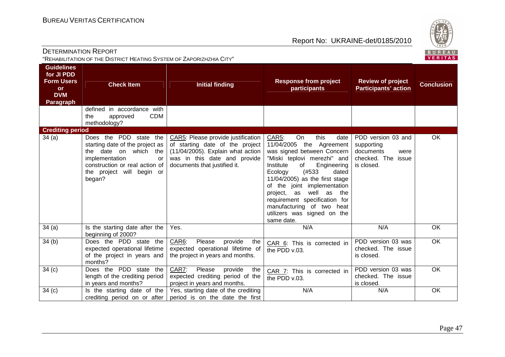

| <b>DETERMINATION REPORT</b><br>"REHABILITATION OF THE DISTRICT HEATING SYSTEM OF ZAPORIZHZHIA CITY" |                                                                                                                                                                                     |                                                                                                                                                                            |                                                                                                                                                                                                                                                                                                                                                                                                         |                                                                                              |                   |  |
|-----------------------------------------------------------------------------------------------------|-------------------------------------------------------------------------------------------------------------------------------------------------------------------------------------|----------------------------------------------------------------------------------------------------------------------------------------------------------------------------|---------------------------------------------------------------------------------------------------------------------------------------------------------------------------------------------------------------------------------------------------------------------------------------------------------------------------------------------------------------------------------------------------------|----------------------------------------------------------------------------------------------|-------------------|--|
| <b>Guidelines</b><br>for JI PDD<br><b>Form Users</b><br><b>or</b><br><b>DVM</b><br><b>Paragraph</b> | <b>Check Item</b>                                                                                                                                                                   | <b>Initial finding</b>                                                                                                                                                     | <b>Response from project</b><br>participants                                                                                                                                                                                                                                                                                                                                                            | <b>Review of project</b><br><b>Participants' action</b>                                      | <b>Conclusion</b> |  |
|                                                                                                     | defined in accordance with<br><b>CDM</b><br>the<br>approved<br>methodology?                                                                                                         |                                                                                                                                                                            |                                                                                                                                                                                                                                                                                                                                                                                                         |                                                                                              |                   |  |
| <b>Crediting period</b><br>34(a)                                                                    | Does the PDD state the<br>starting date of the project as<br>the date on which the<br>implementation<br>or<br>construction or real action of<br>the project will begin or<br>began? | CAR5: Please provide justification<br>of starting date of the project<br>(11/04/2005). Explain what action<br>was in this date and provide<br>documents that justified it. | this<br><b>CAR5:</b><br>On<br>date<br>11/04/2005 the Agreement<br>was signed between Concern<br>"Miski teplovi merezhi" and<br>Institute<br>of<br>Engineering<br>(#533<br>dated<br>Ecology<br>11/04/2005) as the first stage<br>of the joint implementation<br>well as<br>project, as<br>the<br>requirement specification for<br>manufacturing of two heat<br>utilizers was signed on the<br>same date. | PDD version 03 and<br>supporting<br>documents<br>were<br>checked. The<br>issue<br>is closed. | OK                |  |
| 34(a)                                                                                               | Is the starting date after the<br>beginning of 2000?                                                                                                                                | Yes.                                                                                                                                                                       | N/A                                                                                                                                                                                                                                                                                                                                                                                                     | N/A                                                                                          | OK                |  |
| 34(b)                                                                                               | Does the PDD state the<br>expected operational lifetime<br>of the project in years and<br>months?                                                                                   | CAR6:<br>Please<br>provide<br>the<br>expected operational lifetime of<br>the project in years and months.                                                                  | CAR 6: This is corrected in<br>the PDD v.03.                                                                                                                                                                                                                                                                                                                                                            | PDD version 03 was<br>checked. The issue<br>is closed.                                       | OK                |  |
| 34(c)                                                                                               | Does the PDD state the<br>length of the crediting period<br>in years and months?                                                                                                    | CAR7:<br>Please<br>provide<br>the<br>expected crediting period of the<br>project in years and months.                                                                      | CAR 7: This is corrected in<br>the PDD v.03.                                                                                                                                                                                                                                                                                                                                                            | PDD version 03 was<br>checked. The issue<br>is closed.                                       | $\overline{OK}$   |  |
| 34(c)                                                                                               | Is the starting date of the<br>crediting period on or after                                                                                                                         | Yes, starting date of the crediting<br>period is on the date the first                                                                                                     | N/A                                                                                                                                                                                                                                                                                                                                                                                                     | N/A                                                                                          | OK                |  |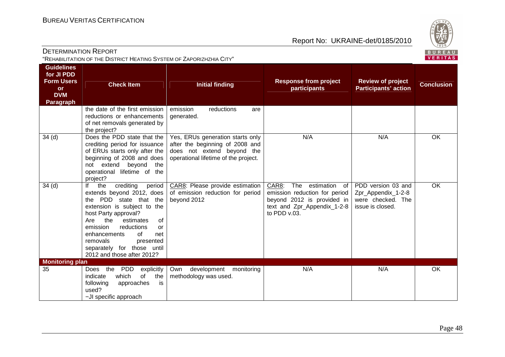

| <b>DETERMINATION REPORT</b><br>BUREAU<br>VERITAS<br>"REHABILITATION OF THE DISTRICT HEATING SYSTEM OF ZAPORIZHZHIA CITY" |                                                                                                                                                                                                                                                                                                                                   |                                                                                                                                           |                                                                                                                                             |                                                                                   |                   |
|--------------------------------------------------------------------------------------------------------------------------|-----------------------------------------------------------------------------------------------------------------------------------------------------------------------------------------------------------------------------------------------------------------------------------------------------------------------------------|-------------------------------------------------------------------------------------------------------------------------------------------|---------------------------------------------------------------------------------------------------------------------------------------------|-----------------------------------------------------------------------------------|-------------------|
| <b>Guidelines</b><br>for JI PDD<br><b>Form Users</b><br><b>or</b><br><b>DVM</b><br>Paragraph                             | <b>Check Item</b>                                                                                                                                                                                                                                                                                                                 | <b>Initial finding</b>                                                                                                                    | <b>Response from project</b><br>participants                                                                                                | <b>Review of project</b><br><b>Participants' action</b>                           | <b>Conclusion</b> |
|                                                                                                                          | the date of the first emission<br>reductions or enhancements<br>of net removals generated by<br>the project?                                                                                                                                                                                                                      | emission<br>reductions<br>are<br>generated.                                                                                               |                                                                                                                                             |                                                                                   |                   |
| 34 <sub>(d)</sub>                                                                                                        | Does the PDD state that the<br>crediting period for issuance<br>of ERUs starts only after the<br>beginning of 2008 and does<br>beyond<br>not extend<br>the<br>operational lifetime of the<br>project?                                                                                                                             | Yes, ERUs generation starts only<br>after the beginning of 2008 and<br>does not extend beyond the<br>operational lifetime of the project. | N/A                                                                                                                                         | N/A                                                                               | OK                |
| 34 <sub>(d)</sub>                                                                                                        | lf<br>crediting<br>the<br>period<br>extends beyond 2012, does<br>the PDD state that the<br>extension is subject to the<br>host Party approval?<br>the<br>Are<br>estimates<br>of<br>emission<br>reductions<br>or<br>enhancements<br>of<br>net<br>removals<br>presented<br>separately for those until<br>2012 and those after 2012? | CAR8: Please provide estimation<br>of emission reduction for period<br>beyond 2012                                                        | CAR8:<br>The estimation<br>of<br>emission reduction for period<br>beyond 2012 is provided in<br>text and Zpr_Appendix_1-2-8<br>to PDD v.03. | PDD version 03 and<br>Zpr_Appendix_1-2-8<br>were checked. The<br>issue is closed. | OK                |
| <b>Monitoring plan</b><br>35                                                                                             | Does the<br>PDD<br>explicitly<br>which<br>of<br>indicate<br>the<br>following<br>approaches<br>is<br>used?<br>-JI specific approach                                                                                                                                                                                                | Own development<br>monitoring<br>methodology was used.                                                                                    | N/A                                                                                                                                         | N/A                                                                               | OK                |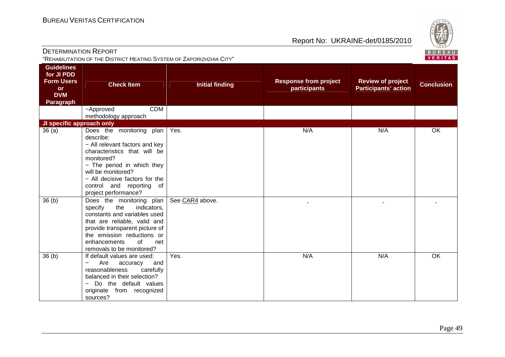sources?

Report No: UKRAINE-det/0185/2010



| $\sim$ $\sim$ $\sim$ $\sim$ $\sim$<br><b>VERITAS</b><br>"REHABILITATION OF THE DISTRICT HEATING SYSTEM OF ZAPORIZHZHIA CITY" |                                                                                                                                                                                                                                                                    |                        |                                              |                                                         |                   |
|------------------------------------------------------------------------------------------------------------------------------|--------------------------------------------------------------------------------------------------------------------------------------------------------------------------------------------------------------------------------------------------------------------|------------------------|----------------------------------------------|---------------------------------------------------------|-------------------|
| <b>Guidelines</b><br>for JI PDD<br><b>Form Users</b><br><b>or</b><br><b>DVM</b><br>Paragraph                                 | <b>Check Item</b>                                                                                                                                                                                                                                                  | <b>Initial finding</b> | <b>Response from project</b><br>participants | <b>Review of project</b><br><b>Participants' action</b> | <b>Conclusion</b> |
|                                                                                                                              | <b>CDM</b><br>-Approved<br>methodology approach                                                                                                                                                                                                                    |                        |                                              |                                                         |                   |
| JI specific approach only                                                                                                    |                                                                                                                                                                                                                                                                    |                        |                                              |                                                         |                   |
| 36 (a)                                                                                                                       | Does the monitoring plan<br>describe:<br>- All relevant factors and key<br>characteristics that will be<br>monitored?<br>- The period in which they<br>will be monitored?<br>- All decisive factors for the<br>control and reporting<br>of<br>project performance? | Yes.                   | N/A                                          | N/A                                                     | OK                |
| 36 <sub>(b)</sub>                                                                                                            | Does the monitoring plan<br>specify the indicators,<br>constants and variables used<br>that are reliable, valid and<br>provide transparent picture of<br>the emission reductions or<br>enhancements<br>0f<br>net<br>removals to be monitored?                      | See CAR4 above.        |                                              |                                                         |                   |
| 36 (b)                                                                                                                       | If default values are used:<br>Are<br>accuracy<br>and<br>reasonableness<br>carefully<br>balanced in their selection?<br>- Do the default values<br>originate from recognized                                                                                       | Yes.                   | N/A                                          | N/A                                                     | OK                |

DETERMINATION REPORT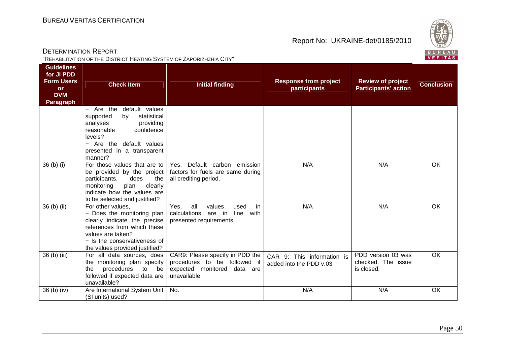unavailable? 36 (b) (iv) Are International System Unit (SI units) used? Report No: UKRAINE-det/0185/2010

No. N/A N/A OK



| DETERMINATION REPORT<br>"REHABILITATION OF THE DISTRICT HEATING SYSTEM OF ZAPORIZHZHIA CITY" |                                                                                                                                                                                                       |                                                                                                                   |                                                       |                                                         | BUREAL<br><b>VERITAS</b> |
|----------------------------------------------------------------------------------------------|-------------------------------------------------------------------------------------------------------------------------------------------------------------------------------------------------------|-------------------------------------------------------------------------------------------------------------------|-------------------------------------------------------|---------------------------------------------------------|--------------------------|
| <b>Guidelines</b><br>for JI PDD<br><b>Form Users</b><br><b>or</b><br><b>DVM</b><br>Paragraph | <b>Check Item</b>                                                                                                                                                                                     | <b>Initial finding</b>                                                                                            | <b>Response from project</b><br>participants          | <b>Review of project</b><br><b>Participants' action</b> | <b>Conclusion</b>        |
|                                                                                              | $-$ Are the<br>default values<br>statistical<br>supported<br>by<br>analyses<br>providing<br>reasonable<br>confidence<br>levels?<br>- Are the default values<br>presented in a transparent<br>manner?  |                                                                                                                   |                                                       |                                                         |                          |
| $36$ (b) (i)                                                                                 | For those values that are to<br>be provided by the project<br>participants,<br>does<br>the<br>monitoring<br>plan<br>clearly<br>indicate how the values are<br>to be selected and justified?           | Yes. Default carbon emission<br>factors for fuels are same during<br>all crediting period.                        | N/A                                                   | N/A                                                     | OK                       |
| 36 (b) (ii)                                                                                  | For other values,<br>- Does the monitoring plan<br>clearly indicate the precise<br>references from which these<br>values are taken?<br>- Is the conservativeness of<br>the values provided justified? | all<br>Yes.<br>values<br>in<br>used<br>calculations<br>line<br>with<br>are in<br>presented requirements.          | N/A                                                   | N/A                                                     | OK                       |
| 36 (b) (iii)                                                                                 | For all data sources, does<br>the monitoring plan specify<br>procedures to<br>the<br>be<br>followed if expected data are                                                                              | CAR9: Please specify in PDD the<br>procedures to be followed if<br>expected monitored<br>data are<br>unavailable. | CAR 9: This information is<br>added into the PDD v.03 | PDD version 03 was<br>checked. The issue<br>is closed.  | OK                       |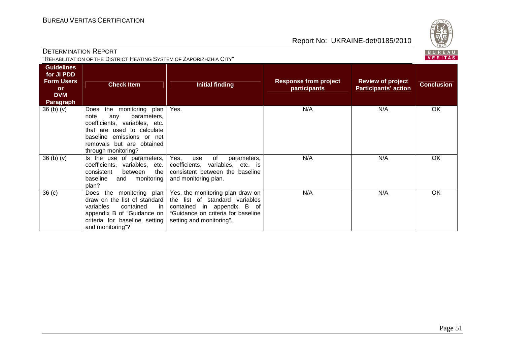

| <b>DETERMINATION REPORT</b>                                          |
|----------------------------------------------------------------------|
| "REHABILITATION OF THE DISTRICT HEATING SYSTEM OF ZAPORIZHZHIA CITY" |

| <b>Guidelines</b><br>for JI PDD<br><b>Form Users</b><br>or<br><b>DVM</b><br><b>Paragraph</b> | <b>Check Item</b>                                                                                                                                                                                         | <b>Initial finding</b>                                                                                                                                             | <b>Response from project</b><br>participants | <b>Review of project</b><br><b>Participants' action</b> | <b>Conclusion</b> |
|----------------------------------------------------------------------------------------------|-----------------------------------------------------------------------------------------------------------------------------------------------------------------------------------------------------------|--------------------------------------------------------------------------------------------------------------------------------------------------------------------|----------------------------------------------|---------------------------------------------------------|-------------------|
| 36 <sub>(b)</sub> <sub>(v)</sub>                                                             | the monitoring plan<br>Does<br>note<br>any<br>parameters,<br>coefficients, variables, etc.<br>that are used to calculate<br>baseline emissions or net<br>removals but are obtained<br>through monitoring? | Yes.                                                                                                                                                               | N/A                                          | N/A                                                     | OK                |
| 36 (b) (v)                                                                                   | Is the use of parameters,<br>coefficients, variables, etc.<br>consistent<br>the<br>between<br>baseline<br>and monitoring<br>plan?                                                                         | Yes,<br>of<br>use<br>parameters,<br>coefficients, variables, etc. is<br>consistent between the baseline<br>and monitoring plan.                                    | N/A                                          | N/A                                                     | OK                |
| 36 <sub>(c)</sub>                                                                            | the monitoring plan<br>Does<br>draw on the list of standard<br>variables<br>contained<br>in.<br>appendix B of "Guidance on<br>criteria for baseline setting<br>and monitoring"?                           | Yes, the monitoring plan draw on<br>the list of standard variables<br>contained in appendix B of<br>"Guidance on criteria for baseline<br>setting and monitoring". | N/A                                          | N/A                                                     | OK                |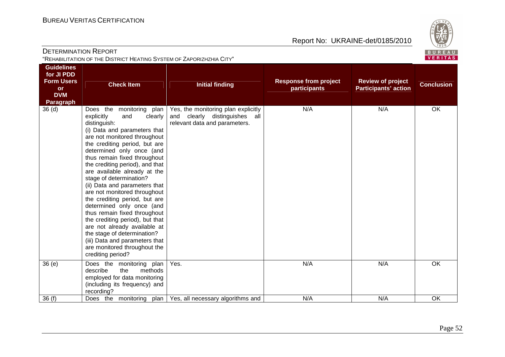

| <b>DETERMINATION REPORT</b><br>"REHABILITATION OF THE DISTRICT HEATING SYSTEM OF ZAPORIZHZHIA CITY" |                                                                                                                                                                                                                                                                                                                                                                                                                                                                                                                                                                                                                                                                                                |                                                                                                       |                                              |                                                         | ごじょン<br>BUREAL<br>VERITAS |
|-----------------------------------------------------------------------------------------------------|------------------------------------------------------------------------------------------------------------------------------------------------------------------------------------------------------------------------------------------------------------------------------------------------------------------------------------------------------------------------------------------------------------------------------------------------------------------------------------------------------------------------------------------------------------------------------------------------------------------------------------------------------------------------------------------------|-------------------------------------------------------------------------------------------------------|----------------------------------------------|---------------------------------------------------------|---------------------------|
| <b>Guidelines</b><br>for JI PDD<br><b>Form Users</b><br><b>or</b><br><b>DVM</b><br>Paragraph        | <b>Check Item</b>                                                                                                                                                                                                                                                                                                                                                                                                                                                                                                                                                                                                                                                                              | <b>Initial finding</b>                                                                                | <b>Response from project</b><br>participants | <b>Review of project</b><br><b>Participants' action</b> | <b>Conclusion</b>         |
| 36(d)                                                                                               | Does the monitoring plan  <br>explicitly<br>and<br>clearly<br>distinguish:<br>(i) Data and parameters that<br>are not monitored throughout<br>the crediting period, but are<br>determined only once (and<br>thus remain fixed throughout<br>the crediting period), and that<br>are available already at the<br>stage of determination?<br>(ii) Data and parameters that<br>are not monitored throughout<br>the crediting period, but are<br>determined only once (and<br>thus remain fixed throughout<br>the crediting period), but that<br>are not already available at<br>the stage of determination?<br>(iii) Data and parameters that<br>are monitored throughout the<br>crediting period? | Yes, the monitoring plan explicitly<br>and clearly distinguishes all<br>relevant data and parameters. | N/A                                          | N/A                                                     | OK                        |
| 36(e)                                                                                               | Does the monitoring plan<br>describe<br>the<br>methods<br>employed for data monitoring<br>(including its frequency) and<br>recording?                                                                                                                                                                                                                                                                                                                                                                                                                                                                                                                                                          | Yes.                                                                                                  | N/A                                          | N/A                                                     | OK                        |
| 36(f)                                                                                               | Does the monitoring<br>plan                                                                                                                                                                                                                                                                                                                                                                                                                                                                                                                                                                                                                                                                    | Yes, all necessary algorithms and                                                                     | N/A                                          | N/A                                                     | OK                        |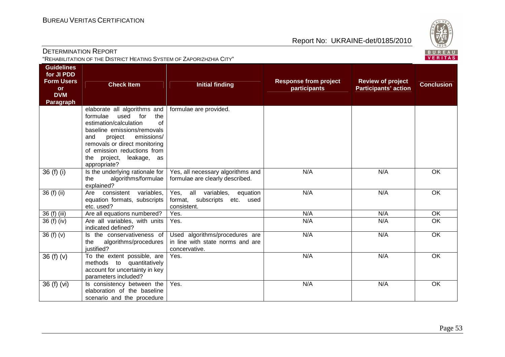

| <b>DETERMINATION REPORT</b><br>"REHABILITATION OF THE DISTRICT HEATING SYSTEM OF ZAPORIZHZHIA CITY" |                                                                                                                                                                                                                                                                              |                                                                                         |                                              |                                                         | $\vee$ 829/<br>BUREAL<br><b>VERITAS</b> |  |
|-----------------------------------------------------------------------------------------------------|------------------------------------------------------------------------------------------------------------------------------------------------------------------------------------------------------------------------------------------------------------------------------|-----------------------------------------------------------------------------------------|----------------------------------------------|---------------------------------------------------------|-----------------------------------------|--|
| <b>Guidelines</b><br>for JI PDD<br><b>Form Users</b><br><b>or</b><br><b>DVM</b><br><b>Paragraph</b> | <b>Check Item</b>                                                                                                                                                                                                                                                            | <b>Initial finding</b>                                                                  | <b>Response from project</b><br>participants | <b>Review of project</b><br><b>Participants' action</b> | <b>Conclusion</b>                       |  |
|                                                                                                     | elaborate all algorithms and<br>formulae<br>used<br>for<br>the<br>estimation/calculation<br>of<br>baseline emissions/removals<br>emissions/<br>and<br>project<br>removals or direct monitoring<br>of emission reductions from<br>project, leakage, as<br>the<br>appropriate? | formulae are provided.                                                                  |                                              |                                                         |                                         |  |
| 36 (f) (i)                                                                                          | Is the underlying rationale for<br>algorithms/formulae<br>the<br>explained?                                                                                                                                                                                                  | Yes, all necessary algorithms and<br>formulae are clearly described.                    | N/A                                          | N/A                                                     | OK                                      |  |
| 36 (f) (ii)                                                                                         | consistent variables,<br>Are<br>equation formats, subscripts<br>etc. used?                                                                                                                                                                                                   | all variables,<br>Yes,<br>equation<br>format, subscripts<br>etc.<br>used<br>consistent. | N/A                                          | N/A                                                     | OK                                      |  |
| 36 (f) (iii)                                                                                        | Are all equations numbered?                                                                                                                                                                                                                                                  | Yes.                                                                                    | N/A                                          | N/A                                                     | OK                                      |  |
| 36 (f) (iv)                                                                                         | Are all variables, with units<br>indicated defined?                                                                                                                                                                                                                          | Yes.                                                                                    | N/A                                          | N/A                                                     | <b>OK</b>                               |  |
| 36 $(f)(v)$                                                                                         | Is the conservativeness of<br>algorithms/procedures<br>the<br>justified?                                                                                                                                                                                                     | Used algorithms/procedures are<br>in line with state norms and are<br>concervative.     | N/A                                          | N/A                                                     | $\overline{OK}$                         |  |
| 36 $(f)(v)$                                                                                         | To the extent possible, are<br>methods to quantitatively<br>account for uncertainty in key<br>parameters included?                                                                                                                                                           | Yes.                                                                                    | N/A                                          | N/A                                                     | OK                                      |  |
| 36 (f) (vi)                                                                                         | Is consistency between the<br>elaboration of the baseline                                                                                                                                                                                                                    | Yes.                                                                                    | N/A                                          | N/A                                                     | OK                                      |  |

scenario and the procedure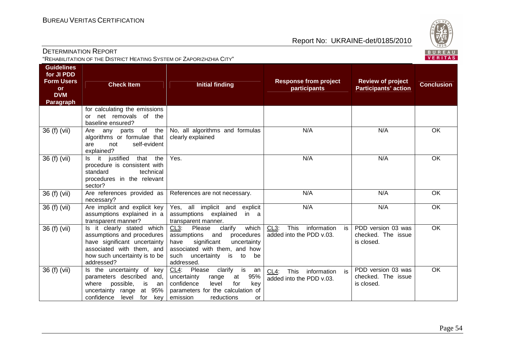

| <b>DETERMINATION REPORT</b>                                          |
|----------------------------------------------------------------------|
| "REHABILITATION OF THE DISTRICT HEATING SYSTEM OF ZAPORIZHZHIA CITY" |

| <b>Guidelines</b><br>for JI PDD<br><b>Form Users</b><br><b>or</b><br><b>DVM</b><br>Paragraph | <b>Check Item</b>                                                                                                                                                    | <b>Initial finding</b>                                                                                                                                                                               | <b>Response from project</b><br>participants                               | <b>Review of project</b><br><b>Participants' action</b> | <b>Conclusion</b> |
|----------------------------------------------------------------------------------------------|----------------------------------------------------------------------------------------------------------------------------------------------------------------------|------------------------------------------------------------------------------------------------------------------------------------------------------------------------------------------------------|----------------------------------------------------------------------------|---------------------------------------------------------|-------------------|
|                                                                                              | for calculating the emissions<br>net removals of the<br>or<br>baseline ensured?                                                                                      |                                                                                                                                                                                                      |                                                                            |                                                         |                   |
| 36 (f) (vii)                                                                                 | of<br>the<br>Are<br>any parts<br>algorithms or formulae that<br>self-evident<br>are<br>not<br>explained?                                                             | No, all algorithms and formulas<br>clearly explained                                                                                                                                                 | N/A                                                                        | N/A                                                     | <b>OK</b>         |
| 36 (f) (vii)                                                                                 | Is it justified<br>that<br>the<br>procedure is consistent with<br>standard<br>technical<br>procedures in the relevant<br>sector?                                     | Yes.                                                                                                                                                                                                 | N/A                                                                        | N/A                                                     | OK                |
| 36 (f) (vii)                                                                                 | Are references provided as<br>necessary?                                                                                                                             | References are not necessary.                                                                                                                                                                        | N/A                                                                        | N/A                                                     | <b>OK</b>         |
| 36 (f) (vii)                                                                                 | Are implicit and explicit key<br>assumptions explained in a<br>transparent manner?                                                                                   | Yes, all implicit and explicit<br>assumptions explained<br>in a<br>transparent manner.                                                                                                               | N/A                                                                        | N/A                                                     | OK                |
| 36 (f) (vii)                                                                                 | Is it clearly stated which<br>assumptions and procedures<br>have significant uncertainty<br>associated with them, and<br>how such uncertainty is to be<br>addressed? | clarify<br>$CL3$ :<br>Please<br>which<br>assumptions<br>procedures<br>and<br>significant<br>uncertainty<br>have<br>associated with them, and how<br>such<br>uncertainty<br>is to<br>be<br>addressed. | This<br>information<br>CL <sub>3</sub> :<br>is<br>added into the PDD v.03. | PDD version 03 was<br>checked. The issue<br>is closed.  | <b>OK</b>         |
| 36 (f) (vii)                                                                                 | Is the uncertainty of key<br>parameters described<br>and.<br>possible,<br>where<br>is<br>an<br>at 95%<br>uncertainty range<br>confidence<br>level for<br>key         | $CL4$ :<br>clarify<br>is<br>Please<br>an<br>95%<br>uncertainty<br>range<br>at<br>confidence<br>for<br>key<br>level<br>parameters for the calculation of<br>emission<br>reductions<br><b>or</b>       | This<br>information<br>$CL4$ :<br>is is<br>added into the PDD v.03.        | PDD version 03 was<br>checked. The issue<br>is closed.  | <b>OK</b>         |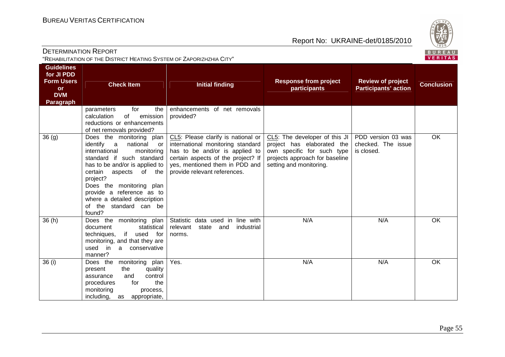

| <b>DETERMINATION REPORT</b><br>"REHABILITATION OF THE DISTRICT HEATING SYSTEM OF ZAPORIZHZHIA CITY" |                                                                                                                                                                                                                                                                                                                                   |                                                                                                                                                                                                                   |                                                                                                                                                        |                                                         | ごご<br>BUREAL<br><b>VERITAS</b> |
|-----------------------------------------------------------------------------------------------------|-----------------------------------------------------------------------------------------------------------------------------------------------------------------------------------------------------------------------------------------------------------------------------------------------------------------------------------|-------------------------------------------------------------------------------------------------------------------------------------------------------------------------------------------------------------------|--------------------------------------------------------------------------------------------------------------------------------------------------------|---------------------------------------------------------|--------------------------------|
| <b>Guidelines</b><br>for JI PDD<br><b>Form Users</b><br><b>or</b><br><b>DVM</b><br><b>Paragraph</b> | <b>Check Item</b>                                                                                                                                                                                                                                                                                                                 | <b>Initial finding</b>                                                                                                                                                                                            | <b>Response from project</b><br>participants                                                                                                           | <b>Review of project</b><br><b>Participants' action</b> | <b>Conclusion</b>              |
|                                                                                                     | for<br>parameters<br>the<br>calculation<br>of<br>emission<br>reductions or enhancements<br>of net removals provided?                                                                                                                                                                                                              | enhancements of net removals<br>provided?                                                                                                                                                                         |                                                                                                                                                        |                                                         |                                |
| 36(9)                                                                                               | Does the monitoring plan<br>identify<br>national<br>a a<br>or<br>international<br>monitoring<br>standard if such standard<br>has to be and/or is applied to<br>certain<br>aspects of the<br>project?<br>Does the monitoring plan<br>provide a reference as to<br>where a detailed description<br>of the standard can be<br>found? | CL5: Please clarify is national or<br>international monitoring standard<br>has to be and/or is applied to<br>certain aspects of the project? If<br>yes, mentioned them in PDD and<br>provide relevant references. | CL5: The developer of this JI<br>project has elaborated the<br>own specific for such type<br>projects approach for baseline<br>setting and monitoring. | PDD version 03 was<br>checked. The issue<br>is closed.  | OK                             |
| 36(h)                                                                                               | Does the monitoring plan<br>document<br>statistical<br>if<br>techniques,<br>used<br>for<br>monitoring, and that they are<br>used in a conservative<br>manner?                                                                                                                                                                     | Statistic data used in line with<br>relevant<br>state<br>industrial<br>and<br>norms.                                                                                                                              | N/A                                                                                                                                                    | N/A                                                     | OK                             |
| 36(i)                                                                                               | Does the<br>monitoring plan<br>the<br>present<br>quality<br>control<br>and<br>assurance<br>the<br>for<br>procedures<br>monitoring<br>process,<br>including,<br>appropriate,<br>as                                                                                                                                                 | Yes.                                                                                                                                                                                                              | N/A                                                                                                                                                    | N/A                                                     | OK                             |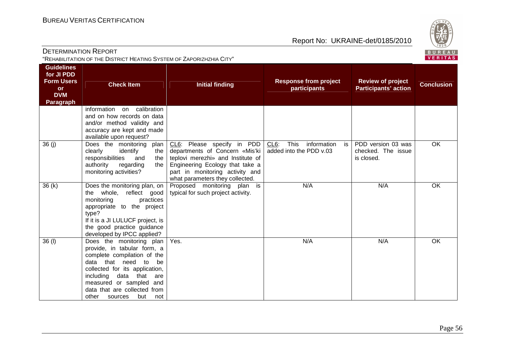

| <b>DETERMINATION REPORT</b>                                          |  |
|----------------------------------------------------------------------|--|
| "REHABILITATION OF THE DISTRICT HEATING SYSTEM OF ZAPORIZHZHIA CITY" |  |

| <b>Guidelines</b><br>for JI PDD<br><b>Form Users</b><br><b>or</b><br><b>DVM</b><br>Paragraph | <b>Check Item</b>                                                                                                                                                                                                                                                              | <b>Initial finding</b>                                                                                                                                                                                     | <b>Response from project</b><br>participants                               | <b>Review of project</b><br><b>Participants' action</b> | <b>Conclusion</b> |
|----------------------------------------------------------------------------------------------|--------------------------------------------------------------------------------------------------------------------------------------------------------------------------------------------------------------------------------------------------------------------------------|------------------------------------------------------------------------------------------------------------------------------------------------------------------------------------------------------------|----------------------------------------------------------------------------|---------------------------------------------------------|-------------------|
|                                                                                              | information<br>on calibration<br>and on how records on data<br>and/or method validity and<br>accuracy are kept and made<br>available upon request?                                                                                                                             |                                                                                                                                                                                                            |                                                                            |                                                         |                   |
| 36(j)                                                                                        | Does the monitoring<br>plan<br>clearly<br>identify<br>the I<br>responsibilities<br>and<br>the<br>authority<br>regarding<br>the<br>monitoring activities?                                                                                                                       | CL6: Please specify in PDD<br>departments of Concern «Mis'ki<br>teplovi merezhi» and Institute of<br>Engineering Ecology that take a<br>part in monitoring activity and<br>what parameters they collected. | information<br>This<br>CL <sub>6</sub> :<br>is.<br>added into the PDD v.03 | PDD version 03 was<br>checked. The issue<br>is closed.  | OK                |
| 36(k)                                                                                        | Does the monitoring plan, on<br>the whole, reflect good<br>monitoring<br>practices<br>appropriate to the project<br>type?<br>If it is a JI LULUCF project, is<br>the good practice guidance<br>developed by IPCC applied?                                                      | Proposed monitoring plan is<br>typical for such project activity.                                                                                                                                          | N/A                                                                        | N/A                                                     | OK                |
| 36 (I)                                                                                       | Does the monitoring plan<br>provide, in tabular form, a<br>complete compilation of the<br>data that need to be<br>collected for its application,<br>including<br>data that<br>are<br>measured or sampled and<br>data that are collected from<br>other<br>sources<br>but<br>not | Yes.                                                                                                                                                                                                       | N/A                                                                        | N/A                                                     | OK                |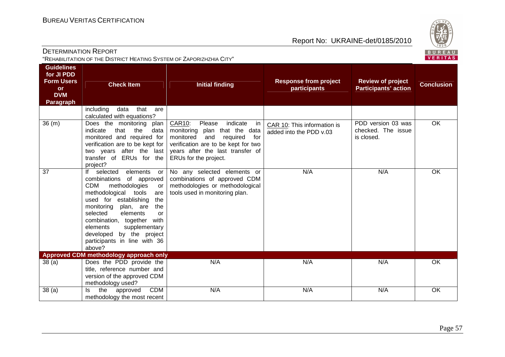

| <b>DETERMINATION REPORT</b>                                          |  |
|----------------------------------------------------------------------|--|
| "REHABILITATION OF THE DISTRICT HEATING SYSTEM OF ZAPORIZHZHIA CITY" |  |

| <b>Guidelines</b><br>for JI PDD<br><b>Form Users</b><br><b>or</b><br><b>DVM</b><br><b>Paragraph</b> | <b>Check Item</b>                                                                                                                                                                                                                                                                                                                                                          | <b>Initial finding</b>                                                                                                                                                                                                  | <b>Response from project</b><br>participants           | <b>Review of project</b><br><b>Participants' action</b> | <b>Conclusion</b> |
|-----------------------------------------------------------------------------------------------------|----------------------------------------------------------------------------------------------------------------------------------------------------------------------------------------------------------------------------------------------------------------------------------------------------------------------------------------------------------------------------|-------------------------------------------------------------------------------------------------------------------------------------------------------------------------------------------------------------------------|--------------------------------------------------------|---------------------------------------------------------|-------------------|
|                                                                                                     | including<br>that<br>data<br>are<br>calculated with equations?                                                                                                                                                                                                                                                                                                             |                                                                                                                                                                                                                         |                                                        |                                                         |                   |
| 36(m)                                                                                               | Does the monitoring<br>plan<br>that<br>the<br>indicate<br>data<br>monitored and required for<br>verification are to be kept for<br>two years after the last<br>transfer of ERUs for the<br>project?                                                                                                                                                                        | <b>CAR10:</b><br>indicate<br>Please<br>- in<br>monitoring plan that the data<br>monitored<br>and<br>required<br>for<br>verification are to be kept for two<br>years after the last transfer of<br>ERUs for the project. | CAR 10: This information is<br>added into the PDD v.03 | PDD version 03 was<br>checked. The issue<br>is closed.  | OK                |
| 37                                                                                                  | selected<br>elements<br>lf<br>or<br>combinations<br>of approved<br><b>CDM</b><br>methodologies<br>or<br>methodological tools<br>are<br>used for establishing<br>the<br>monitoring<br>plan, are<br>the<br>selected<br>elements<br>$\alpha$<br>combination, together with<br>elements<br>supplementary<br>developed by the project<br>participants in line with 36<br>above? | No any selected elements or<br>combinations of approved CDM<br>methodologies or methodological<br>tools used in monitoring plan.                                                                                        | N/A                                                    | N/A                                                     | OK                |
| 38(a)                                                                                               | Approved CDM methodology approach only<br>Does the PDD provide the                                                                                                                                                                                                                                                                                                         | N/A                                                                                                                                                                                                                     | N/A                                                    | N/A                                                     | OK                |
|                                                                                                     | title, reference number and<br>version of the approved CDM<br>methodology used?                                                                                                                                                                                                                                                                                            |                                                                                                                                                                                                                         |                                                        |                                                         |                   |
| 38(a)                                                                                               | <b>CDM</b><br>the<br>approved<br>ls.<br>methodology the most recent                                                                                                                                                                                                                                                                                                        | N/A                                                                                                                                                                                                                     | N/A                                                    | N/A                                                     | OK                |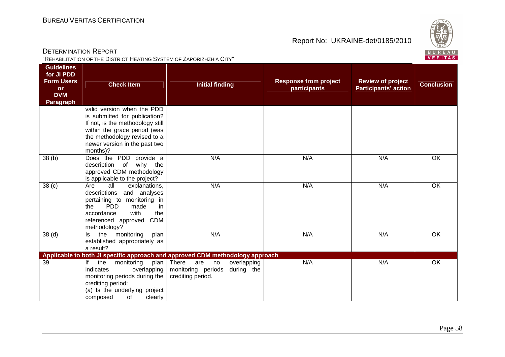

| <b>DETERMINATION REPORT</b>                                                                         | "REHABILITATION OF THE DISTRICT HEATING SYSTEM OF ZAPORIZHZHIA CITY"                                                                                                                                         |                                                                                                                                                                             |                                              |                                                         | ーーー<br>BUREAL<br><b>VERITAS</b> |
|-----------------------------------------------------------------------------------------------------|--------------------------------------------------------------------------------------------------------------------------------------------------------------------------------------------------------------|-----------------------------------------------------------------------------------------------------------------------------------------------------------------------------|----------------------------------------------|---------------------------------------------------------|---------------------------------|
| <b>Guidelines</b><br>for JI PDD<br><b>Form Users</b><br><b>or</b><br><b>DVM</b><br><b>Paragraph</b> | <b>Check Item</b>                                                                                                                                                                                            | <b>Initial finding</b>                                                                                                                                                      | <b>Response from project</b><br>participants | <b>Review of project</b><br><b>Participants' action</b> | <b>Conclusion</b>               |
|                                                                                                     | valid version when the PDD<br>is submitted for publication?<br>If not, is the methodology still<br>within the grace period (was<br>the methodology revised to a<br>newer version in the past two<br>months)? |                                                                                                                                                                             |                                              |                                                         |                                 |
| 38(b)                                                                                               | Does the PDD provide a<br>of why the<br>description<br>approved CDM methodology<br>is applicable to the project?                                                                                             | N/A                                                                                                                                                                         | N/A                                          | N/A                                                     | OK                              |
| 38 <sub>(c)</sub>                                                                                   | Are<br>all<br>explanations,<br>descriptions and analyses<br>pertaining to monitoring in<br><b>PDD</b><br>made<br>the<br>in<br>with<br>accordance<br>the<br><b>CDM</b><br>referenced approved<br>methodology? | N/A                                                                                                                                                                         | N/A                                          | N/A                                                     | OK                              |
| 38 <sub>(d)</sub>                                                                                   | the<br>monitoring<br>plan<br>Is<br>established appropriately as<br>a result?                                                                                                                                 | N/A                                                                                                                                                                         | N/A                                          | N/A                                                     | OK                              |
| 39                                                                                                  | the<br>monitoring<br>lf<br>plan<br>indicates<br>overlapping<br>monitoring periods during the<br>crediting period:<br>(a) Is the underlying project<br>clearly<br>composed<br>0f                              | Applicable to both JI specific approach and approved CDM methodology approach<br>There<br>overlapping<br>are<br>no<br>monitoring periods<br>during the<br>crediting period. | N/A                                          | N/A                                                     | OK                              |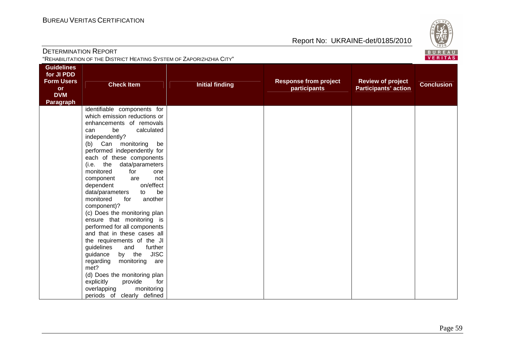

| <b>DETERMINATION REPORT</b>                          |                                                                                                                                                                                                                                                                                                                                                                                                                                                                                                                                                                                                                                                                                                                                                      |                        |                              |                             | BUREAL            |
|------------------------------------------------------|------------------------------------------------------------------------------------------------------------------------------------------------------------------------------------------------------------------------------------------------------------------------------------------------------------------------------------------------------------------------------------------------------------------------------------------------------------------------------------------------------------------------------------------------------------------------------------------------------------------------------------------------------------------------------------------------------------------------------------------------------|------------------------|------------------------------|-----------------------------|-------------------|
|                                                      | "REHABILITATION OF THE DISTRICT HEATING SYSTEM OF ZAPORIZHZHIA CITY"                                                                                                                                                                                                                                                                                                                                                                                                                                                                                                                                                                                                                                                                                 |                        |                              |                             | <b>VERITAS</b>    |
| <b>Guidelines</b><br>for JI PDD<br><b>Form Users</b> |                                                                                                                                                                                                                                                                                                                                                                                                                                                                                                                                                                                                                                                                                                                                                      |                        | <b>Response from project</b> | <b>Review of project</b>    |                   |
| <b>or</b>                                            | <b>Check Item</b>                                                                                                                                                                                                                                                                                                                                                                                                                                                                                                                                                                                                                                                                                                                                    | <b>Initial finding</b> | participants                 | <b>Participants' action</b> | <b>Conclusion</b> |
| <b>DVM</b>                                           |                                                                                                                                                                                                                                                                                                                                                                                                                                                                                                                                                                                                                                                                                                                                                      |                        |                              |                             |                   |
| <b>Paragraph</b>                                     |                                                                                                                                                                                                                                                                                                                                                                                                                                                                                                                                                                                                                                                                                                                                                      |                        |                              |                             |                   |
|                                                      | identifiable components for<br>which emission reductions or<br>enhancements of removals<br>calculated<br>be<br>can<br>independently?<br>(b) Can monitoring<br>be<br>performed independently for<br>each of these components<br>(i.e. the data/parameters<br>monitored<br>for<br>one<br>component<br>not<br>are<br>dependent<br>on/effect<br>be<br>data/parameters<br>to<br>monitored<br>another<br>for<br>component)?<br>(c) Does the monitoring plan<br>ensure that monitoring is<br>performed for all components<br>and that in these cases all<br>the requirements of the JI<br>guidelines<br>further<br>and<br>by the JISC<br>guidance<br>regarding<br>monitoring<br>are<br>met?<br>(d) Does the monitoring plan<br>provide<br>explicitly<br>for |                        |                              |                             |                   |
|                                                      | overlapping<br>monitoring<br>periods of clearly defined                                                                                                                                                                                                                                                                                                                                                                                                                                                                                                                                                                                                                                                                                              |                        |                              |                             |                   |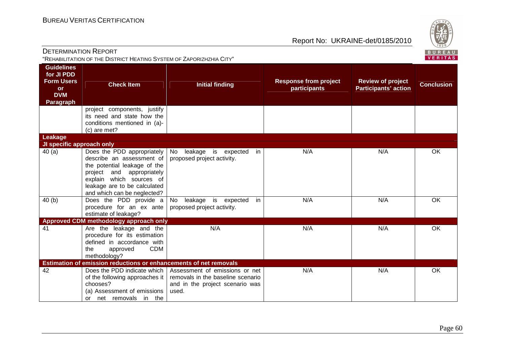

DETERMINATION REPORT"REHABILITATION OF THE DISTRICT HEATING SYSTEM OF ZAPORIZHZHIA CITY"

| <b>Guidelines</b><br>for JI PDD<br><b>Form Users</b><br><b>or</b><br><b>DVM</b><br><b>Paragraph</b> | <b>Check Item</b>                                                                                                                                                                                                  | <b>Initial finding</b>                                                                                          | <b>Response from project</b><br>participants | <b>Review of project</b><br><b>Participants' action</b> | <b>Conclusion</b> |
|-----------------------------------------------------------------------------------------------------|--------------------------------------------------------------------------------------------------------------------------------------------------------------------------------------------------------------------|-----------------------------------------------------------------------------------------------------------------|----------------------------------------------|---------------------------------------------------------|-------------------|
|                                                                                                     | project components, justify<br>its need and state how the<br>conditions mentioned in (a)-<br>(c) are met?                                                                                                          |                                                                                                                 |                                              |                                                         |                   |
| Leakage<br>JI specific approach only                                                                |                                                                                                                                                                                                                    |                                                                                                                 |                                              |                                                         |                   |
| 40(a)                                                                                               | Does the PDD appropriately<br>describe an assessment of<br>the potential leakage of the<br>and appropriately<br>project<br>explain which sources of<br>leakage are to be calculated<br>and which can be neglected? | No<br>leakage is expected<br>in<br>proposed project activity.                                                   | N/A                                          | N/A                                                     | OK                |
| 40(b)                                                                                               | Does the PDD provide a<br>procedure for an ex ante<br>estimate of leakage?                                                                                                                                         | leakage<br>is expected<br>No<br>in<br>proposed project activity.                                                | N/A                                          | N/A                                                     | OK                |
| 41                                                                                                  | Approved CDM methodology approach only<br>Are the leakage and the<br>procedure for its estimation<br>defined in accordance with<br><b>CDM</b><br>the<br>approved<br>methodology?                                   | N/A                                                                                                             | N/A                                          | N/A                                                     | OK.               |
|                                                                                                     | Estimation of emission reductions or enhancements of net removals                                                                                                                                                  |                                                                                                                 |                                              |                                                         |                   |
| 42                                                                                                  | Does the PDD indicate which  <br>of the following approaches it<br>chooses?<br>(a) Assessment of emissions<br>net removals in the<br>or                                                                            | Assessment of emissions or net<br>removals in the baseline scenario<br>and in the project scenario was<br>used. | N/A                                          | N/A                                                     | OK                |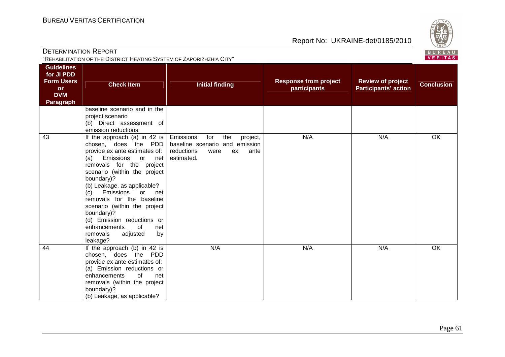

| <b>DETERMINATION REPORT</b><br>"REHABILITATION OF THE DISTRICT HEATING SYSTEM OF ZAPORIZHZHIA CITY" |                                                                                                                                                                                                                                                                                                                                                                                                                                                          |                                                                                                                         |                                              | ごご<br>BUREAL<br><b>VERITAS</b>                          |                   |
|-----------------------------------------------------------------------------------------------------|----------------------------------------------------------------------------------------------------------------------------------------------------------------------------------------------------------------------------------------------------------------------------------------------------------------------------------------------------------------------------------------------------------------------------------------------------------|-------------------------------------------------------------------------------------------------------------------------|----------------------------------------------|---------------------------------------------------------|-------------------|
| <b>Guidelines</b><br>for JI PDD<br><b>Form Users</b><br><b>or</b><br><b>DVM</b><br><b>Paragraph</b> | <b>Check Item</b>                                                                                                                                                                                                                                                                                                                                                                                                                                        | <b>Initial finding</b>                                                                                                  | <b>Response from project</b><br>participants | <b>Review of project</b><br><b>Participants' action</b> | <b>Conclusion</b> |
|                                                                                                     | baseline scenario and in the<br>project scenario<br>(b) Direct assessment of<br>emission reductions                                                                                                                                                                                                                                                                                                                                                      |                                                                                                                         |                                              |                                                         |                   |
| 43                                                                                                  | If the approach (a) in 42 is $\vert$<br>chosen, does the PDD<br>provide ex ante estimates of:<br>Emissions<br>(a)<br>or<br>net<br>removals for the project<br>scenario (within the project<br>boundary)?<br>(b) Leakage, as applicable?<br>Emissions<br>(c)<br>or<br>net<br>removals for the baseline<br>scenario (within the project<br>boundary)?<br>(d) Emission reductions or<br>enhancements<br>0f<br>net<br>removals<br>adjusted<br>by<br>leakage? | Emissions<br>for<br>the<br>project,<br>baseline scenario and emission<br>reductions<br>ex<br>ante<br>were<br>estimated. | N/A                                          | N/A                                                     | OK                |
| 44                                                                                                  | If the approach (b) in $42$ is<br>chosen, does the PDD<br>provide ex ante estimates of:<br>(a) Emission reductions or<br>enhancements<br>of<br>net<br>removals (within the project                                                                                                                                                                                                                                                                       | N/A                                                                                                                     | N/A                                          | N/A                                                     | OK                |

boundary)?<br>(b) Leakage, as applicable?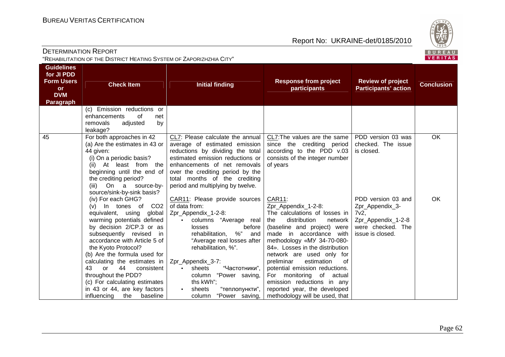

| <b>DETERMINATION REPORT</b>                                          |  |
|----------------------------------------------------------------------|--|
| "REHABILITATION OF THE DISTRICT HEATING SYSTEM OF ZAPORIZHZHIA CITY" |  |

| <b>Guidelines</b><br>for JI PDD<br><b>Form Users</b><br><b>or</b><br><b>DVM</b><br><b>Paragraph</b> | <b>Check Item</b>                                                                                                                                                                                                                                                                                                                                                                                                                                         | <b>Initial finding</b>                                                                                                                                                                                                                                                                                                                                                   | <b>Response from project</b><br>participants                                                                                                                                                                                                                                                                                                                                                                                                                         | <b>Review of project</b><br><b>Participants' action</b>                                                         | <b>Conclusion</b> |
|-----------------------------------------------------------------------------------------------------|-----------------------------------------------------------------------------------------------------------------------------------------------------------------------------------------------------------------------------------------------------------------------------------------------------------------------------------------------------------------------------------------------------------------------------------------------------------|--------------------------------------------------------------------------------------------------------------------------------------------------------------------------------------------------------------------------------------------------------------------------------------------------------------------------------------------------------------------------|----------------------------------------------------------------------------------------------------------------------------------------------------------------------------------------------------------------------------------------------------------------------------------------------------------------------------------------------------------------------------------------------------------------------------------------------------------------------|-----------------------------------------------------------------------------------------------------------------|-------------------|
|                                                                                                     | (c) Emission reductions or<br>enhancements<br>of<br>net                                                                                                                                                                                                                                                                                                                                                                                                   |                                                                                                                                                                                                                                                                                                                                                                          |                                                                                                                                                                                                                                                                                                                                                                                                                                                                      |                                                                                                                 |                   |
|                                                                                                     | removals<br>adjusted<br>by<br>leakage?                                                                                                                                                                                                                                                                                                                                                                                                                    |                                                                                                                                                                                                                                                                                                                                                                          |                                                                                                                                                                                                                                                                                                                                                                                                                                                                      |                                                                                                                 |                   |
| 45                                                                                                  | For both approaches in 42<br>(a) Are the estimates in 43 or<br>44 given:<br>(i) On a periodic basis?<br>At least from the<br>(ii)<br>beginning until the end of<br>the crediting period?<br>On a source-by-<br>(iii)<br>source/sink-by-sink basis?                                                                                                                                                                                                        | CL7: Please calculate the annual<br>average of estimated emission<br>reductions by dividing the total<br>estimated emission reductions or<br>enhancements of net removals<br>over the crediting period by the<br>total months of the crediting<br>period and multiplying by twelve.                                                                                      | CL7: The values are the same $ $<br>since the crediting period<br>according to the PDD v.03<br>consists of the integer number<br>of years                                                                                                                                                                                                                                                                                                                            | PDD version 03 was<br>checked. The issue<br>is closed.                                                          | OK                |
|                                                                                                     | (iv) For each GHG?<br>(v) In tones of CO2<br>equivalent, using<br>global<br>warming potentials defined<br>by decision 2/CP.3 or as<br>subsequently revised<br>in<br>accordance with Article 5 of<br>the Kyoto Protocol?<br>(b) Are the formula used for<br>calculating the estimates in<br>43<br>44<br>$\alpha$ r<br>consistent<br>throughout the PDD?<br>(c) For calculating estimates<br>in 43 or 44, are key factors<br>influencing<br>the<br>baseline | CAR11: Please provide sources<br>of data from:<br>Zpr_Appendix_1-2-8:<br>· columns "Average real<br>before<br>losses<br>$\%$ "<br>rehabilitation,<br>and<br>"Average real losses after<br>rehabilitation, %".<br>Zpr_Appendix_3-7:<br>"Частотники",<br>sheets<br>$\bullet$<br>column "Power saving,<br>ths kWh";<br>"теплопункти",<br>sheets<br>"Power saving,<br>column | <b>CAR11:</b><br>Zpr_Appendix_1-2-8:<br>The calculations of losses in<br>distribution<br>the<br>network  <br>(baseline and project) were<br>made in accordance with<br>methodology «MY 34-70-080-<br>84». Losses in the distribution<br>network are used only for<br>estimation<br>preliminar<br>0f<br>potential emission reductions.<br>For monitoring of<br>actual<br>emission reductions in any<br>reported year, the developed<br>methodology will be used, that | PDD version 03 and<br>Zpr_Appendix_3-<br>$7v2$ ,<br>Zpr_Appendix_1-2-8<br>were checked. The<br>issue is closed. | OK                |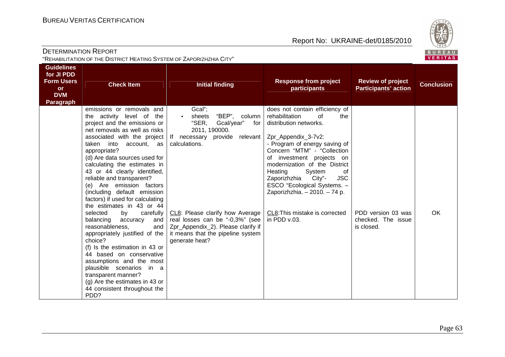

| <b>DETERMINATION REPORT</b>                                          |  |
|----------------------------------------------------------------------|--|
| "REHABILITATION OF THE DISTRICT HEATING SYSTEM OF ZAPORIZHZHIA CITY" |  |

| <b>Guidelines</b><br>for JI PDD<br><b>Form Users</b><br><b>or</b><br><b>DVM</b><br>Paragraph | <b>Check Item</b>                                                                                                                                                                                                                                                                                                                                                                                                                                                                                                                                                                                                                                                                                                                                                                                                               | <b>Initial finding</b>                                                                                                                                                                                                                                                                                | <b>Response from project</b><br>participants                                                                                                                                                                                                                                                                                                                                                                                      | <b>Review of project</b><br><b>Participants' action</b> | <b>Conclusion</b> |
|----------------------------------------------------------------------------------------------|---------------------------------------------------------------------------------------------------------------------------------------------------------------------------------------------------------------------------------------------------------------------------------------------------------------------------------------------------------------------------------------------------------------------------------------------------------------------------------------------------------------------------------------------------------------------------------------------------------------------------------------------------------------------------------------------------------------------------------------------------------------------------------------------------------------------------------|-------------------------------------------------------------------------------------------------------------------------------------------------------------------------------------------------------------------------------------------------------------------------------------------------------|-----------------------------------------------------------------------------------------------------------------------------------------------------------------------------------------------------------------------------------------------------------------------------------------------------------------------------------------------------------------------------------------------------------------------------------|---------------------------------------------------------|-------------------|
|                                                                                              | emissions or removals and<br>the activity level of<br>the<br>project and the emissions or<br>net removals as well as risks<br>associated with the project  <br>taken into<br>account, as<br>appropriate?<br>(d) Are data sources used for<br>calculating the estimates in<br>43 or 44 clearly identified,<br>reliable and transparent?<br>(e) Are emission factors<br>(including default emission<br>factors) if used for calculating<br>the estimates in 43 or 44<br>selected<br>by<br>carefully<br>balancing<br>accuracy<br>and<br>reasonableness,<br>and<br>appropriately justified of the<br>choice?<br>(f) Is the estimation in 43 or<br>44 based on conservative<br>assumptions and the most<br>plausible scenarios in a<br>transparent manner?<br>(g) Are the estimates in 43 or<br>44 consistent throughout the<br>PDD? | Gcal";<br>"BEP", column<br>sheets<br>"SER,<br>Gcal/year"<br>for<br>2011, 190000.<br>If necessary provide relevant<br>calculations.<br>CL8: Please clarify how Average<br>real losses can be "-0,3%" (see<br>Zpr_Appendix_2). Please clarify if<br>it means that the pipeline system<br>generate heat? | does not contain efficiency of<br>rehabilitation<br>οf<br>the<br>distribution networks.<br>Zpr_Appendix_3-7v2:<br>- Program of energy saving of<br>Concern "MTM" - "Collection<br>of investment projects on<br>modernization of the District<br>System<br>Heating<br>οf<br><b>JSC</b><br>City"-<br>Zaporizhzhia<br>ESCO "Ecological Systems. -<br>Zaporizhzhia. - 2010. - 74 p.<br>CL8: This mistake is corrected<br>in PDD v.03. | PDD version 03 was<br>checked. The issue<br>is closed.  | OK                |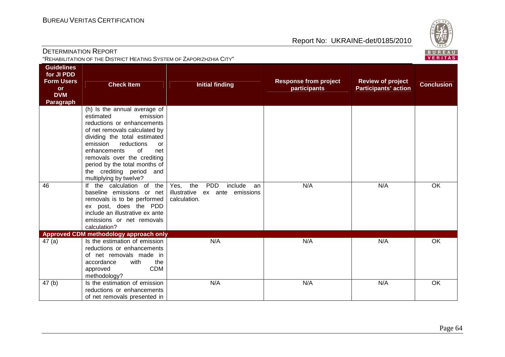

| <b>DETERMINATION REPORT</b><br>"REHABILITATION OF THE DISTRICT HEATING SYSTEM OF ZAPORIZHZHIA CITY" |                                                                                                                                                                                                                                                                                                                                                                         |                                                      |                                              |                                                         | ごご<br>BUREAL<br><b>VERITAS</b> |
|-----------------------------------------------------------------------------------------------------|-------------------------------------------------------------------------------------------------------------------------------------------------------------------------------------------------------------------------------------------------------------------------------------------------------------------------------------------------------------------------|------------------------------------------------------|----------------------------------------------|---------------------------------------------------------|--------------------------------|
| <b>Guidelines</b><br>for JI PDD<br><b>Form Users</b><br><b>or</b><br><b>DVM</b><br>Paragraph        | <b>Check Item</b>                                                                                                                                                                                                                                                                                                                                                       | <b>Initial finding</b>                               | <b>Response from project</b><br>participants | <b>Review of project</b><br><b>Participants' action</b> | <b>Conclusion</b>              |
| 46                                                                                                  | (h) Is the annual average of<br>estimated<br>emission<br>reductions or enhancements<br>of net removals calculated by<br>dividing the total estimated<br>emission<br>reductions<br>or<br>enhancements<br>0f<br>net<br>removals over the crediting<br>period by the total months of<br>the crediting period and<br>multiplying by twelve?<br>If the calculation of<br>the | <b>PDD</b><br>include<br>the<br>Yes,<br>an           | N/A                                          | N/A                                                     | $\overline{OK}$                |
|                                                                                                     | baseline emissions or net<br>removals is to be performed<br>ex post, does the PDD<br>include an illustrative ex ante<br>emissions or net removals<br>calculation?                                                                                                                                                                                                       | illustrative<br>emissions<br>ex ante<br>calculation. |                                              |                                                         |                                |
| 47(a)                                                                                               | Approved CDM methodology approach only<br>Is the estimation of emission<br>reductions or enhancements<br>of net removals made in<br>with<br>accordance<br>the<br><b>CDM</b><br>approved<br>methodology?                                                                                                                                                                 | N/A                                                  | N/A                                          | N/A                                                     | OK                             |
| 47 <sub>(b)</sub>                                                                                   | Is the estimation of emission<br>reductions or enhancements<br>of net removals presented in                                                                                                                                                                                                                                                                             | N/A                                                  | N/A                                          | N/A                                                     | OK                             |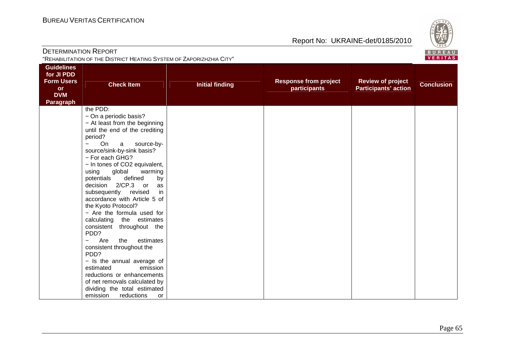

| <b>DETERMINATION REPORT</b><br>"REHABILITATION OF THE DISTRICT HEATING SYSTEM OF ZAPORIZHZHIA CITY" |                                                                                                                                                                                                                                                                                                                                                                                                                                                                                                                                                                                                                                                                                                                                                                                                                                  |                        |                                              |                                                         | BUREAL<br><b>VERITAS</b> |
|-----------------------------------------------------------------------------------------------------|----------------------------------------------------------------------------------------------------------------------------------------------------------------------------------------------------------------------------------------------------------------------------------------------------------------------------------------------------------------------------------------------------------------------------------------------------------------------------------------------------------------------------------------------------------------------------------------------------------------------------------------------------------------------------------------------------------------------------------------------------------------------------------------------------------------------------------|------------------------|----------------------------------------------|---------------------------------------------------------|--------------------------|
| <b>Guidelines</b><br>for JI PDD<br><b>Form Users</b><br><b>or</b><br><b>DVM</b><br>Paragraph        | <b>Check Item</b>                                                                                                                                                                                                                                                                                                                                                                                                                                                                                                                                                                                                                                                                                                                                                                                                                | <b>Initial finding</b> | <b>Response from project</b><br>participants | <b>Review of project</b><br><b>Participants' action</b> | <b>Conclusion</b>        |
|                                                                                                     | the PDD:<br>- On a periodic basis?<br>- At least from the beginning<br>until the end of the crediting<br>period?<br><b>On</b><br>source-by-<br>$\mathsf{a}$<br>$\equiv$<br>source/sink-by-sink basis?<br>- For each GHG?<br>- In tones of CO2 equivalent,<br>global<br>using<br>warming<br>defined<br>potentials<br>by<br>decision 2/CP.3 or<br>as<br>in<br>subsequently revised<br>accordance with Article 5 of<br>the Kyoto Protocol?<br>- Are the formula used for<br>calculating the estimates<br>consistent throughout the<br>PDD?<br>Are<br>estimates<br>the<br>$\overline{\phantom{0}}$<br>consistent throughout the<br>PDD?<br>- Is the annual average of<br>estimated<br>emission<br>reductions or enhancements<br>of net removals calculated by<br>dividing the total estimated<br>emission<br>reductions<br><b>or</b> |                        |                                              |                                                         |                          |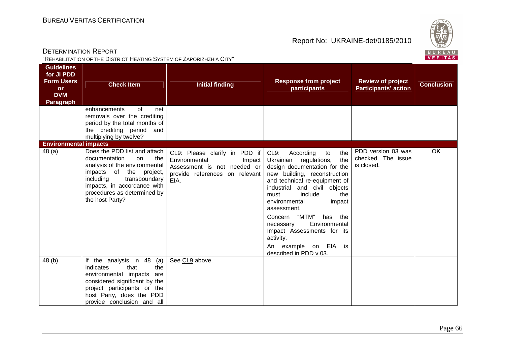

DETERMINATION REPORT"REHABILITATION OF THE DISTRICT HEATING SYSTEM OF ZAPORIZHZHIA CITY"

| <b>Guidelines</b><br>for JI PDD<br><b>Form Users</b><br><b>or</b><br><b>DVM</b><br>Paragraph | <b>Check Item</b>                                                                                                                                                                                                                     | <b>Initial finding</b>                                                                                                            | <b>Response from project</b><br>participants                                                                                                                                                                                                                                                                                                                                                                                | <b>Review of project</b><br><b>Participants' action</b> | <b>Conclusion</b> |
|----------------------------------------------------------------------------------------------|---------------------------------------------------------------------------------------------------------------------------------------------------------------------------------------------------------------------------------------|-----------------------------------------------------------------------------------------------------------------------------------|-----------------------------------------------------------------------------------------------------------------------------------------------------------------------------------------------------------------------------------------------------------------------------------------------------------------------------------------------------------------------------------------------------------------------------|---------------------------------------------------------|-------------------|
|                                                                                              | enhancements<br>of<br>net<br>removals over the crediting<br>period by the total months of<br>the crediting period and<br>multiplying by twelve?                                                                                       |                                                                                                                                   |                                                                                                                                                                                                                                                                                                                                                                                                                             |                                                         |                   |
| <b>Environmental impacts</b><br>48(a)                                                        | Does the PDD list and attach<br>the<br>documentation<br>on<br>analysis of the environmental<br>impacts of the project,<br>including<br>transboundary<br>impacts, in accordance with<br>procedures as determined by<br>the host Party? | CL9: Please clarify in PDD if<br>Environmental<br>Impact<br>Assessment is not needed or<br>provide references on relevant<br>EIA. | According<br>CL9:<br>the<br>to<br>the<br>Ukrainian regulations,<br>design documentation for the<br>new building, reconstruction<br>and technical re-equipment of<br>industrial and civil objects<br>include<br>must<br>the<br>environmental<br>impact<br>assessment.<br>Concern "MTM"<br>has the<br>Environmental<br>necessary<br>Impact Assessments for its<br>activity.<br>An example on EIA is<br>described in PDD v.03. | PDD version 03 was<br>checked. The issue<br>is closed.  | <b>OK</b>         |
| 48 (b)                                                                                       | If the analysis in 48<br>(a)<br>the<br>indicates<br>that<br>environmental impacts<br>are<br>considered significant by the<br>project participants or the<br>host Party, does the PDD<br>provide conclusion and all                    | See CL9 above.                                                                                                                    |                                                                                                                                                                                                                                                                                                                                                                                                                             |                                                         |                   |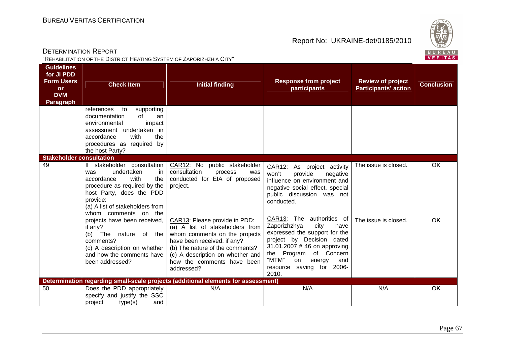

DETERMINATION REPORT"REHABILITATION OF THE DISTRICT HEATING SYSTEM OF ZAPORIZHZHIA CITY"

| <b>Guidelines</b><br>for JI PDD<br><b>Form Users</b><br><b>or</b><br><b>DVM</b><br><b>Paragraph</b> | <b>Check Item</b><br>references<br>to<br>supporting                                                                                                                                                                                                                                                                                                                                      | <b>Initial finding</b>                                                                                                                                                                                                                                                                                                                                             | <b>Response from project</b><br>participants                                                                                                                                                                                                                                                                                                                                                                                           | <b>Review of project</b><br><b>Participants' action</b> | <b>Conclusion</b> |
|-----------------------------------------------------------------------------------------------------|------------------------------------------------------------------------------------------------------------------------------------------------------------------------------------------------------------------------------------------------------------------------------------------------------------------------------------------------------------------------------------------|--------------------------------------------------------------------------------------------------------------------------------------------------------------------------------------------------------------------------------------------------------------------------------------------------------------------------------------------------------------------|----------------------------------------------------------------------------------------------------------------------------------------------------------------------------------------------------------------------------------------------------------------------------------------------------------------------------------------------------------------------------------------------------------------------------------------|---------------------------------------------------------|-------------------|
|                                                                                                     | documentation<br>of<br>an<br>environmental<br>impact<br>assessment undertaken in<br>with<br>accordance<br>the<br>procedures as required by<br>the host Party?                                                                                                                                                                                                                            |                                                                                                                                                                                                                                                                                                                                                                    |                                                                                                                                                                                                                                                                                                                                                                                                                                        |                                                         |                   |
| <b>Stakeholder consultation</b>                                                                     |                                                                                                                                                                                                                                                                                                                                                                                          |                                                                                                                                                                                                                                                                                                                                                                    |                                                                                                                                                                                                                                                                                                                                                                                                                                        |                                                         |                   |
| 49                                                                                                  | If stakeholder consultation<br>undertaken<br>was<br>in.<br>with<br>accordance<br>the<br>procedure as required by the<br>host Party, does the PDD<br>provide:<br>(a) A list of stakeholders from<br>whom comments on the<br>projects have been received,<br>if any?<br>(b) The nature of the<br>comments?<br>(c) A description on whether<br>and how the comments have<br>been addressed? | CAR12: No public stakeholder<br>consultation<br>process<br>was<br>conducted for EIA of proposed<br>project.<br>CAR13: Please provide in PDD:<br>(a) A list of stakeholders from<br>whom comments on the projects<br>have been received, if any?<br>(b) The nature of the comments?<br>(c) A description on whether and<br>how the comments have been<br>addressed? | CAR12: As project activity<br>won't<br>provide<br>negative<br>influence on environment and<br>negative social effect, special<br>public discussion was not<br>conducted.<br>CAR13: The authorities of<br>Zaporizhzhya<br>city<br>have<br>expressed the support for the<br>project by Decision dated<br>31.01.2007 # 46 on approving<br>Program of Concern<br>the<br>"MTM"<br>on<br>energy<br>and<br>resource saving for 2006-<br>2010. | The issue is closed.<br>The issue is closed.            | OK.<br><b>OK</b>  |
|                                                                                                     |                                                                                                                                                                                                                                                                                                                                                                                          | Determination regarding small-scale projects (additional elements for assessment)                                                                                                                                                                                                                                                                                  |                                                                                                                                                                                                                                                                                                                                                                                                                                        |                                                         |                   |
| 50                                                                                                  | Does the PDD appropriately<br>specify and justify the SSC<br>project<br>type(s)<br>and                                                                                                                                                                                                                                                                                                   | N/A                                                                                                                                                                                                                                                                                                                                                                | N/A                                                                                                                                                                                                                                                                                                                                                                                                                                    | N/A                                                     | OK.               |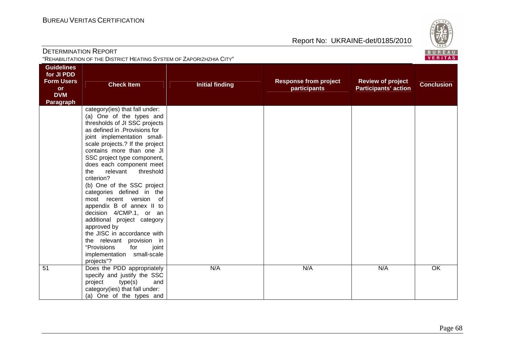

| <b>DETERMINATION REPORT</b><br>"REHABILITATION OF THE DISTRICT HEATING SYSTEM OF ZAPORIZHZHIA CITY" |                                                                                                                                                                                                                                                                                                                                                                                                                                                                                                                                                                                                                                                                        |                        |                                              |                                                         | ごじょン<br>BUREAL<br>VERITAS |
|-----------------------------------------------------------------------------------------------------|------------------------------------------------------------------------------------------------------------------------------------------------------------------------------------------------------------------------------------------------------------------------------------------------------------------------------------------------------------------------------------------------------------------------------------------------------------------------------------------------------------------------------------------------------------------------------------------------------------------------------------------------------------------------|------------------------|----------------------------------------------|---------------------------------------------------------|---------------------------|
| <b>Guidelines</b><br>for JI PDD<br><b>Form Users</b><br><b>or</b><br><b>DVM</b><br>Paragraph        | <b>Check Item</b>                                                                                                                                                                                                                                                                                                                                                                                                                                                                                                                                                                                                                                                      | <b>Initial finding</b> | <b>Response from project</b><br>participants | <b>Review of project</b><br><b>Participants' action</b> | <b>Conclusion</b>         |
|                                                                                                     | category(ies) that fall under:<br>(a) One of the types and<br>thresholds of JI SSC projects<br>as defined in .Provisions for<br>joint implementation small-<br>scale projects.? If the project<br>contains more than one JI<br>SSC project type component,<br>does each component meet<br>relevant<br>the<br>threshold<br>criterion?<br>(b) One of the SSC project<br>categories defined in the<br>most recent version of<br>appendix B of annex II to<br>decision 4/CMP.1, or an<br>additional project category<br>approved by<br>the JISC in accordance with<br>the relevant provision in<br>"Provisions<br>for<br>joint<br>implementation small-scale<br>projects"? |                        |                                              |                                                         |                           |
| $\overline{51}$                                                                                     | Does the PDD appropriately<br>specify and justify the SSC<br>type(s)<br>and<br>project<br>category(ies) that fall under:<br>(a) One of the types and                                                                                                                                                                                                                                                                                                                                                                                                                                                                                                                   | N/A                    | N/A                                          | N/A                                                     | $\overline{OK}$           |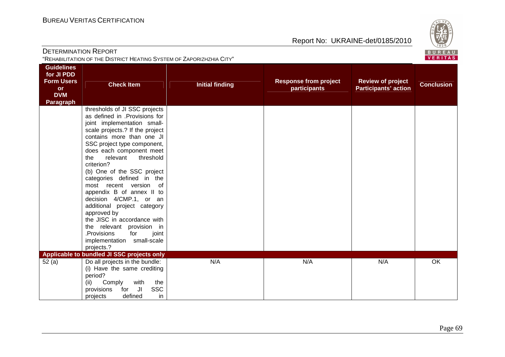

| <b>DETERMINATION REPORT</b><br>"REHABILITATION OF THE DISTRICT HEATING SYSTEM OF ZAPORIZHZHIA CITY" |                                                                                                                                                                                                                                                                                                                                                                                                                                                                                                                                                                                                             |                        |                                              |                                                         |                              |
|-----------------------------------------------------------------------------------------------------|-------------------------------------------------------------------------------------------------------------------------------------------------------------------------------------------------------------------------------------------------------------------------------------------------------------------------------------------------------------------------------------------------------------------------------------------------------------------------------------------------------------------------------------------------------------------------------------------------------------|------------------------|----------------------------------------------|---------------------------------------------------------|------------------------------|
| <b>Guidelines</b><br>for JI PDD<br><b>Form Users</b><br><b>or</b><br><b>DVM</b><br><b>Paragraph</b> | <b>Check Item</b>                                                                                                                                                                                                                                                                                                                                                                                                                                                                                                                                                                                           | <b>Initial finding</b> | <b>Response from project</b><br>participants | <b>Review of project</b><br><b>Participants' action</b> | VERITAS<br><b>Conclusion</b> |
|                                                                                                     | thresholds of JI SSC projects<br>as defined in .Provisions for<br>joint implementation small-<br>scale projects.? If the project<br>contains more than one JI<br>SSC project type component,<br>does each component meet<br>the<br>relevant<br>threshold<br>criterion?<br>(b) One of the SSC project<br>categories defined in the<br>most recent version<br>of<br>appendix B of annex II to<br>decision 4/CMP.1, or an<br>additional project category<br>approved by<br>the JISC in accordance with<br>the relevant provision in<br>.Provisions<br>for<br>joint<br>implementation small-scale<br>projects.? |                        |                                              |                                                         |                              |
| 52(a)                                                                                               | Applicable to bundled JI SSC projects only<br>Do all projects in the bundle:<br>(i) Have the same crediting<br>period?<br>Comply<br>with<br>(ii)<br>the<br><b>SSC</b><br>Jl<br>for<br>provisions<br>defined<br>in<br>projects                                                                                                                                                                                                                                                                                                                                                                               | N/A                    | N/A                                          | N/A                                                     | OK                           |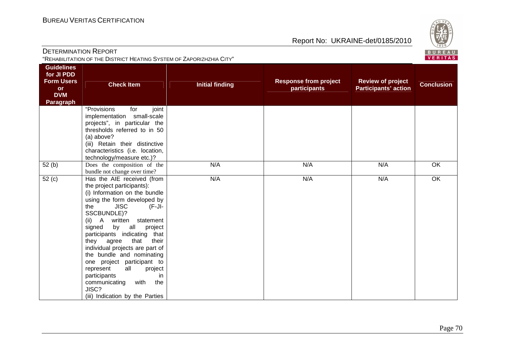

| <b>DETERMINATION REPORT</b><br>"REHABILITATION OF THE DISTRICT HEATING SYSTEM OF ZAPORIZHZHIA CITY" |                                                                                                                                                                                                                                                                                                                                                                                                                                                                                                                                          |                        |                                              |                                                         | ごじょン<br>BUREAL<br>VERITAS |
|-----------------------------------------------------------------------------------------------------|------------------------------------------------------------------------------------------------------------------------------------------------------------------------------------------------------------------------------------------------------------------------------------------------------------------------------------------------------------------------------------------------------------------------------------------------------------------------------------------------------------------------------------------|------------------------|----------------------------------------------|---------------------------------------------------------|---------------------------|
| <b>Guidelines</b><br>for JI PDD<br><b>Form Users</b><br>or<br><b>DVM</b><br>Paragraph               | <b>Check Item</b>                                                                                                                                                                                                                                                                                                                                                                                                                                                                                                                        | <b>Initial finding</b> | <b>Response from project</b><br>participants | <b>Review of project</b><br><b>Participants' action</b> | <b>Conclusion</b>         |
|                                                                                                     | "Provisions<br>for<br>joint<br>implementation small-scale<br>projects", in particular the<br>thresholds referred to in 50<br>(a) above?<br>(iii) Retain their distinctive<br>characteristics (i.e. location,<br>technology/measure etc.)?                                                                                                                                                                                                                                                                                                |                        |                                              |                                                         |                           |
| $\overline{52}$ (b)                                                                                 | Does the composition of the<br>bundle not change over time?                                                                                                                                                                                                                                                                                                                                                                                                                                                                              | N/A                    | N/A                                          | N/A                                                     | OK                        |
| 52(c)                                                                                               | Has the AIE received (from<br>the project participants):<br>(i) Information on the bundle<br>using the form developed by<br>the<br><b>JISC</b><br>$(F-JI)$<br>SSCBUNDLE)?<br>(ii) A written<br>statement<br>by all<br>project<br>signed<br>participants indicating that<br>agree<br>that<br>they<br>their<br>individual projects are part of<br>the bundle and nominating<br>one project participant to<br>represent<br>all<br>project<br>participants<br>in<br>the<br>communicating<br>with<br>JISC?<br>(iii) Indication by the Parties | N/A                    | N/A                                          | N/A                                                     | OK                        |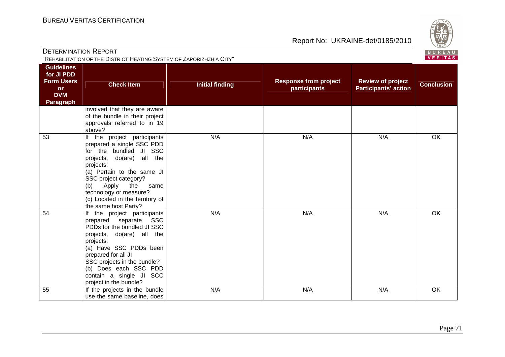

|                                                                                                     | "REHABILITATION OF THE DISTRICT HEATING SYSTEM OF ZAPORIZHZHIA CITY"                                                                                                                                                                                                                                    |                        |                                              |                                                         | <u>in the company of the company of the company of the company of the company of the company of the company of the company of the company of the company of the company of the company of the company of the company of the comp</u><br><b>VERITAS</b> |
|-----------------------------------------------------------------------------------------------------|---------------------------------------------------------------------------------------------------------------------------------------------------------------------------------------------------------------------------------------------------------------------------------------------------------|------------------------|----------------------------------------------|---------------------------------------------------------|--------------------------------------------------------------------------------------------------------------------------------------------------------------------------------------------------------------------------------------------------------|
| <b>Guidelines</b><br>for JI PDD<br><b>Form Users</b><br><b>or</b><br><b>DVM</b><br><b>Paragraph</b> | <b>Check Item</b>                                                                                                                                                                                                                                                                                       | <b>Initial finding</b> | <b>Response from project</b><br>participants | <b>Review of project</b><br><b>Participants' action</b> | <b>Conclusion</b>                                                                                                                                                                                                                                      |
|                                                                                                     | involved that they are aware<br>of the bundle in their project<br>approvals referred to in 19<br>above?                                                                                                                                                                                                 |                        |                                              |                                                         |                                                                                                                                                                                                                                                        |
| 53                                                                                                  | If the project participants<br>prepared a single SSC PDD<br>for the bundled JI SSC<br>projects, do(are) all the<br>projects:<br>(a) Pertain to the same JI<br>SSC project category?<br>Apply<br>the<br>same<br>(b)<br>technology or measure?<br>(c) Located in the territory of<br>the same host Party? | N/A                    | N/A                                          | N/A                                                     | OK                                                                                                                                                                                                                                                     |
| 54                                                                                                  | If the project participants<br>prepared separate<br><b>SSC</b><br>PDDs for the bundled JI SSC<br>projects, do(are) all the<br>projects:<br>(a) Have SSC PDDs been<br>prepared for all JI<br>SSC projects in the bundle?<br>(b) Does each SSC PDD<br>contain a single JI SCC<br>project in the bundle?   | N/A                    | N/A                                          | N/A                                                     | OK                                                                                                                                                                                                                                                     |
| 55                                                                                                  | If the projects in the bundle                                                                                                                                                                                                                                                                           | N/A                    | N/A                                          | N/A                                                     | OK                                                                                                                                                                                                                                                     |

use the same baseline, does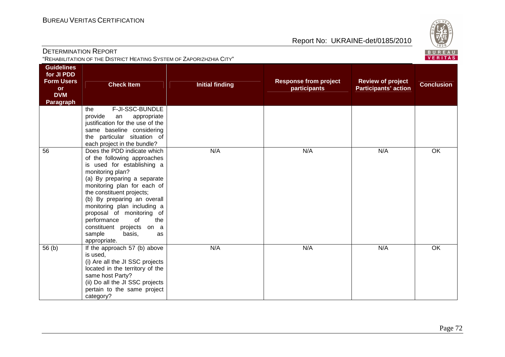

| <b>DETERMINATION REPORT</b><br>"REHABILITATION OF THE DISTRICT HEATING SYSTEM OF ZAPORIZHZHIA CITY" |                                                                                                                                                                                                                                                                                                                                                                                                       |                        |                                              |                                                         | ごじょン<br>BUREAL<br>VERITAS |
|-----------------------------------------------------------------------------------------------------|-------------------------------------------------------------------------------------------------------------------------------------------------------------------------------------------------------------------------------------------------------------------------------------------------------------------------------------------------------------------------------------------------------|------------------------|----------------------------------------------|---------------------------------------------------------|---------------------------|
| <b>Guidelines</b><br>for JI PDD<br><b>Form Users</b><br><b>or</b><br><b>DVM</b><br><b>Paragraph</b> | <b>Check Item</b>                                                                                                                                                                                                                                                                                                                                                                                     | <b>Initial finding</b> | <b>Response from project</b><br>participants | <b>Review of project</b><br><b>Participants' action</b> | <b>Conclusion</b>         |
|                                                                                                     | F-JI-SSC-BUNDLE<br>the<br>provide<br>appropriate<br>an<br>justification for the use of the<br>same baseline considering<br>the particular situation of<br>each project in the bundle?                                                                                                                                                                                                                 |                        |                                              |                                                         |                           |
| 56                                                                                                  | Does the PDD indicate which<br>of the following approaches<br>is used for establishing a<br>monitoring plan?<br>(a) By preparing a separate<br>monitoring plan for each of<br>the constituent projects;<br>(b) By preparing an overall<br>monitoring plan including a<br>proposal of monitoring of<br>performance<br>of<br>the<br>constituent projects on a<br>sample<br>basis,<br>as<br>appropriate. | N/A                    | N/A                                          | N/A                                                     | OK                        |
| 56(b)                                                                                               | If the approach 57 (b) above<br>is used,<br>(i) Are all the JI SSC projects<br>located in the territory of the<br>same host Party?<br>(ii) Do all the JI SSC projects<br>pertain to the same project<br>category?                                                                                                                                                                                     | N/A                    | N/A                                          | N/A                                                     | OK                        |

**BUREAU**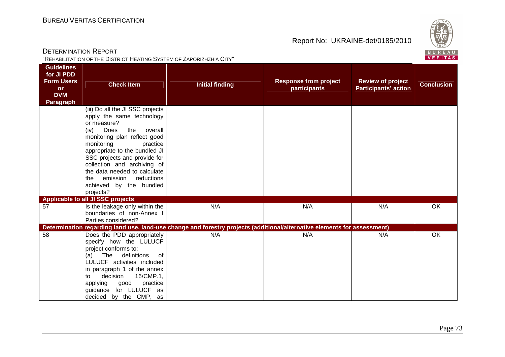

| <b>DETERMINATION REPORT</b><br>"REHABILITATION OF THE DISTRICT HEATING SYSTEM OF ZAPORIZHZHIA CITY" |                                                                                                                                                                                                                                                                                                                                                                                |                                                                                                                          |                                                     |                                                         | ごじょン<br>BUREAL<br>VERITAS |
|-----------------------------------------------------------------------------------------------------|--------------------------------------------------------------------------------------------------------------------------------------------------------------------------------------------------------------------------------------------------------------------------------------------------------------------------------------------------------------------------------|--------------------------------------------------------------------------------------------------------------------------|-----------------------------------------------------|---------------------------------------------------------|---------------------------|
| <b>Guidelines</b><br>for JI PDD<br><b>Form Users</b><br>or<br><b>DVM</b><br><b>Paragraph</b>        | <b>Check Item</b>                                                                                                                                                                                                                                                                                                                                                              | <b>Initial finding</b>                                                                                                   | <b>Response from project</b><br><b>participants</b> | <b>Review of project</b><br><b>Participants' action</b> | <b>Conclusion</b>         |
|                                                                                                     | (iii) Do all the JI SSC projects<br>apply the same technology<br>or measure?<br>(iv)<br>Does<br>the<br>overall<br>monitoring plan reflect good<br>monitoring<br>practice<br>appropriate to the bundled JI<br>SSC projects and provide for<br>collection and archiving of<br>the data needed to calculate<br>emission reductions<br>the<br>achieved by the bundled<br>projects? |                                                                                                                          |                                                     |                                                         |                           |
| 57                                                                                                  | Applicable to all JI SSC projects<br>Is the leakage only within the<br>boundaries of non-Annex I<br>Parties considered?                                                                                                                                                                                                                                                        | N/A                                                                                                                      | N/A                                                 | N/A                                                     | OK                        |
|                                                                                                     |                                                                                                                                                                                                                                                                                                                                                                                | Determination regarding land use, land-use change and forestry projects (additional/alternative elements for assessment) |                                                     |                                                         |                           |
| 58                                                                                                  | Does the PDD appropriately<br>specify how the LULUCF<br>project conforms to:<br>The definitions<br>(a)<br>of<br>LULUCF activities included<br>in paragraph 1 of the annex<br>decision<br>16/CMP.1,<br>to<br>practice<br>applying<br>good<br>guidance for LULUCF as<br>decided by the CMP, as                                                                                   | N/A                                                                                                                      | N/A                                                 | N/A                                                     | OK                        |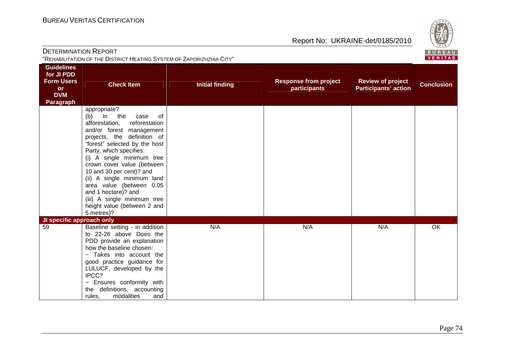

| <b>DETERMINATION REPORT</b><br>"REHABILITATION OF THE DISTRICT HEATING SYSTEM OF ZAPORIZHZHIA CITY" |                                                                                                                                                                                                                                                                                                                                                                                                                                                                 |                        |                                              |                                                         | $\sim$<br>BUREAL<br>VERITAS |
|-----------------------------------------------------------------------------------------------------|-----------------------------------------------------------------------------------------------------------------------------------------------------------------------------------------------------------------------------------------------------------------------------------------------------------------------------------------------------------------------------------------------------------------------------------------------------------------|------------------------|----------------------------------------------|---------------------------------------------------------|-----------------------------|
| <b>Guidelines</b><br>for JI PDD<br><b>Form Users</b><br><b>or</b><br><b>DVM</b><br><b>Paragraph</b> | <b>Check Item</b>                                                                                                                                                                                                                                                                                                                                                                                                                                               | <b>Initial finding</b> | <b>Response from project</b><br>participants | <b>Review of project</b><br><b>Participants' action</b> | <b>Conclusion</b>           |
|                                                                                                     | appropriate?<br>(b)<br>$\ln$<br>the<br>case<br>0f<br>afforestation,<br>reforestation<br>and/or forest management<br>projects, the definition of<br>"forest" selected by the host<br>Party, which specifies:<br>(i) A single minimum tree<br>crown cover value (between<br>10 and 30 per cent)? and<br>(ii) A single minimum land<br>area value (between 0.05<br>and 1 hectare)? and<br>(iii) A single minimum tree<br>height value (between 2 and<br>5 metres)? |                        |                                              |                                                         |                             |
| JI specific approach only<br>$\overline{59}$                                                        | Baseline setting - in addition<br>to 22-26 above Does the<br>PDD provide an explanation<br>how the baseline chosen:<br>- Takes into account the<br>good practice guidance for<br>LULUCF, developed by the<br>IPCC?<br>- Ensures conformity with<br>the definitions, accounting<br>modalities<br>rules,<br>and                                                                                                                                                   | N/A                    | N/A                                          | N/A                                                     | $\overline{OK}$             |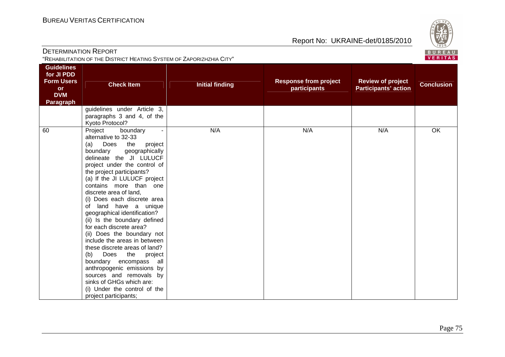

| "REHABILITATION OF THE DISTRICT HEATING SYSTEM OF ZAPORIZHZHIA CITY"                  |                                                                                                                                                                                                                                                                                                                                                                                                                                                                                                                                                                                                                                                                                                                                                               |                        |                                              |                                                         | 10011172<br>VERITAS |
|---------------------------------------------------------------------------------------|---------------------------------------------------------------------------------------------------------------------------------------------------------------------------------------------------------------------------------------------------------------------------------------------------------------------------------------------------------------------------------------------------------------------------------------------------------------------------------------------------------------------------------------------------------------------------------------------------------------------------------------------------------------------------------------------------------------------------------------------------------------|------------------------|----------------------------------------------|---------------------------------------------------------|---------------------|
| <b>Guidelines</b><br>for JI PDD<br><b>Form Users</b><br>or<br><b>DVM</b><br>Paragraph | <b>Check Item</b>                                                                                                                                                                                                                                                                                                                                                                                                                                                                                                                                                                                                                                                                                                                                             | <b>Initial finding</b> | <b>Response from project</b><br>participants | <b>Review of project</b><br><b>Participants' action</b> | <b>Conclusion</b>   |
|                                                                                       | guidelines under Article 3,<br>paragraphs 3 and 4, of the<br>Kyoto Protocol?                                                                                                                                                                                                                                                                                                                                                                                                                                                                                                                                                                                                                                                                                  |                        |                                              |                                                         |                     |
| 60                                                                                    | boundary<br>Project<br>$\blacksquare$<br>alternative to 32-33<br>Does the<br>(a)<br>project<br>boundary<br>geographically<br>delineate the JI LULUCF<br>project under the control of<br>the project participants?<br>(a) If the JI LULUCF project<br>contains more than one<br>discrete area of land,<br>(i) Does each discrete area<br>of land have a unique<br>geographical identification?<br>(ii) Is the boundary defined<br>for each discrete area?<br>(ii) Does the boundary not<br>include the areas in between<br>these discrete areas of land?<br>Does the<br>(b)<br>project<br>boundary encompass all<br>anthropogenic emissions by<br>sources and removals by<br>sinks of GHGs which are:<br>(i) Under the control of the<br>project participants; | N/A                    | N/A                                          | N/A                                                     | <b>OK</b>           |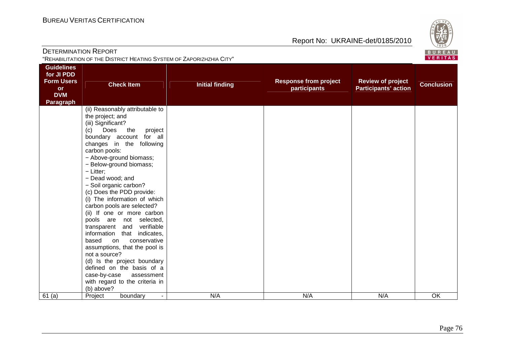

| <b>DETERMINATION REPORT</b><br>"REHABILITATION OF THE DISTRICT HEATING SYSTEM OF ZAPORIZHZHIA CITY" |                                                                                                                                                                                                                                                                                                                                                                                                                                                                                                                                                                                                                                                                                                                                                              |                        |                                              |                                                         |                              |
|-----------------------------------------------------------------------------------------------------|--------------------------------------------------------------------------------------------------------------------------------------------------------------------------------------------------------------------------------------------------------------------------------------------------------------------------------------------------------------------------------------------------------------------------------------------------------------------------------------------------------------------------------------------------------------------------------------------------------------------------------------------------------------------------------------------------------------------------------------------------------------|------------------------|----------------------------------------------|---------------------------------------------------------|------------------------------|
| <b>Guidelines</b><br>for JI PDD<br><b>Form Users</b><br><b>or</b><br><b>DVM</b><br><b>Paragraph</b> | <b>Check Item</b>                                                                                                                                                                                                                                                                                                                                                                                                                                                                                                                                                                                                                                                                                                                                            | <b>Initial finding</b> | <b>Response from project</b><br>participants | <b>Review of project</b><br><b>Participants' action</b> | VERITAS<br><b>Conclusion</b> |
|                                                                                                     | (ii) Reasonably attributable to<br>the project; and<br>(iii) Significant?<br>Does<br>the<br>(c)<br>project<br>boundary account for all<br>changes in the following<br>carbon pools:<br>- Above-ground biomass;<br>- Below-ground biomass;<br>- Litter;<br>- Dead wood; and<br>- Soil organic carbon?<br>(c) Does the PDD provide:<br>(i) The information of which<br>carbon pools are selected?<br>(ii) If one or more carbon<br>pools are not selected,<br>verifiable<br>transparent<br>and<br>indicates,<br>information<br>that<br>conservative<br>based<br>on<br>assumptions, that the pool is<br>not a source?<br>(d) Is the project boundary<br>defined on the basis of a<br>case-by-case<br>assessment<br>with regard to the criteria in<br>(b) above? |                        |                                              |                                                         |                              |
| 61(a)                                                                                               | Project<br>boundary                                                                                                                                                                                                                                                                                                                                                                                                                                                                                                                                                                                                                                                                                                                                          | N/A                    | N/A                                          | N/A                                                     | OK                           |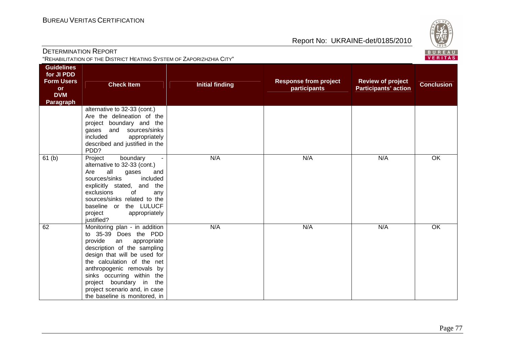

| <b>DETERMINATION REPORT</b><br>"REHABILITATION OF THE DISTRICT HEATING SYSTEM OF ZAPORIZHZHIA CITY" |                                                                                                                                                                                                                                                                                                                                                |                        |                                              |                                                         | ごご<br>BUREAL<br><b>VERITAS</b> |
|-----------------------------------------------------------------------------------------------------|------------------------------------------------------------------------------------------------------------------------------------------------------------------------------------------------------------------------------------------------------------------------------------------------------------------------------------------------|------------------------|----------------------------------------------|---------------------------------------------------------|--------------------------------|
| <b>Guidelines</b><br>for JI PDD<br><b>Form Users</b><br><b>or</b><br><b>DVM</b><br>Paragraph        | <b>Check Item</b>                                                                                                                                                                                                                                                                                                                              | <b>Initial finding</b> | <b>Response from project</b><br>participants | <b>Review of project</b><br><b>Participants' action</b> | <b>Conclusion</b>              |
|                                                                                                     | alternative to 32-33 (cont.)<br>Are the delineation of the<br>project boundary and the<br>gases and sources/sinks<br>included<br>appropriately<br>described and justified in the<br>PDD?                                                                                                                                                       |                        |                                              |                                                         |                                |
| 61 <sub>(b)</sub>                                                                                   | Project<br>boundary<br>alternative to 32-33 (cont.)<br>Are<br>all<br>gases<br>and<br>sources/sinks<br>included<br>explicitly stated, and<br>the<br>exclusions<br>of<br>any<br>sources/sinks related to the<br>baseline or the LULUCF<br>project<br>appropriately<br>justified?                                                                 | N/A                    | N/A                                          | N/A                                                     | OK                             |
| 62                                                                                                  | Monitoring plan - in addition<br>to 35-39 Does the PDD<br>provide<br>appropriate<br>an<br>description of the sampling<br>design that will be used for<br>the calculation of the net<br>anthropogenic removals by<br>sinks occurring within the<br>project boundary in<br>the<br>project scenario and, in case<br>the baseline is monitored, in | N/A                    | N/A                                          | N/A                                                     | $\overline{OK}$                |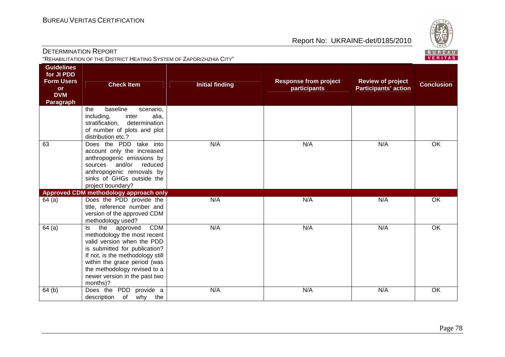

| <b>DETERMINATION REPORT</b>                                                                  | "REHABILITATION OF THE DISTRICT HEATING SYSTEM OF ZAPORIZHZHIA CITY"                                                                                                                                                                                                                |                        |                                              |                                                         | $\smile$<br>BUREAL<br><b>VERITAS</b> |
|----------------------------------------------------------------------------------------------|-------------------------------------------------------------------------------------------------------------------------------------------------------------------------------------------------------------------------------------------------------------------------------------|------------------------|----------------------------------------------|---------------------------------------------------------|--------------------------------------|
| <b>Guidelines</b><br>for JI PDD<br><b>Form Users</b><br>or<br><b>DVM</b><br><b>Paragraph</b> | <b>Check Item</b>                                                                                                                                                                                                                                                                   | <b>Initial finding</b> | <b>Response from project</b><br>participants | <b>Review of project</b><br><b>Participants' action</b> | <b>Conclusion</b>                    |
|                                                                                              | baseline<br>the<br>scenario,<br>alia,<br>including,<br>inter<br>determination<br>stratification,<br>of number of plots and plot<br>distribution etc.?                                                                                                                               |                        |                                              |                                                         |                                      |
| 63                                                                                           | Does the PDD take into<br>account only the increased<br>anthropogenic emissions by<br>and/or<br>sources<br>reduced<br>anthropogenic removals by<br>sinks of GHGs outside the<br>project boundary?                                                                                   | N/A                    | N/A                                          | N/A                                                     | OK                                   |
|                                                                                              | Approved CDM methodology approach only                                                                                                                                                                                                                                              |                        |                                              |                                                         |                                      |
| 64(a)                                                                                        | Does the PDD provide the<br>title, reference number and<br>version of the approved CDM<br>methodology used?                                                                                                                                                                         | N/A                    | N/A                                          | N/A                                                     | OK                                   |
| 64(a)                                                                                        | <b>CDM</b><br>the<br>approved<br>ls.<br>methodology the most recent<br>valid version when the PDD<br>is submitted for publication?<br>If not, is the methodology still<br>within the grace period (was<br>the methodology revised to a<br>newer version in the past two<br>months)? | N/A                    | N/A                                          | N/A                                                     | OK                                   |
| 64 <sub>(b)</sub>                                                                            | Does the PDD provide a                                                                                                                                                                                                                                                              | N/A                    | N/A                                          | N/A                                                     | OK                                   |

description of why the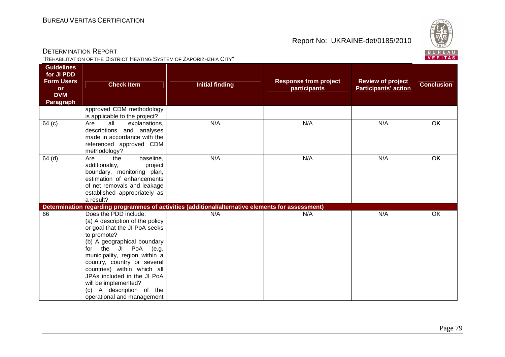

DETERMINATION REPORT"REHABILITATION OF THE DISTRICT HEATING SYSTEM OF ZAPORIZHZHIA CITY"

| <b>Guidelines</b><br>for JI PDD<br><b>Form Users</b><br><b>or</b><br><b>DVM</b><br><b>Paragraph</b> | <b>Check Item</b>                                                                                                                                                                                                                                                                                                                                                                     | <b>Initial finding</b>                                                                            | <b>Response from project</b><br>participants | <b>Review of project</b><br><b>Participants' action</b> | <b>Conclusion</b> |
|-----------------------------------------------------------------------------------------------------|---------------------------------------------------------------------------------------------------------------------------------------------------------------------------------------------------------------------------------------------------------------------------------------------------------------------------------------------------------------------------------------|---------------------------------------------------------------------------------------------------|----------------------------------------------|---------------------------------------------------------|-------------------|
|                                                                                                     | approved CDM methodology<br>is applicable to the project?                                                                                                                                                                                                                                                                                                                             |                                                                                                   |                                              |                                                         |                   |
| 64 (c)                                                                                              | all<br>Are<br>explanations,<br>descriptions and analyses<br>made in accordance with the<br>referenced approved CDM<br>methodology?                                                                                                                                                                                                                                                    | N/A                                                                                               | N/A                                          | N/A                                                     | $\overline{OK}$   |
| $64$ (d)                                                                                            | baseline,<br>the<br>Are<br>additionality,<br>project<br>boundary, monitoring plan,<br>estimation of enhancements<br>of net removals and leakage<br>established appropriately as<br>a result?                                                                                                                                                                                          | N/A                                                                                               | N/A                                          | N/A                                                     | OK                |
|                                                                                                     |                                                                                                                                                                                                                                                                                                                                                                                       | Determination regarding programmes of activities (additional/alternative elements for assessment) |                                              |                                                         |                   |
| 66                                                                                                  | Does the PDD include:<br>(a) A description of the policy<br>or goal that the JI PoA seeks<br>to promote?<br>(b) A geographical boundary<br>the JI PoA (e.g.<br>for<br>municipality, region within a<br>country, country or several<br>countries) within which all<br>JPAs included in the JI PoA<br>will be implemented?<br>A description of the<br>(c)<br>operational and management | N/A                                                                                               | N/A                                          | N/A                                                     | <b>OK</b>         |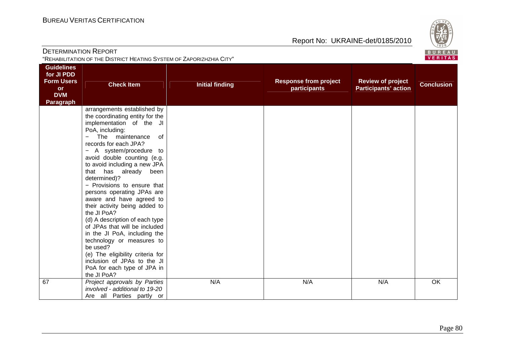

| <b>DETERMINATION REPORT</b>                                                                         | "REHABILITATION OF THE DISTRICT HEATING SYSTEM OF ZAPORIZHZHIA CITY"                                                                                                                                                                                                                                                                                                                                                                                                                                                                                                                                                                                                                                     |                        |                                              |                                                         | $\sim$<br>BUREAL<br><b>VERITAS</b> |
|-----------------------------------------------------------------------------------------------------|----------------------------------------------------------------------------------------------------------------------------------------------------------------------------------------------------------------------------------------------------------------------------------------------------------------------------------------------------------------------------------------------------------------------------------------------------------------------------------------------------------------------------------------------------------------------------------------------------------------------------------------------------------------------------------------------------------|------------------------|----------------------------------------------|---------------------------------------------------------|------------------------------------|
| <b>Guidelines</b><br>for JI PDD<br><b>Form Users</b><br><b>or</b><br><b>DVM</b><br><b>Paragraph</b> | <b>Check Item</b>                                                                                                                                                                                                                                                                                                                                                                                                                                                                                                                                                                                                                                                                                        | <b>Initial finding</b> | <b>Response from project</b><br>participants | <b>Review of project</b><br><b>Participants' action</b> | <b>Conclusion</b>                  |
|                                                                                                     | arrangements established by<br>the coordinating entity for the<br>implementation of the JI<br>PoA, including:<br>The maintenance<br>0f<br>records for each JPA?<br>- A system/procedure to<br>avoid double counting (e.g.<br>to avoid including a new JPA<br>that has already been<br>determined)?<br>- Provisions to ensure that<br>persons operating JPAs are<br>aware and have agreed to<br>their activity being added to<br>the JI PoA?<br>(d) A description of each type<br>of JPAs that will be included<br>in the JI PoA, including the<br>technology or measures to<br>be used?<br>(e) The eligibility criteria for<br>inclusion of JPAs to the JI<br>PoA for each type of JPA in<br>the JI PoA? |                        |                                              |                                                         |                                    |
| 67                                                                                                  | Project approvals by Parties<br>involved - additional to 19-20<br>Are all Parties partly or                                                                                                                                                                                                                                                                                                                                                                                                                                                                                                                                                                                                              | N/A                    | N/A                                          | N/A                                                     | OK                                 |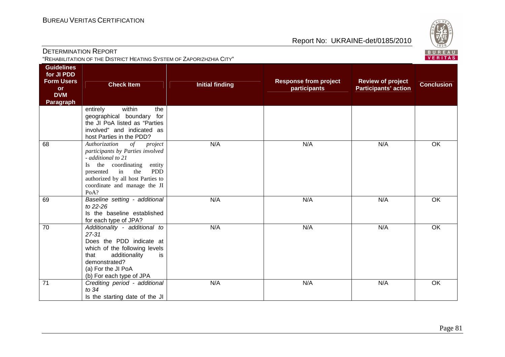Does the PDD indicate at which of the following levels

Is the starting date of the JI

that additionality demonstrated? (a) For the JI PoA

(b) For each type of JPA<br>
71 Crediting period - additional

to 34

is

Report No: UKRAINE-det/0185/2010



|                                                                                              | <b>DETERMINATION REPORT</b><br>"REHABILITATION OF THE DISTRICT HEATING SYSTEM OF ZAPORIZHZHIA CITY"                                                                                                                                                       |                        |                                              |                                                         |                   |  |
|----------------------------------------------------------------------------------------------|-----------------------------------------------------------------------------------------------------------------------------------------------------------------------------------------------------------------------------------------------------------|------------------------|----------------------------------------------|---------------------------------------------------------|-------------------|--|
| <b>Guidelines</b><br>for JI PDD<br><b>Form Users</b><br><b>or</b><br><b>DVM</b><br>Paragraph | <b>Check Item</b>                                                                                                                                                                                                                                         | <b>Initial finding</b> | <b>Response from project</b><br>participants | <b>Review of project</b><br><b>Participants' action</b> | <b>Conclusion</b> |  |
|                                                                                              | within<br>entirely<br>the<br>geographical boundary<br>for<br>the JI PoA listed as "Parties<br>involved" and indicated as<br>host Parties in the PDD?                                                                                                      |                        |                                              |                                                         |                   |  |
| 68                                                                                           | Authorization<br>$\circ f$<br>project<br>participants by Parties involved<br>- additional to 21<br>the coordinating<br>entity<br>Is.<br><b>PDD</b><br>the<br>in<br>presented<br>authorized by all host Parties to<br>coordinate and manage the JI<br>PoA? | N/A                    | N/A                                          | N/A                                                     | OK                |  |
| 69                                                                                           | Baseline setting - additional<br>to 22-26<br>Is the baseline established<br>for each type of JPA?                                                                                                                                                         | N/A                    | N/A                                          | N/A                                                     | OK                |  |
| 70                                                                                           | Additionality - additional to<br>27-31                                                                                                                                                                                                                    | N/A                    | N/A                                          | N/A                                                     | OK                |  |

N/A N/A N/A OK

## Page 81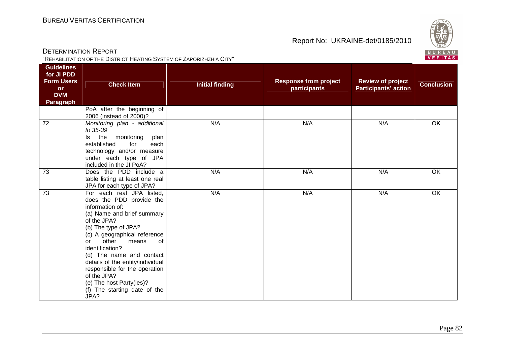

| DETERMINATION REPORT            |                                                                      |                 |                                    |
|---------------------------------|----------------------------------------------------------------------|-----------------|------------------------------------|
|                                 | "REHABILITATION OF THE DISTRICT HEATING SYSTEM OF ZAPORIZHZHIA CITY" |                 |                                    |
| <b>Guidelines</b><br>for JI PDD |                                                                      |                 |                                    |
| <b>Form Users</b><br>Ωr         | <b>Check Item</b>                                                    | Initial finding | <b>Response from</b><br>narticinar |

| <b>Form Users</b><br><b>or</b><br><b>DVM</b><br><b>Paragraph</b> | <b>Check Item</b>                                                                                                                                                                                                                                                                                                                                                                                                        | <b>Initial finding</b> | <b>Response from project</b><br>participants | <b>Review of project</b><br><b>Participants' action</b> | <b>Conclusion</b> |
|------------------------------------------------------------------|--------------------------------------------------------------------------------------------------------------------------------------------------------------------------------------------------------------------------------------------------------------------------------------------------------------------------------------------------------------------------------------------------------------------------|------------------------|----------------------------------------------|---------------------------------------------------------|-------------------|
|                                                                  | PoA after the beginning of<br>2006 (instead of 2000)?                                                                                                                                                                                                                                                                                                                                                                    |                        |                                              |                                                         |                   |
| 72                                                               | Monitoring plan - additional<br>to 35-39<br>the<br>monitoring<br>plan<br>ls.<br>established<br>for<br>each<br>technology and/or measure<br>under each type of JPA<br>included in the JI PoA?                                                                                                                                                                                                                             | N/A                    | N/A                                          | N/A                                                     | OK                |
| 73                                                               | Does the PDD include a<br>table listing at least one real<br>JPA for each type of JPA?                                                                                                                                                                                                                                                                                                                                   | N/A                    | N/A                                          | N/A                                                     | OK                |
| 73                                                               | For each real JPA listed,<br>does the PDD provide the<br>information of:<br>(a) Name and brief summary<br>of the JPA?<br>(b) The type of JPA?<br>(c) A geographical reference<br>other<br>of<br>means<br>$\alpha$<br>identification?<br>(d) The name and contact<br>details of the entity/individual<br>responsible for the operation<br>of the JPA?<br>(e) The host Party(ies)?<br>(f) The starting date of the<br>JPA? | N/A                    | N/A                                          | N/A                                                     | OK                |